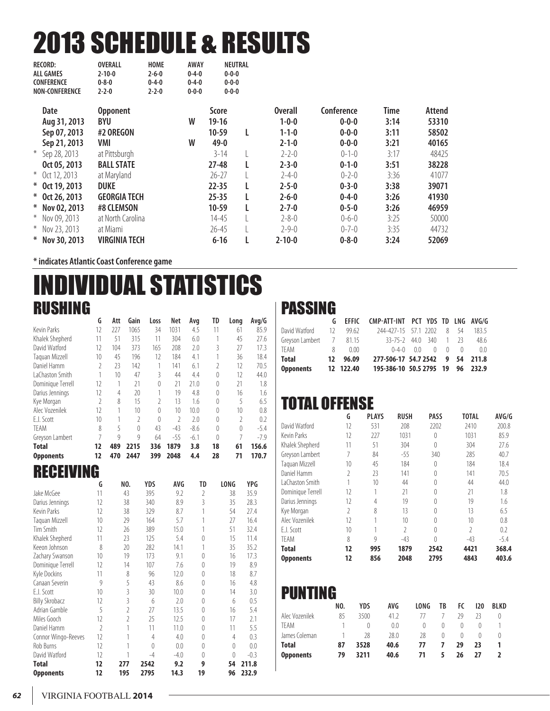# 2013 SCHEDULE & RESULTS

| <b>RECORD:</b>        | <b>OVERALL</b>    | <b>HOME</b> |                                                                  |                                           |             |                                                      |             |             |        |
|-----------------------|-------------------|-------------|------------------------------------------------------------------|-------------------------------------------|-------------|------------------------------------------------------|-------------|-------------|--------|
| <b>ALL GAMES</b>      | $2 - 10 - 0$      | $2 - 6 - 0$ |                                                                  |                                           |             |                                                      |             |             |        |
| <b>CONFERENCE</b>     | $0 - 8 - 0$       | $0 - 4 - 0$ |                                                                  |                                           |             |                                                      |             |             |        |
| <b>NON-CONFERENCE</b> | $2 - 2 - 0$       | $2 - 2 - 0$ |                                                                  |                                           |             |                                                      |             |             |        |
| <b>Date</b>           | <b>Opponent</b>   |             |                                                                  | <b>Score</b>                              |             | <b>Overall</b>                                       | Conference  | <b>Time</b> | Attend |
|                       | BYU               |             | W                                                                | $19-16$                                   |             | $1 - 0 - 0$                                          | $0 - 0 - 0$ | 3:14        | 53310  |
| Sep 07, 2013          | #2 OREGON         |             |                                                                  | 10-59                                     | L           | $1 - 1 - 0$                                          | $0 - 0 - 0$ | 3:11        | 58502  |
| Sep 21, 2013          | VMI               |             | W                                                                | $49 - 0$                                  |             | $2 - 1 - 0$                                          | $0 - 0 - 0$ | 3:21        | 40165  |
| * Sep 28, 2013        | at Pittsburgh     |             |                                                                  | $3 - 14$                                  |             | $2 - 2 - 0$                                          | $0 - 1 - 0$ | 3:17        | 48425  |
| Oct 05, 2013          | <b>BALL STATE</b> |             |                                                                  | $27 - 48$                                 |             | $2 - 3 - 0$                                          | $0 - 1 - 0$ | 3:51        | 38228  |
| $*$ Oct 12, 2013      | at Maryland       |             |                                                                  | $26 - 27$                                 |             | $2 - 4 - 0$                                          | $0 - 2 - 0$ | 3:36        | 41077  |
| * Oct 19, 2013        | <b>DUKE</b>       |             |                                                                  | $22 - 35$                                 |             | $2 - 5 - 0$                                          | $0 - 3 - 0$ | 3:38        | 39071  |
| * Oct 26, 2013        |                   |             |                                                                  | $25 - 35$                                 |             | $2 - 6 - 0$                                          | $0 - 4 - 0$ | 3:26        | 41930  |
| * Nov 02, 2013        | #8 CLEMSON        |             |                                                                  | $10-59$                                   |             | $2 - 7 - 0$                                          | $0 - 5 - 0$ | 3:26        | 46959  |
| * Nov 09, 2013        |                   |             |                                                                  | $14 - 45$                                 |             | $2 - 8 - 0$                                          | $0 - 6 - 0$ | 3:25        | 50000  |
| * Nov 23, 2013        | at Miami          |             |                                                                  | $26 - 45$                                 |             | $2 - 9 - 0$                                          | $0 - 7 - 0$ | 3:35        | 44732  |
| * Nov 30, 2013        |                   |             |                                                                  | $6 - 16$                                  |             | $2 - 10 - 0$                                         | $0 - 8 - 0$ | 3:24        | 52069  |
|                       | Aug 31, 2013      |             | <b>GEORGIA TECH</b><br>at North Carolina<br><b>VIRGINIA TECH</b> | $0 - 4 - 0$<br>$0 - 4 - 0$<br>$0 - 0 - 0$ | <b>AWAY</b> | NEUTRAL<br>$0 - 0 - 0$<br>$0 - 0 - 0$<br>$0 - 0 - 0$ |             |             |        |

**\* indicates Atlantic Coast Conference game** 

# INDIVIDUAL STATISTICS RUSHING

|                   | G             | Att          | Gain     | Loss          | Net   | Avg    | TD               | Long     | Avg/G  |
|-------------------|---------------|--------------|----------|---------------|-------|--------|------------------|----------|--------|
| Kevin Parks       | 12            | 227          | 1065     | 34            | 1031  | 4.5    | 11               | 61       | 85.9   |
| Khalek Shepherd   | 11            | 51           | 315      | 11            | 304   | 6.0    |                  | 45       | 27.6   |
| David Watford     | 12            | 104          | 373      | 165           | 208   | 2.0    | 3                | 27       | 17.3   |
| Taguan Mizzell    | 10            | 45           | 196      | 12            | 184   | 4.1    |                  | 36       | 18.4   |
| Daniel Hamm       | 2             | 23           | 142      | 1             | 141   | 6.1    |                  | 12       | 70.5   |
| LaChaston Smith   |               | 10           | 47       | 3             | 44    | 4.4    | $\theta$         | 12       | 44.0   |
| Dominique Terrell | 12            | 1            | 21       | 0             | 21    | 21.0   | $\Omega$         | 21       | 1.8    |
| Darius Jennings   | 12            | 4            | 20       | 1             | 19    | 4.8    | $\left( \right)$ | 16       | 1.6    |
| Kye Morgan        | $\mathfrak z$ | 8            | 15       | $\mathfrak z$ | 13    | 1.6    | $\Omega$         | 5        | 6.5    |
| Alec Vozenilek    | 12            | 1            | 10       | $\theta$      | 10    | 10.0   | $\Omega$         | 10       | 0.8    |
| F.J. Scott        | 10            |              | 2        | $\theta$      | 2     | 2.0    | $\left( \right)$ | 2        | 0.2    |
| <b>TFAM</b>       | 8             | 5            | $\Omega$ | 43            | $-43$ | $-8.6$ | $\Omega$         | $\theta$ | $-5.4$ |
| Greyson Lambert   | 7             | $\mathsf{Q}$ | 9        | 64            | $-55$ | $-6.1$ | $\theta$         | 7        | $-7.9$ |
| <b>Total</b>      | 12            | 489          | 2215     | 336           | 1879  | 3.8    | 18               | 61       | 156.6  |
| <b>Opponents</b>  | 12            | 470          | 2447     | 399           | 2048  | 4.4    | 28               | 71       | 170.7  |

### RECEIVING

|                       | G                        | NO.           | YDS  | AVG    | TD             | LONG     | YPG    |
|-----------------------|--------------------------|---------------|------|--------|----------------|----------|--------|
| Jake McGee            | 11                       | 43            | 395  | 9.2    | $\overline{2}$ | 38       | 35.9   |
| Darius Jennings       | 12                       | 38            | 340  | 8.9    | 3              | 35       | 28.3   |
| Kevin Parks           | 12                       | 38            | 329  | 8.7    |                | 54       | 27.4   |
| Taquan Mizzell        | 10                       | 29            | 164  | 5.7    |                | 27       | 16.4   |
| Tim Smith             | 12                       | 26            | 389  | 15.0   |                | 51       | 32.4   |
| Khalek Shepherd       | 11                       | 23            | 125  | 5.4    | $\Omega$       | 15       | 11.4   |
| Keeon Johnson         | 8                        | 20            | 282  | 14.1   |                | 35       | 35.2   |
| Zachary Swanson       | 10                       | 19            | 173  | 9.1    | $\Omega$       | 16       | 17.3   |
| Dominique Terrell     | 12                       | 14            | 107  | 7.6    | $\Omega$       | 19       | 8.9    |
| Kyle Dockins          | 11                       | 8             | 96   | 12.0   | $\Omega$       | 18       | 8.7    |
| Canaan Severin        | 9                        | 5             | 43   | 8.6    | $\theta$       | 16       | 4.8    |
| E.J. Scott            | 10                       | 3             | 30   | 10.0   | $\Omega$       | 14       | 3.0    |
| <b>Billy Skrobacz</b> | 12                       | 3             | 6    | 2.0    | $\Omega$       | 6        | 0.5    |
| Adrian Gamble         | 5                        | $\mathfrak z$ | 27   | 13.5   | 0              | 16       | 5.4    |
| Miles Gooch           | 12                       | 2             | 25   | 12.5   | $\Omega$       | 17       | 2.1    |
| Daniel Hamm           | $\overline{\phantom{a}}$ |               | 11   | 11.0   | $\Omega$       | 11       | 5.5    |
| Connor Wingo-Reeves   | 12                       |               | 4    | 4.0    | $\theta$       | 4        | 0.3    |
| Rob Burns             | 12                       |               | 0    | 0.0    | $\Omega$       | $\Omega$ | 0.0    |
| David Watford         | 12                       |               | $-4$ | $-4.0$ | $\Omega$       | $\theta$ | $-0.3$ |
| Total                 | 12                       | 277           | 2542 | 9.2    | 9              | 54       | 211.8  |
| Opponents             | 12                       | 195           | 2795 | 14.3   | 19             | 96       | 232.9  |

### PASSING

|                         |                |           | G EFFIC CMP-ATT-INT PCT YDS TD LNG AVG/G |  |  |       |
|-------------------------|----------------|-----------|------------------------------------------|--|--|-------|
| David Watford           | - 12           | 99.62     | 244-427-15 57.1 2202 8 54                |  |  | 183.5 |
| Greyson Lambert 7 81.15 |                |           | $33 - 75 - 2$ 44 0 340 1 23              |  |  | 48.6  |
| TEAM                    | 8 <sup>7</sup> | 0.00      | $0-4-0$ $0\quad 0$ $0$ $0$               |  |  | 00    |
| <b>Total</b>            |                | 12 96.09  | 277-506-17 54.7 2542 9 54 211.8          |  |  |       |
| <b>Opponents</b>        |                | 12 122.40 | 195-386-10 50.5 2795 19 96 232.9         |  |  |       |

# TOTAL OFFENSE

|                    | G             | <b>PLAYS</b> | <b>RUSH</b>   | <b>PASS</b> | <b>TOTAL</b>    | AVG/G  |
|--------------------|---------------|--------------|---------------|-------------|-----------------|--------|
| David Watford      | 12            | 531          | 208           | 2202        | 2410            | 200.8  |
| <b>Kevin Parks</b> | 12            | 227          | 1031          | $\theta$    | 1031            | 85.9   |
| Khalek Shepherd    | 11            | 51           | 304           | $\theta$    | 304             | 27.6   |
| Greyson Lambert    |               | 84           | $-55$         | 340         | 285             | 40.7   |
| Taguan Mizzell     | 10            | 45           | 184           | $\theta$    | 184             | 18.4   |
| Daniel Hamm        | $\mathfrak z$ | 23           | 141           | $\theta$    | 141             | 70.5   |
| LaChaston Smith    | 1             | 10           | 44            | $\Omega$    | 44              | 44.0   |
| Dominique Terrell  | 12            |              | 21            | $\Omega$    | 21              | 1.8    |
| Darius Jennings    | 12            | 4            | 19            | $\Omega$    | 19              | 1.6    |
| Kye Morgan         | $\mathfrak z$ | 8            | 13            | $\Omega$    | 13              | 6.5    |
| Alec Vozenilek     | 12            |              | 10            | $\Omega$    | 10 <sup>1</sup> | 0.8    |
| E.J. Scott         | 10            |              | $\mathfrak z$ | $\Omega$    | $\mathfrak{I}$  | 0.2    |
| <b>TEAM</b>        | 8             | 9            | $-43$         | $\Omega$    | $-43$           | $-5.4$ |
| <b>Total</b>       | 12            | 995          | 1879          | 2542        | 4421            | 368.4  |
| <b>Opponents</b>   | 12            | 856          | 2048          | 2795        | 4843            | 403.6  |

### PUNTING

|                  | NO. | YDS      | AVG. | LONG | ΤB               | FC               | 120              | <b>BLKD</b> |
|------------------|-----|----------|------|------|------------------|------------------|------------------|-------------|
| Alec Vozenilek   | 85  | 3500     | 41.2 |      |                  | 29               | 23               |             |
| TFAM             |     | $^{(1)}$ | 0.0  |      | $\left( \right)$ | $\left( \right)$ |                  |             |
| James Coleman    |     | 28       | 28.0 | 28   |                  | $^{(1)}$         | $\left( \right)$ |             |
| <b>Total</b>     | 87  | 3528     | 40.6 | 77   |                  | 29               | 23               |             |
| <b>Opponents</b> | 79  | 3211     | 40.6 | 71   | 5                | 26               | 77               |             |
|                  |     |          |      |      |                  |                  |                  |             |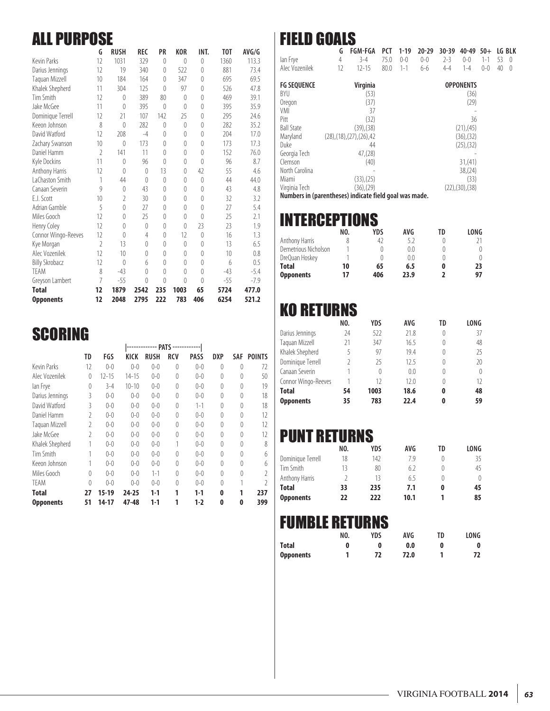### ALL PURPOSE

|                       | G              | <b>RUSH</b>    | <b>REC</b> | PR               | <b>KOR</b>       | INT.             | T <sub>0</sub> T | AVG/G  |
|-----------------------|----------------|----------------|------------|------------------|------------------|------------------|------------------|--------|
| <b>Kevin Parks</b>    | 12             | 1031           | 329        | $\theta$         | $\theta$         | $\theta$         | 1360             | 113.3  |
| Darius Jennings       | 12             | 19             | 340        | $\theta$         | 522              | 0                | 881              | 73.4   |
| Taquan Mizzell        | 10             | 184            | 164        | $\theta$         | 347              | 0                | 695              | 69.5   |
| Khalek Shepherd       | 11             | 304            | 125        | $\left($         | 97               | $\theta$         | 526              | 47.8   |
| Tim Smith             | 12             | 0              | 389        | 80               | $\theta$         | $\theta$         | 469              | 39.1   |
| Jake McGee            | 11             | $\theta$       | 395        | $\Omega$         | $\Omega$         | $\Omega$         | 395              | 35.9   |
| Dominique Terrell     | 12             | 21             | 107        | 142              | 25               | $\theta$         | 295              | 24.6   |
| Keeon Johnson         | 8              | 0              | 282        | $\theta$         | $\theta$         | 0                | 282              | 35.2   |
| David Watford         | 12             | 208            | $-4$       | $\theta$         | $\theta$         | $\Omega$         | 204              | 17.0   |
| Zachary Swanson       | 10             | 0              | 173        | $\theta$         | $\left( \right)$ | $\left( \right)$ | 173              | 17.3   |
| Daniel Hamm           | $\overline{2}$ | 141            | 11         | $\theta$         | $\left( \right)$ | $\theta$         | 152              | 76.0   |
| Kyle Dockins          | 11             | $\theta$       | 96         | $\left( \right)$ | $\theta$         | $\Omega$         | 96               | 8.7    |
| Anthony Harris        | 12             | $\theta$       | $\theta$   | 13               | $\theta$         | 42               | 55               | 4.6    |
| LaChaston Smith       | 1              | 44             | $\theta$   | $\left( \right)$ | $\left( \right)$ | $\left( \right)$ | 44               | 44.0   |
| Canaan Severin        | 9              | $\theta$       | 43         | $\theta$         | $\Omega$         | $\Omega$         | 43               | 4.8    |
| E.J. Scott            | 10             | $\overline{2}$ | 30         | 0                | $\theta$         | $\theta$         | 32               | 3.2    |
| Adrian Gamble         | 5              | $\theta$       | 27         | $\theta$         | $\left( \right)$ | $\left( \right)$ | 27               | 5.4    |
| Miles Gooch           | 12             | $\theta$       | 25         | $\theta$         | $\left( \right)$ | $\Omega$         | 25               | 2.1    |
| Henry Coley           | 12             | 0              | $\theta$   | $\theta$         | $\theta$         | 23               | 23               | 1.9    |
| Connor Wingo-Reeves   | 12             | $\theta$       | 4          | 0                | 12               | $\left($         | 16               | 1.3    |
| Kye Morgan            | $\overline{2}$ | 13             | $\Omega$   | $\theta$         | $\left( \right)$ | $\Omega$         | 13               | 6.5    |
| Alec Vozenilek        | 12             | 10             | $\theta$   | $\left($         | $\theta$         | $\theta$         | 10               | 0.8    |
| <b>Billy Skrobacz</b> | 12             | $\theta$       | 6          | $\theta$         | $\left( \right)$ | $\left($         | 6                | 0.5    |
| <b>TFAM</b>           | 8              | $-43$          | $\Omega$   | $\theta$         | $\theta$         | $\Omega$         | $-43$            | $-5.4$ |
| Greyson Lambert       | 7              | $-55$          | $\theta$   | $\left($         | $\theta$         | $\theta$         | $-55$            | $-7.9$ |
| <b>Total</b>          | 12             | 1879           | 2542       | 235              | 1003             | 65               | 5724             | 477.0  |
| <b>Opponents</b>      | 12             | 2048           | 2795       | 222              | 783              | 406              | 6254             | 521.2  |

### $SCORING$

| TD             | FGS       | KICK      | RUSH    | RCV      | <b>PASS</b> | DXP      | SAF      | <b>POINTS</b> |
|----------------|-----------|-----------|---------|----------|-------------|----------|----------|---------------|
| 12             | $0 - 0$   | $0 - 0$   | $0 - 0$ | 0        | $0 - 0$     | $\theta$ | $\theta$ | 72            |
| $\theta$       | $12 - 15$ | 14-15     | $0 - 0$ | $\theta$ | $0 - 0$     | $\theta$ | $\theta$ | 50            |
| $\theta$       | $3 - 4$   | $10 - 10$ | $0 - 0$ | $\theta$ | $0 - 0$     | $\theta$ | $\theta$ | 19            |
| 3              | $0 - 0$   | $0 - 0$   | $0 - 0$ | $\theta$ | $0 - 0$     | $\theta$ | $\theta$ | 18            |
| 3              | $0 - 0$   | $0 - 0$   | $0 - 0$ | $\theta$ | $1 - 1$     | $\theta$ | $\theta$ | 18            |
| $\mathfrak{I}$ | $0 - 0$   | $0 - 0$   | $0 - 0$ | $\theta$ | $0 - 0$     | $\theta$ | $\theta$ | 12            |
| $\mathfrak{I}$ | $0 - 0$   | $0 - 0$   | $0 - 0$ | $\theta$ | $0 - 0$     | $\theta$ | $\theta$ | 12            |
| 2              | $0 - 0$   | $0 - 0$   | $0 - 0$ | $\theta$ | $0 - 0$     | $\theta$ | $\theta$ | 12            |
|                | $0 - 0$   | $0 - 0$   | $0 - 0$ | 1        | $0 - 0$     | $\theta$ | $\theta$ | 8             |
|                | $0 - 0$   | $0 - 0$   | $0 - 0$ | $\theta$ | $0 - 0$     | $\theta$ | $\theta$ | 6             |
|                | $0 - 0$   | $0 - 0$   | $0 - 0$ | $\theta$ | $0 - 0$     | $\theta$ | $\theta$ | 6             |
| $\Omega$       | $0 - 0$   | $0 - 0$   | $1 - 1$ | $\theta$ | $0 - 0$     | $\theta$ | $\Omega$ |               |
| $\theta$       | $0 - 0$   | $0 - 0$   | $0 - 0$ | $\theta$ | $0 - 0$     | $\theta$ |          |               |
| 27             | 15-19     | 24-25     | $1-1$   | 1        | $1-1$       | 0        |          | 237           |
| 51             | 14-17     | 47-48     | $1-1$   | 1        | $1-2$       | 0        | 0        | 399           |
|                |           |           |         |          | <b>PATS</b> |          |          |               |

# FIELD GOALS

| lan Frye<br>Alec Vozenilek | G<br>4<br>12 | <b>FGM-FGA</b><br>$3 - 4$<br>$12 - 15$   | PCT<br>75.0<br>80.0 | $1 - 19$<br>$0 - 0$<br>$1 - 1$ | $20 - 29$<br>$0 - 0$<br>$6 - 6$ | $30 - 39$<br>$2 - 3$<br>$4 - 4$ | 40-49<br>$0 - 0$<br>$1 - 4$ | $50+$<br>$1 - 1$<br>$0 - 0$ | 53<br>40 | LG BLK<br>$\left( \right)$<br>$\left( \right)$ |
|----------------------------|--------------|------------------------------------------|---------------------|--------------------------------|---------------------------------|---------------------------------|-----------------------------|-----------------------------|----------|------------------------------------------------|
| <b>FG SEQUENCE</b>         |              | <b>Virginia</b>                          |                     |                                |                                 |                                 | <b>OPPONENTS</b>            |                             |          |                                                |
| BYU                        |              | (53)                                     |                     |                                |                                 |                                 | (36)                        |                             |          |                                                |
| Oregon                     |              | (37)                                     |                     |                                |                                 |                                 | (29)                        |                             |          |                                                |
| VMI                        |              | 37                                       |                     |                                |                                 |                                 |                             |                             |          |                                                |
| Pitt                       |              | (32)                                     |                     |                                |                                 |                                 | 36                          |                             |          |                                                |
| <b>Ball State</b>          |              | $(39)$ , $(38)$                          |                     |                                |                                 |                                 | $(21)$ , $(45)$             |                             |          |                                                |
| Maryland                   |              | $(28)$ , $(18)$ , $(27)$ , $(26)$ , $42$ |                     |                                |                                 |                                 | $(36)$ , $(32)$             |                             |          |                                                |
| Duke                       |              | 44                                       |                     |                                |                                 |                                 | (25),(32)                   |                             |          |                                                |
| Georgia Tech               |              | 47, (28)                                 |                     |                                |                                 |                                 |                             |                             |          |                                                |
| Clemson                    |              | (40)                                     |                     |                                |                                 |                                 | 31,(41)                     |                             |          |                                                |
| North Carolina             |              |                                          |                     |                                |                                 |                                 | 38,(24)                     |                             |          |                                                |
| Miami                      |              | (33),(25)                                |                     |                                |                                 |                                 | (33)                        |                             |          |                                                |
| Virginia Tech              |              | $(36)$ , $(29)$                          |                     |                                |                                 |                                 | (22), (30), (38)            |                             |          |                                                |

**Numbers in (parentheses) indicate field goal was made.**

### INTERCEPTIONS

|                      | NO. | YDS | AVG  | TD | LONG |
|----------------------|-----|-----|------|----|------|
| Anthony Harris       |     | 42  | 52   |    |      |
| Demetrious Nicholson |     |     | 0.0  |    |      |
| DreQuan Hoskey       |     |     | 0.0  |    |      |
| <b>Total</b>         | 10  | 65  | 6.5  |    | 23   |
| <b>Opponents</b>     | 17  | 406 | 23.9 |    | 97   |

### KO RETURNS

|                     | NO. | YDS  | <b>AVG</b> | TD | LONG |
|---------------------|-----|------|------------|----|------|
| Darius Jennings     | 24  | 522  | 21.8       |    | 37   |
| Taguan Mizzell      | 21  | 347  | 16.5       | 0  | 48   |
| Khalek Shepherd     | 5   | 97   | 19.4       | 0  | 25   |
| Dominique Terrell   |     | 25   | 12.5       |    | 20   |
| Canaan Severin      |     | 0    | 0.0        | 0  |      |
| Connor Wingo-Reeves |     | 12   | 12.0       | 0  | 12   |
| <b>Total</b>        | 54  | 1003 | 18.6       | 0  | 48   |
| <b>Opponents</b>    | 35  | 783  | 22.4       | 0  | 59   |

### PUNT RETURNS

|                   | NO. | YDS | AVG  | TD | LONG |
|-------------------|-----|-----|------|----|------|
| Dominique Terrell | 18  | 142 | 79   |    | 35   |
| Tim Smith         | 13  | 80  | 62   |    | 45   |
| Anthony Harris    |     | 13  | 6.5  |    |      |
| <b>Total</b>      | 33  | 235 | 7.1  | 0  | 45   |
| <b>Opponents</b>  | 22  | 222 | 10.1 |    | 85   |

### FUMBLE RETURNS

|                  | NO. | YDS | AVG  | TD | LONG |
|------------------|-----|-----|------|----|------|
| <b>Total</b>     |     |     | 0.0  |    | 0    |
| <b>Opponents</b> |     | 72  | 72.0 |    | 72   |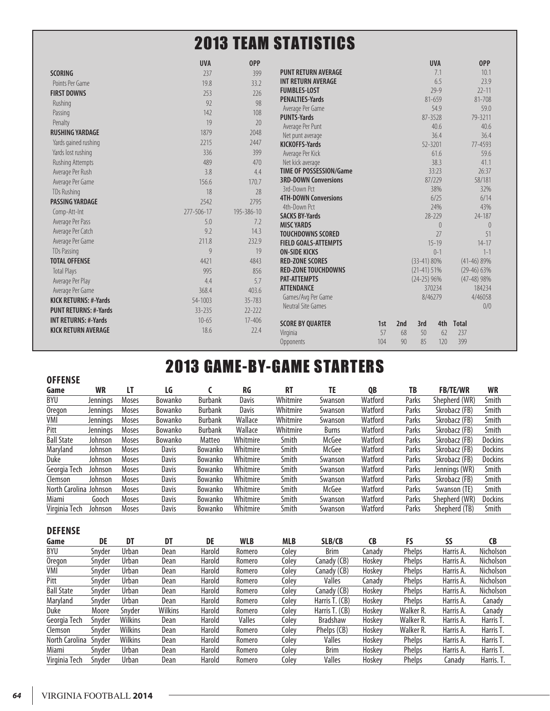### 2013 TEAM STATISTICS

|                              | <b>UVA</b> | <b>OPP</b> |                                           |     |     |               | <b>UVA</b> | <b>OPP</b>      |
|------------------------------|------------|------------|-------------------------------------------|-----|-----|---------------|------------|-----------------|
| <b>SCORING</b>               | 237        | 399        | <b>PUNT RETURN AVERAGE</b>                |     |     |               | 7.1        | 10.1            |
| Points Per Game              | 19.8       | 33.2       | <b>INT RETURN AVERAGE</b>                 |     |     |               | 6.5        | 23.9            |
| <b>FIRST DOWNS</b>           | 253        | 226        | <b>FUMBLES-LOST</b>                       |     |     |               | $79 - 9$   | $22 - 11$       |
| Rushing                      | 92         | 98         | <b>PENALTIES-Yards</b>                    |     |     |               | 81-659     | 81-708          |
| Passing                      | 142        | 108        | Average Per Game                          |     |     |               | 54.9       | 59.0            |
| Penalty                      | 19         | 20         | <b>PUNTS-Yards</b>                        |     |     | 87-3528       |            | 79-3211         |
| <b>RUSHING YARDAGE</b>       | 1879       | 2048       | Average Per Punt                          |     |     |               | 40.6       | 40.6            |
| Yards gained rushing         | 2215       | 2447       | Net punt average<br><b>KICKOFFS-Yards</b> |     |     | 52-3201       | 36.4       | 36.4<br>77-4593 |
| Yards lost rushing           | 336        | 399        | Average Per Kick                          |     |     |               | 61.6       | 59.6            |
| <b>Rushing Attempts</b>      | 489        | 470        | Net kick average                          |     |     |               | 38.3       | 41.1            |
| Average Per Rush             | 3.8        | 4.4        | <b>TIME OF POSSESSION/Game</b>            |     |     |               | 33:23      | 26:37           |
| Average Per Game             | 156.6      | 170.7      | <b>3RD-DOWN Conversions</b>               |     |     |               | 87/229     | 58/181          |
| <b>TDs Rushing</b>           | 18         | 28         | 3rd-Down Pct                              |     |     |               | 38%        | 32%             |
| <b>PASSING YARDAGE</b>       | 2542       | 2795       | <b>4TH-DOWN Conversions</b>               |     |     |               | 6/25       | 6/14            |
|                              | 277-506-17 | 195-386-10 | 4th-Down Pct                              |     |     |               | 24%        | 43%             |
| Comp-Att-Int                 |            |            | <b>SACKS BY-Yards</b>                     |     |     |               | 28-229     | 24-187          |
| Average Per Pass             | 5.0        | 7.2        | <b>MISC YARDS</b>                         |     |     |               | $\left($   | $\theta$        |
| Average Per Catch            | 9.2        | 14.3       | <b>TOUCHDOWNS SCORED</b>                  |     |     |               | 27         | 51              |
| Average Per Game             | 211.8      | 232.9      | <b>FIELD GOALS-ATTEMPTS</b>               |     |     |               | $15 - 19$  | $14 - 17$       |
| <b>TDs Passing</b>           | 9          | 19         | <b>ON-SIDE KICKS</b>                      |     |     |               | $0 - 1$    | $1 - 1$         |
| <b>TOTAL OFFENSE</b>         | 4421       | 4843       | <b>RED-ZONE SCORES</b>                    |     |     | $(33-41) 80%$ |            | $(41-46)89%$    |
| <b>Total Plays</b>           | 995        | 856        | <b>RED-ZONE TOUCHDOWNS</b>                |     |     | $(21-41)$ 51% |            | $(29-46)$ 63%   |
| Average Per Play             | 4.4        | 5.7        | <b>PAT-ATTEMPTS</b>                       |     |     | $(24-25)$ 96% |            | $(47-48)98%$    |
| Average Per Game             | 368.4      | 403.6      | <b>ATTENDANCE</b>                         |     |     |               | 370234     | 184234          |
| <b>KICK RETURNS: #-Yards</b> | 54-1003    | 35-783     | Games/Avg Per Game<br>Neutral Site Games  |     |     | 8/46279       |            | 4/46058<br>0/0  |
| <b>PUNT RETURNS: #-Yards</b> | 33-235     | $77 - 777$ |                                           |     |     |               |            |                 |
| <b>INT RETURNS: #-Yards</b>  | $10 - 65$  | 17-406     | <b>SCORE BY QUARTER</b>                   | 1st | 2nd | 3rd           | 4th        | <b>Total</b>    |
| <b>KICK RETURN AVERAGE</b>   | 18.6       | 22.4       | Virginia                                  | 57  | 68  | 50            | 62         | 237             |
|                              |            |            | Opponents                                 | 104 | 90  | 85            | 120        | 399             |

# 2013 GAME-BY-GAME STARTERS

#### **OFFENSE Game WR LT LG C RG RT TE QB TB FB/TE/WR WR** BYU Jennings Moses Bowanko Burbank Davis Whitmire Swanson Watford Parks Shepherd (WR) Smith Oregon Jennings Moses Bowanko Burbank Davis Whitmire Swanson Watford Parks Skrobacz (FB) Smith VMI Jennings Moses Bowanko Burbank Wallace Whitmire Swanson Watford Parks Skrobacz (FB) Smith Pitt Jennings Moses Bowanko Burbank Wallace Whitmire Burns Watford Parks Skrobacz (FB) Smith Ball State Johnson Moses Bowanko Matteo Whitmire Smith McGee Watford Parks Skrobacz (FB) Dockins Maryland Johnson Moses Davis Bowanko Whitmire Smith McGee Watford Parks Skrobacz (FB) Dockins Duke Johnson Moses Davis Bowanko Whitmire Smith Swanson Watford Parks Skrobacz (FB) Dockins Georgia Tech Johnson Moses Davis Bowanko Whitmire Smith Swanson Watford Parks Jennings (WR) Smith Clemson Johnson Moses Davis Bowanko Whitmire Smith Swanson Watford Parks Skrobacz (FB) Smith North Carolina Johnson Moses Davis Bowanko Whitmire Smith McGee Watford Parks Swanson (TE) Smith Miami Gooch Moses Davis Bowanko Whitmire Smith Swanson Watford Parks Shepherd (WR) Dockins Virginia Tech Johnson Moses Davis Bowanko Whitmire Smith Swanson Watford Parks Shepherd (TB) Smith

#### **DEFENSE**

| Game              | DE     | DT             | DT             | DE     | <b>WLB</b>    | <b>MLB</b> | SLB/CB          | <b>CB</b> | FS            | SS        | CB               |
|-------------------|--------|----------------|----------------|--------|---------------|------------|-----------------|-----------|---------------|-----------|------------------|
| BYU               | Snyder | Urban          | Dean           | Harold | Romero        | Colev      | <b>Brim</b>     | Canadv    | Phelps        | Harris A. | Nicholson        |
| Oregon            | Snyder | <b>Urban</b>   | Dean           | Harold | Romero        | Coley      | Canady (CB)     | Hoskey    | <b>Phelps</b> | Harris A. | Nicholson        |
| VMI               | Snvder | <b>Urban</b>   | Dean           | Harold | Romero        | Colev      | Canady (CB)     | Hoskey    | <b>Phelps</b> | Harris A. | Nicholson        |
| Pitt              | Snyder | <b>Urban</b>   | Dean           | Harold | Romero        | Colev      | <b>Valles</b>   | Canadv    | <b>Phelps</b> | Harris A. | <b>Nicholson</b> |
| <b>Ball State</b> | Snyder | <b>Urban</b>   | <b>Dean</b>    | Harold | Romero        | Colev      | Canady (CB)     | Hoskey    | <b>Phelps</b> | Harris A. | <b>Nicholson</b> |
| Maryland          | Snyder | <b>Urban</b>   | Dean           | Harold | Romero        | Colev      | Harris T. (CB)  | Hoskey    | <b>Phelps</b> | Harris A. | Canadv           |
| <b>Duke</b>       | Moore  | Snyder         | <b>Wilkins</b> | Harold | Romero        | Colev      | Harris T. (CB)  | Hoskey    | Walker R.     | Harris A. | Canadv           |
| Georgia Tech      | Snyder | <b>Wilkins</b> | Dean           | Harold | <b>Valles</b> | Colev      | <b>Bradshaw</b> | Hoskey    | Walker R.     | Harris A. | Harris T.        |
| Clemson           | Snyder | <b>Wilkins</b> | Dean           | Harold | Romero        | Colev      | Phelps (CB)     | Hoskey    | Walker R.     | Harris A. | Harris T.        |
| North Carolina    | Snyder | <b>Wilkins</b> | Dean           | Harold | Romero        | Colev      | <b>Valles</b>   | Hoskey    | <b>Phelps</b> | Harris A. | Harris T.        |
| Miami             | Snyder | <b>Urban</b>   | Dean           | Harold | Romero        | Colev      | <b>Brim</b>     | Hoskey    | <b>Phelps</b> | Harris A. | Harris T.        |
| Virginia Tech     | Snyder | Urban          | Dean           | Harold | Romero        | Colev      | <b>Valles</b>   | Hoskey    | <b>Phelps</b> | Canadv    | Harris. T.       |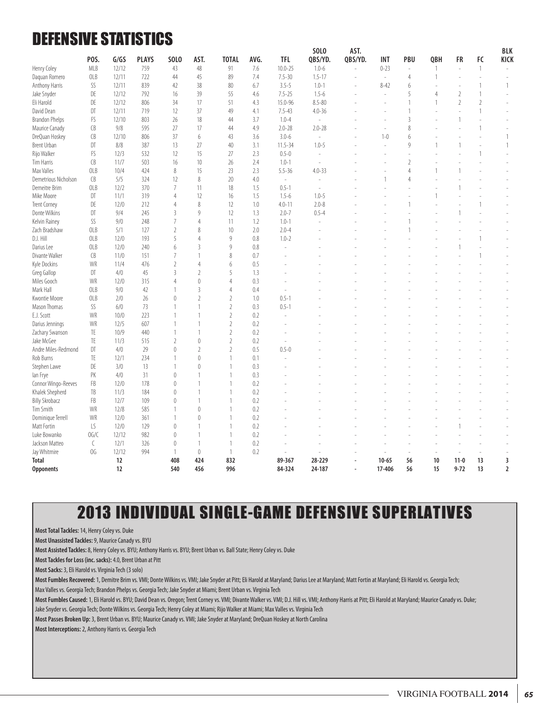### DEFENSIVE STATISTICS

|                       |               |       |              |                  |                  |                |      |                | SOL <sub>0</sub>         | AST.                     |            |                |     |                          |                          | BLK                      |
|-----------------------|---------------|-------|--------------|------------------|------------------|----------------|------|----------------|--------------------------|--------------------------|------------|----------------|-----|--------------------------|--------------------------|--------------------------|
|                       | POS.          | G/GS  | <b>PLAYS</b> | SOL <sub>0</sub> | AST.             | <b>TOTAL</b>   | AVG. | <b>TFL</b>     | QBS/YD.                  | QBS/YD.                  | <b>INT</b> | PBU            | QBH | FR                       | FC                       | KICK                     |
| Henry Coley           | <b>MLB</b>    | 12/12 | 759          | 43               | 48               | 91             | 7.6  | $10.0 - 25$    | $1.0 - 6$                |                          | $0 - 23$   | ÷,             | 1   | $\sim$                   | $\mathbf{1}$             |                          |
| Daguan Romero         | OLB           | 12/11 | 722          | 44               | 45               | 89             | 7.4  | $7.5 - 30$     | $1.5 - 17$               |                          | $\omega$   | $\overline{4}$ |     | J.                       | ÷,                       |                          |
| Anthony Harris        | SS            | 12/11 | 839          | 42               | 38               | 80             | 6.7  | $3.5 - 5$      | $1.0 - 1$                |                          | $8 - 42$   | 6              |     | $\overline{\phantom{a}}$ | $\mathbf{1}$             | $\mathbf{1}$             |
| Jake Snyder           | DE            | 12/12 | 792          | 16               | 39               | 55             | 4.6  | $7.5 - 25$     | $1.5 - 6$                |                          | ÷.         | 5              | 4   | $\overline{2}$           | $\mathbf{1}$             |                          |
| Eli Harold            | DE            | 12/12 | 806          | 34               | 17               | 51             | 4.3  | 15.0-96        | $8.5 - 80$               |                          | ÷.         | $\overline{1}$ |     | $\overline{2}$           | $\overline{2}$           | $\overline{\phantom{a}}$ |
| David Dean            | DT            | 12/11 | 719          | 12               | 37               | 49             | 4.1  | $7.5 - 43$     | $4.0 - 36$               |                          |            | $\overline{1}$ |     | ÷.                       | $\mathbf{1}$             |                          |
| <b>Brandon Phelps</b> | FS            | 12/10 | 803          | 26               | 18               | 44             | 3.7  | $1.0 - 4$      | $\overline{\phantom{a}}$ |                          | ÷,         | $\overline{3}$ |     | $\mathbf{1}$             | ÷,                       |                          |
| Maurice Canady        | CB            | 9/8   | 595          | 27               | 17               | 44             | 4.9  | $2.0 - 28$     | $2.0 - 28$               |                          |            | 8              |     |                          | $\mathbf{1}$             |                          |
| DreQuan Hoskey        | CB            | 12/10 | 806          | 37               | 6                | 43             | 3.6  | $3.0 - 6$      |                          |                          | $1 - 0$    | 6              |     | Ĭ.                       |                          | 1                        |
| <b>Brent Urban</b>    | DT            | 8/8   | 387          | 13               | 27               | 40             | 3.1  | $11.5 - 34$    | $1.0 - 5$                |                          | L.         | 9              |     | 1                        |                          | $\mathbf{1}$             |
| Rijo Walker           | FS            | 12/3  | 532          | 12               | 15               | 27             | 2.3  | $0.5 - 0$      | ÷,                       |                          | ٠          |                |     |                          | $\mathbf{1}$             |                          |
| Tim Harris            | CB            | 11/7  | 503          | 16               | 10               | 26             | 2.4  | $1.0 - 1$      | L,                       |                          |            | $\overline{2}$ |     |                          |                          |                          |
| Max Valles            | OLB           | 10/4  | 424          | 8                | 15               | 23             | 2.3  | $5.5 - 36$     | $4.0 - 33$               |                          |            | $\overline{4}$ |     | $\mathbf{1}$             | $\overline{\phantom{a}}$ |                          |
| Demetrious Nicholson  | CB            | 5/5   | 324          | 12               | $\,8\,$          | 20             | 4.0  | L.             | ÷,                       |                          |            | $\overline{4}$ |     |                          |                          |                          |
| Demeitre Brim         | OLB           | 12/2  | 370          | $\overline{7}$   | 11               | 18             | 1.5  | $0.5 - 1$      | $\sim$                   |                          |            |                |     | $\mathbf{1}$             |                          |                          |
| Mike Moore            | DT            | 11/1  | 319          | 4                | 12               | 16             | 1.5  | $1.5 - 6$      | $1.0 - 5$                |                          |            |                |     |                          |                          |                          |
| Trent Corney          | DE            | 12/0  | 212          | 4                | $\,8\,$          | 12             | 1.0  | $4.0 - 11$     | $2.0 - 8$                |                          |            | $\overline{1}$ |     | ÷,                       | $\mathbf{1}$             |                          |
| Donte Wilkins         | DT            | 9/4   | 245          | 3                | 9                | 12             | 1.3  | $2.0 - 7$      | $0.5 - 4$                |                          |            |                |     |                          |                          |                          |
| Kelvin Rainey         | SS            | 9/0   | 248          | 7                | $\overline{4}$   | 11             | 1.2  | $1.0 - 1$      | L.                       |                          |            |                |     |                          |                          |                          |
| Zach Bradshaw         | OLB           | 5/1   | 127          | $\overline{2}$   | 8                | 10             | 2.0  | $2.0 - 4$      |                          |                          |            |                |     |                          |                          |                          |
| D.J. Hill             | OLB           | 12/0  | 193          | 5                | $\overline{4}$   | 9              | 0.8  | $1.0 - 2$      |                          |                          |            |                |     | Ĭ.                       | $\mathbf{1}$             |                          |
| Darius Lee            | OLB           | 12/0  | 240          | 6                | 3                | 9              | 0.8  | $\overline{a}$ |                          |                          |            |                |     |                          |                          |                          |
| Divante Walker        | CB            | 11/0  | 151          | 7                | $\mathbf{1}$     | 8              | 0.7  |                |                          |                          |            |                |     |                          | $\mathbf{1}$             |                          |
| Kyle Dockins          | WR            | 11/4  | 476          | $\overline{2}$   | $\overline{4}$   | 6              | 0.5  |                |                          |                          |            |                |     |                          |                          |                          |
| Greg Gallop           | DT            | 4/0   | 45           | $\overline{3}$   | $\overline{2}$   | 5              | 1.3  |                |                          |                          |            |                |     |                          |                          |                          |
| Miles Gooch           | WR            | 12/0  | 315          | 4                | $\mathbf{0}$     | 4              | 0.3  |                |                          |                          |            |                |     |                          |                          |                          |
| Mark Hall             | OLB           | 9/0   | 42           |                  | 3                | 4              | 0.4  | L,             |                          |                          |            |                |     |                          |                          |                          |
| Kwontie Moore         | OLB           | 2/0   | 26           | $\theta$         | $\overline{2}$   | $\overline{2}$ | 1.0  | $0.5 - 1$      |                          |                          |            |                |     |                          |                          |                          |
| Mason Thomas          | SS            | 6/0   | 73           |                  | $\mathbf{1}$     | $\overline{2}$ | 0.3  | $0.5 - 1$      |                          |                          |            |                |     |                          |                          |                          |
| E.J. Scott            | WR            | 10/0  | 223          |                  |                  | $\sqrt{2}$     | 0.2  | L.             |                          |                          |            |                |     |                          |                          |                          |
| Darius Jennings       | WR            | 12/5  | 607          |                  | $\mathbf{1}$     | $\sqrt{2}$     | 0.2  |                |                          |                          |            |                |     |                          |                          |                          |
| Zachary Swanson       | TE            | 10/9  | 440          |                  | $\mathbf{1}$     | $\overline{2}$ | 0.2  |                |                          |                          |            |                |     |                          |                          |                          |
| Jake McGee            | TE            | 11/3  | 515          | $\overline{2}$   | $\mathbb O$      | $\overline{2}$ | 0.2  | L.             |                          |                          |            |                |     |                          |                          |                          |
| Andre Miles-Redmond   | DT            | 4/0   | 29           | $\theta$         | $\overline{2}$   | $\overline{2}$ | 0.5  | $0.5 - 0$      |                          |                          |            |                |     |                          |                          |                          |
| Rob Burns             | TE            | 12/1  | 234          |                  | $\left( \right)$ | 1              | 0.1  | ÷,             |                          |                          |            |                |     |                          |                          |                          |
| Stephen Lawe          | DE            | 3/0   | 13           |                  | $\theta$         | 1              | 0.3  |                |                          |                          |            |                |     |                          |                          |                          |
| lan Frye              | PK            | 4/0   | 31           | $\left( \right)$ | $\mathbf{1}$     | 1              | 0.3  |                |                          |                          |            |                |     |                          |                          |                          |
| Connor Wingo-Reeves   | FB            | 12/0  | 178          | $\theta$         | $\mathbf{1}$     | 1              | 0.2  |                |                          |                          |            |                |     |                          |                          |                          |
| Khalek Shepherd       | TB            | 11/3  | 184          | $\mathbf{0}$     | $\mathbf{1}$     | 1              | 0.2  |                |                          |                          |            |                |     |                          |                          |                          |
| <b>Billy Skrobacz</b> | FB            | 12/7  | 109          | $\theta$         | $\mathbf{1}$     | 1              | 0.2  |                |                          |                          |            |                |     |                          |                          |                          |
| Tim Smith             | WR            | 12/8  | 585          | $\mathbf{1}$     | $\mathbf{0}$     | 1              | 0.2  |                |                          |                          |            |                |     |                          |                          |                          |
|                       | WR            | 12/0  | 361          |                  | $\theta$         | 1              | 0.2  |                |                          |                          |            |                |     |                          |                          |                          |
| Dominique Terrell     |               |       |              |                  | $\mathbf{1}$     | 1              |      |                |                          |                          |            |                |     |                          |                          |                          |
| Matt Fortin           | LS            | 12/0  | 129          | $\mathbf{0}$     |                  |                | 0.2  |                |                          |                          |            |                |     | 1                        |                          |                          |
| Luke Bowanko          | 0G/C          | 12/12 | 982          | $\mathbf{0}$     | $\mathbf{1}$     | 1              | 0.2  |                |                          |                          |            |                |     |                          |                          |                          |
| Jackson Matteo        | $\mathcal{C}$ | 12/1  | 326          | $\theta$         | $\mathbf{1}$     | 1              | 0.2  |                |                          |                          |            |                |     | ÷,                       |                          |                          |
| Jay Whitmire          | OG            | 12/12 | 994          | $\mathbf{1}$     | $\mathbf{0}$     | $\mathbf{1}$   | 0.2  | $\overline{a}$ |                          |                          | L.         | i.             | ÷.  | ÷,                       | $\sim$                   |                          |
| <b>Total</b>          |               | 12    |              | 408              | 424              | 832            |      | 89-367         | 28-229                   |                          | $10 - 65$  | 56             | 10  | $11 - 0$                 | 13                       | 3                        |
| <b>Opponents</b>      |               | 12    |              | 540              | 456              | 996            |      | 84-324         | 24-187                   | $\overline{\phantom{a}}$ | 17-406     | 56             | 15  | $9 - 72$                 | 13                       | $\overline{2}$           |

### 2013 INDIVIDUAL SINGLE-GAME DEFENSIVE SUPERLATIVES

**Most Total Tackles:** 14, Henry Coley vs. Duke

**Most Unassisted Tackles:** 9, Maurice Canady vs. BYU

**Most Assisted Tackles:** 8, Henry Coley vs. BYU; Anthony Harris vs. BYU; Brent Urban vs. Ball State; Henry Coley vs. Duke

**Most Tackles for Loss (inc. sacks):** 4.0, Brent Urban at Pitt

**Most Sacks:** 3, Eli Harold vs. Virginia Tech (3 solo)

**Most Fumbles Recovered:** 1, Demitre Brim vs. VMI; Donte Wilkins vs. VMI; Jake Snyder at Pitt; Eli Harold at Maryland; Darius Lee at Maryland; Matt Fortin at Maryland; Eli Harold vs. Georgia Tech; Max Valles vs. Georgia Tech; Brandon Phelps vs. Georgia Tech; Jake Snyder at Miami; Brent Urban vs. Virginia Tech

**Most Fumbles Caused:** 1, Eli Harold vs. BYU; David Dean vs. Oregon; Trent Corney vs. VMI; Divante Walker vs. VMI; D.J. Hill vs. VMI; Anthony Harris at Pitt; Eli Harold at Maryland; Maurice Canady vs. Duke;

Jake Snyder vs. Georgia Tech; Donte Wilkins vs. Georgia Tech; Henry Coley at Miami; Rijo Walker at Miami; Max Valles vs. Virginia Tech

**Most Passes Broken Up:** 3, Brent Urban vs. BYU; Maurice Canady vs. VMI; Jake Snyder at Maryland; DreQuan Hoskey at North Carolina

**Most Interceptions:** 2, Anthony Harris vs. Georgia Tech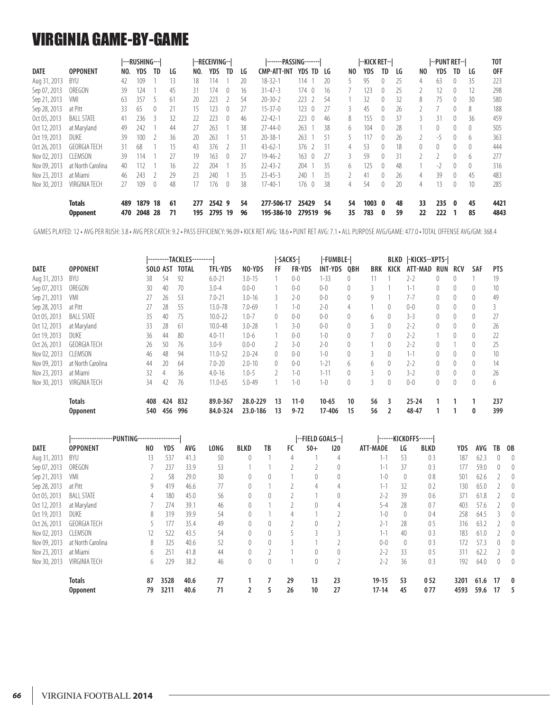### VIRGINIA GAME-BY-GAME

|              |                                  |            | ---RUSHING---   |           |          |            | --RECEIVING--  |                  |          | -------PASSING-------    |                         |          |          | --KICK RET--l |                  |                |          | --PUNT RET-- |                  |              | T <sub>0</sub> T |
|--------------|----------------------------------|------------|-----------------|-----------|----------|------------|----------------|------------------|----------|--------------------------|-------------------------|----------|----------|---------------|------------------|----------------|----------|--------------|------------------|--------------|------------------|
| <b>DATE</b>  | <b>OPPONENT</b>                  | NO.        | YDS             | <b>TD</b> | LG       | NO.        | YDS            | <b>TD</b>        | LG       | <b>CMP-ATT-INT</b>       | <b>YDS TD</b>           | LG       | NO.      | YDS           | TD               | LG             | NO       | YDS          | TD               | LG           | 0FF              |
| Aug 31, 2013 | BYU                              | 42         | 109             |           | 13       | 18         | 114            |                  | 20       | $18 - 32 - 1$            | 114                     | 20       |          | 95            |                  | 25             | 4        | 63           | $\left($         | 35           | 223              |
| Sep 07, 2013 | OREGON                           | 39         | 124             |           | 45       | 31         | 174            | $\theta$         | 16       | $31 - 47 - 3$            | $174 \quad 0$           | 16       |          | 123           | $\left( \right)$ | 25             |          | 12           | $\theta$         | 12           | 298              |
| Sep 21, 2013 | VMI                              | 63         | 357             |           | 61       | 20         | 223            |                  | -54      | $20 - 30 - 2$            | 223                     | -54      |          | 32            | $\left($         | 32             | 8        | 75           | $\left($         | 30           | 580              |
| Sep 28, 2013 | at Pitt                          | 33         | 65              | $\theta$  | 21       | 15         | 123            | $\left( \right)$ | 27       | $15 - 37 - 0$            | 123<br>$\left($         | 27       | 3        | 45            | $\left($         | 26             |          |              | $\left( \right)$ | 8            | 188              |
| Oct 05, 2013 | <b>BALL STATE</b>                | 41         | 236             | र         | 32       | 22         | 223            | $\left( \right)$ | 46       | $22 - 42 - 1$            | 223<br>$\bigcirc$       | 46       | 8        | 155           | $\Omega$         | 37             | 3.       | 31           | $\Omega$         | 36           | 459              |
| Oct 12, 2013 | at Maryland                      | 49         | 242             |           | 44       | 27         | 263            |                  | 38       | $77 - 44 - 0$            | 263                     | 38       | 6        | 104           | $\Omega$         | 28             |          | 0            | $\Omega$         | $\Omega$     | 505              |
| Oct 19, 2013 | <b>DUKE</b>                      | 39         | 100             |           | 36       | 20         | 263            |                  | 51       | $20 - 38 - 1$            | 263                     | 51       |          | 117           |                  | 26             |          | $-5$         | $\Omega$         | h.           | 363              |
| Oct 26, 2013 | <b>GEORGIA TECH</b>              | 31         | 68              |           | 15       | 43         | 376            |                  | 31       | $43 - 62 - 1$            | 376                     | 31       | 4        | 53            | $\left($         | 18             | $\Omega$ | 0            | $\left($         |              | 444              |
| Nov 02, 2013 | CLEMSON                          | 39         | 114             |           | 27       | 19         | 163            | $^{0}$           | 27       | $19 - 46 - 2$            | 163<br>$\left( \right)$ | 27       | 3        | 59            | $\left($         | 31             |          |              | $\left($         | <sub>b</sub> | 277              |
| Nov 09, 2013 | at North Carolina                | 40         | 112             |           | 16       | 22         | 204            |                  | 35       | $22 - 43 - 2$            | 204                     | 35       | 6        | 125           | $\Omega$         | 48             |          | -2           | $\left( \right)$ | $\Omega$     | 316              |
| Nov 23, 2013 | at Miami                         | 46         | 243             |           | 29       | 23         | 240            |                  | 35       | $23 - 45 - 3$            | 240                     | 35       |          | 41            | $\Omega$         | $\frac{26}{5}$ | 4        | 39           | $\Omega$         | 45           | 483              |
| Nov 30, 2013 | VIRGINIA TECH                    | 27         | 109             | $\theta$  | 48       | 17         | 176            | $\left( \right)$ | 38       | $17 - 40 - 1$            | 176<br>$\left( \right)$ | 38       | 4        | 54            | $\left( \right)$ | 20             | 4        | 13           | $\left($         | 10           | 285              |
|              | <b>Totals</b><br><b>Opponent</b> | 489<br>470 | 1879<br>2048 28 | 18        | 61<br>71 | 277<br>195 | 2542 9<br>2795 | 19               | 54<br>96 | 277-506-17<br>195-386-10 | 25429<br>279519         | 54<br>96 | 54<br>35 | 1003<br>783   | 0<br>0           | 48<br>59       | 33<br>22 | 235<br>222   | - 0              | 45<br>85     | 4421<br>4843     |

GAMES PLAYED: 12 • AVG PER RUSH: 3.8 • AVG PER CATCH: 9.2 • PASS EFFICIENCY: 96.09 • KICK RET AVG: 18.6 • PUNT RET AVG: 7.1 • ALL PURPOSE AVG/GAME: 477.0 • TOTAL OFFENSE AVG/GM: 368.4

|              |                      |          |     | ---------TACKLES--------- |                |            | -SACKS-  |               | -FUMBLE-       |            |     | BLKD             | -KICKS--XPTS- |                  |                |                  |            |
|--------------|----------------------|----------|-----|---------------------------|----------------|------------|----------|---------------|----------------|------------|-----|------------------|---------------|------------------|----------------|------------------|------------|
| DATE         | <b>OPPONENT</b>      | SOLO AST |     | <b>TOTAL</b>              | <b>TFL-YDS</b> | NO-YDS     | FF       | <b>FR-YDS</b> | <b>INT-YDS</b> | <b>OBH</b> | BRK | KICK             | ATT-MAD       | <b>RUN</b>       | <b>RCV</b>     | SAF              | <b>PTS</b> |
| Aug 31, 2013 | BYU                  | 38       | 54  | 92                        | $6.0 - 21$     | $3.0 - 15$ |          | $0 - 0$       | $1 - 33$       | 0          | 11  |                  | $2 - 2$       | 0                |                |                  | 19         |
| Sep 07, 2013 | OREGON               | 30       | 40  | 70                        | $3.0 - 4$      | $0.0 - 0$  |          | $0 - 0$       | $0-0$          | 0          | 3   |                  | $1 - 1$       | $\left( \right)$ | $^{0}$         | $\left( \right)$ | 10         |
| Sep 21, 2013 | VMI                  | 27       | 26  | -53                       | $7.0 - 21$     | $3.0 - 16$ | 3        | $2 - 0$       | $0 - 0$        | 0          | 9   |                  | $7 - 7$       | $\overline{0}$   | $\overline{0}$ | $\left( \right)$ | 49         |
| Sep 28, 2013 | at Pitt              | 27       | 28  | 55                        | 13.0-78        | $7.0 - 69$ |          | $1 - 0$       | $2 - 0$        | 4          |     | $\theta$         | $0 - 0$       | 0                |                | $\mathbf{0}$     |            |
| Oct 05, 2013 | <b>BALL STATE</b>    | 35       | 40  | 75                        | $10.0 - 22$    | $1.0 - 7$  | $\theta$ | $0 - 0$       | $0 - 0$        | 0          | 6   | $\left( \right)$ | $3 - 3$       | $\theta$         |                | $\left( \right)$ | 27         |
| Oct 12, 2013 | at Maryland          | 33       | 28  | 61                        | $10.0 - 48$    | $3.0 - 28$ |          | $3 - 0$       | $0 - 0$        | 0          | 3   | 0                | $2 - 2$       | 0                |                | $\mathbf{0}$     | 26         |
| Oct 19, 2013 | DUKE                 | 36       | 44  | 80                        | $4.0 - 11$     | $1.0 - 6$  |          | $0 - 0$       | $1 - 0$        | 0          |     | $\theta$         | $2 - 2$       |                  |                | $\left( \right)$ | 22         |
| Oct 26, 2013 | <b>GEORGIA TECH</b>  | 26       | 50  | 76                        | $3.0 - 9$      | $0.0 - 0$  |          | $3 - 0$       | $2 - 0$        | 0          |     | $\theta$         | $2 - 2$       | 0                |                | $\left( \right)$ | 25         |
| Nov 02, 2013 | <b>CLEMSON</b>       | 46       | 48  | 94                        | $11.0 - 52$    | $2.0 - 24$ | $\Omega$ | $0 - 0$       | $1-0$          | 0          | 3   | $\left( \right)$ | $1 - 1$       | $\left( \right)$ | $\overline{0}$ | $\left( \right)$ | 10         |
| Nov 09, 2013 | at North Carolina    | 44       | 20  | 64                        | $7.0 - 20$     | $2.0 - 10$ | $\theta$ | $0 - 0$       | $1 - 21$       | 6          | 6   | $\theta$         | $2 - 2$       | 0                | $\Omega$       | $\left( \right)$ | 14         |
| Nov 23, 2013 | at Miami             | 32       | 4   | 36                        | $4.0 - 16$     | $1.0 - 5$  |          | $1 - 0$       | $1 - 11$       | 0          | 3   | $\left( \right)$ | $3 - 2$       | 0                |                | $\left( \right)$ | 26         |
| Nov 30, 2013 | <b>VIRGINIA TECH</b> | 34       | 42  | 76                        | $11.0 - 65$    | $5.0 - 49$ |          | $1 - 0$       | $1 - 0$        | 0          |     | $\left( \right)$ | $0 - 0$       | $\theta$         |                | $\theta$         | 6          |
|              | <b>Totals</b>        | 408      | 424 | 832                       | 89.0-367       | 28.0-229   | 13       | $11 - 0$      | $10 - 65$      | 10         | 56  | 3                | $25 - 24$     |                  |                |                  | 237        |
|              | <b>Opponent</b>      | 540      | 456 | 996                       | 84.0-324       | 23.0-186   | 13       | $9 - 72$      | 17-406         | 15         | 56  |                  | 48-47         |                  |                | 0                | 399        |

|              | ------------------PUNTING------------------ |                |      |      |             |                  |          |    | --FIELD GOALS-- |     |           |          | ------KICKOFFS------ |      |      |    |                  |
|--------------|---------------------------------------------|----------------|------|------|-------------|------------------|----------|----|-----------------|-----|-----------|----------|----------------------|------|------|----|------------------|
| <b>DATE</b>  | <b>OPPONENT</b>                             | N <sub>0</sub> | YDS  | AVG  | <b>LONG</b> | <b>BLKD</b>      | TB       | FC | $50+$           | 120 | ATT-MADE  | LG       | <b>BLKD</b>          | YDS  | AVG  | TB | - OB             |
| Aug 31, 2013 | BYU                                         | 13             | 537  | 41.3 | 50          |                  |          | 4  |                 | 4   | $1 - 1$   | 53       | 03                   | 187  | 62.3 | 0  | $\mathbf{0}$     |
| Sep 07, 2013 | OREGON                                      |                | 237  | 33.9 | 53          |                  |          |    |                 |     | $1 - 1$   | 37       | 0 <sub>3</sub>       | 177  | 59.0 | 0  | $\left($         |
| Sep 21, 2013 | VMI                                         |                | 58   | 29.0 | 30          |                  | $\theta$ |    |                 |     | $1 - 0$   | 0        | 08                   | 501  | 62.6 |    | 0                |
| Sep 28, 2013 | at Pitt                                     | 9              | 419  | 46.6 | 77          |                  |          |    | 4               | 4   | $1 - 1$   | 32       | 0 <sub>2</sub>       | 130  | 65.0 |    | $\mathbf{0}$     |
| Oct 05, 2013 | <b>BALL STATE</b>                           | 4              | 180  | 45.0 | 56          | $\theta$         | 0        |    |                 |     | $2 - 2$   | 39       | 06                   | 371  | 61.8 |    | $\mathbf{0}$     |
| Oct 12, 2013 | at Maryland                                 |                | 274  | 39.1 | 46          |                  |          |    |                 |     | $5 - 4$   | 28       | 07                   | 403  | 57.6 |    | $\left($         |
| Oct 19, 2013 | <b>DUKE</b>                                 | 8              | 319  | 39.9 | 54          |                  |          |    |                 |     | $1 - 0$   | $\theta$ | 04                   | 258  | 64.5 |    | $\left($         |
| Oct 26, 2013 | <b>GEORGIA TECH</b>                         |                | 177  | 35.4 | 49          |                  | 0        |    | 0               |     | $2 - 1$   | 28       | 0 <sub>5</sub>       | 316  | 63.2 |    | 0                |
| Nov 02, 2013 | CLEMSON                                     | 12             | 522  | 43.5 | 54          |                  | 0        |    |                 |     | $1 - 1$   | 40       | 0 <sub>3</sub>       | 183  | 61.0 |    | $\left($         |
| Nov 09, 2013 | at North Carolina                           | 8              | 325  | 40.6 | 52          | $\left( \right)$ | $\theta$ | ζ  |                 |     | $0 - 0$   | $\left($ | 0 <sub>3</sub>       | 172  | 57.3 | 0  | $\left($         |
| Nov 23, 2013 | at Miami                                    | 6              | 251  | 41.8 | 44          |                  |          |    |                 |     | $2 - 2$   | 33       | 0 <sub>5</sub>       | 311  | 62.2 |    | $\theta$         |
| Nov 30, 2013 | VIRGINIA TECH                               | 6              | 229  | 38.2 | 46          |                  | $\theta$ |    | $\theta$        |     | $2 - 2$   | 36       | 03                   | 192  | 64.0 | 0  | $\left( \right)$ |
|              | <b>Totals</b>                               | 87             | 3528 | 40.6 | 77          |                  |          | 29 | 13              | 23  | $19 - 15$ | 53       | 052                  | 3201 | 61.6 | 17 | $\mathbf{0}$     |
|              | <b>Opponent</b>                             | 79             | 3211 | 40.6 | 71          |                  | 5        | 26 | 10              | 27  | $17 - 14$ | 45       | 077                  | 4593 | 59.6 | 17 | 5                |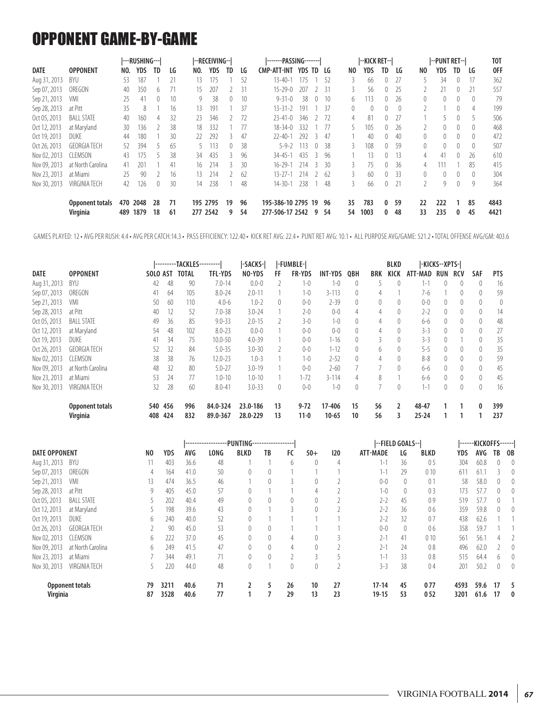### OPPONENT GAME-BY-GAME

|              |                     |     | ---RUSHING--- |           |    |          | --RECEIVING-- |    |     | -------PASSING------- |        |                  |      |    | --KICK RET--     |                  |          |                | --PUNT RET--I |           |                  | <b>TOT</b> |
|--------------|---------------------|-----|---------------|-----------|----|----------|---------------|----|-----|-----------------------|--------|------------------|------|----|------------------|------------------|----------|----------------|---------------|-----------|------------------|------------|
| <b>DATE</b>  | <b>OPPONENT</b>     | NO. | YDS           | <b>TD</b> | LG | NO.      | <b>YDS</b>    | TD | LG  | <b>CMP-ATT-INT</b>    | YDS TD |                  | LG   | NO | YDS              | TD.              | LG       | NO             | YDS           | <b>TD</b> | LG               | <b>OFF</b> |
| Aug 31, 2013 | BYU                 | -53 | 187           |           | 21 | 13       | 175           |    | 52  | $13 - 40 - 1$         | 175    |                  | -52  |    | 66               | 0                | 27       |                | 34            | 0         | 17               | 362        |
| Sep 07, 2013 | OREGON              | 40  | 350           | b.        |    | 15       | 207           |    | 31  | $15 - 29 - 0$         | 207    |                  | 2 31 |    | 56               | 0                | 25       |                | 21            | 0         | 21               | 557        |
| Sep 21, 2013 | VMI                 | 25  | 41            | $\theta$  | 10 | 9        | 38            | 0  | 10  | $9 - 31 - 0$          | 38     | $\left( \right)$ | -10  | 6. | 113              | $\overline{0}$   | 26       | $\overline{0}$ | $^{0}$        | 0         | $\theta$         | 79         |
| Sep 28, 2013 | at Pitt             | 35  | 8             |           | 16 | 13       | 191           |    | 37  | $13 - 31 - 2$         | 191    |                  | - 37 | 0  | $\left( \right)$ | 0                | $\left($ |                |               | 0         | 4                | 199        |
| Oct 05, 2013 | <b>BALL STATE</b>   | 40  | 160           | 4         | 32 | 23       | 346           |    | 72  | $23 - 41 - 0$         | 346    |                  | 2 72 | 4  | 81               | $\theta$         | 27       |                | 5             | 0         |                  | 506        |
| Oct 12, 2013 | at Marvland         | 30  | 136           |           | 38 | 18       | 332           |    | 77  | $18 - 34 - 0$         | 332    |                  |      |    | 105              | 0                | 26       |                | $\theta$      | 0         | $\theta$         | 468        |
| Oct 19, 2013 | <b>DUKE</b>         | 44  | 180           |           | 30 | 77       | 292           |    | 47  | $22 - 40 - 1$         | 292    |                  | 47   |    | 40               | 0                | 40       | $\mathbf{0}$   | $\theta$      | $\theta$  | $\left( \right)$ | 472        |
| Oct 26, 2013 | <b>GEORGIA TECH</b> | 52  | 394           |           | 65 |          | 113           | 0  | -38 | $5 - 9 - 2$           | 13     | $\left( \right)$ | -38  |    | 108              | $\mathbf{0}$     | 59       | $\mathbf{0}$   | 0             | 0         | $\theta$         | 507        |
| Nov 02, 2013 | <b>CLEMSON</b>      | 43  | 175           |           | 38 | 34       | 435           |    | 96  | $34 - 45 - 1$         | 435    | ₹                | 96   |    | 13               | $\theta$         | 13       | $\overline{4}$ | 41            | 0         | 26               | 610        |
| Nov 09, 2013 | at North Carolina   | 41  | 201           |           | 41 | 16.      | 214           |    | 30  | 16-29-1               | 214    | 3                | 30   |    | 75               | $\left( \right)$ | 36       | 4              | 11            |           | 85               | 415        |
| Nov 23, 2013 | at Miami            | 25  | 90            |           | 16 | 13.      | 214           |    | 62  | $13 - 27 - 1$         | 214    |                  | -62  |    | 60               | $\overline{0}$   | 33       | $\Omega$       | $\theta$      | $\theta$  | $\left( \right)$ | 304        |
| Nov 30, 2013 | VIRGINIA TECH       | 42  | 126           | $\theta$  | 30 | 14       | 238           |    | 48  | $14 - 30 - 1$         | 238    |                  | 48   | 3  | 66               | 0                | 21       |                | 9             | 0         | 9                | 364        |
|              | Opponent totals     |     | 470 2048      | 28        | 71 |          | 195 2795      | 19 | 96  | 195-386-10 2795 19    |        |                  | 96   | 35 | 783              | 0                | 59       | 22             | 222           |           | 85               | 4843       |
|              | Virginia            | 489 | 1879          | 18        | 61 | 277 2542 |               | 9  | 54  | 277-506-17 2542       |        | 9                | 54   | 54 | 1003             | 0                | 48       | 33             | 235           | 0         | 45               | 4421       |

GAMES PLAYED: 12 • AVG PER RUSH: 4.4 • AVG PER CATCH:14.3 • PASS EFFICIENCY: 122.40 • KICK RET AVG: 22.4 • PUNT RET AVG: 10.1 • ALL PURPOSE AVG/GAME: 521.2 • TOTAL OFFENSE AVG/GM: 403.6

|              |                        |          |     | ---------TACKLES <sup>.</sup> | -------        | -SACKS-       |    | -FUMBLE-      |           |          |            | BLKD     |           | -KICKS--XPTS-I   |                  |                  |            |
|--------------|------------------------|----------|-----|-------------------------------|----------------|---------------|----|---------------|-----------|----------|------------|----------|-----------|------------------|------------------|------------------|------------|
| DATE         | <b>OPPONENT</b>        | SOLO AST |     | <b>TOTAL</b>                  | <b>TFL-YDS</b> | NO-YDS        | FF | <b>FR-YDS</b> | INT-YDS   | 0BH      | <b>BRK</b> | KICK     | ATT-MAD   | RUN              | <b>RCV</b>       | SAF              | <b>PTS</b> |
| Aug 31, 2013 | BYU                    | 42       | 48  | 90                            | $7.0 - 14$     | $0.0 - 0$     |    | $1 - 0$       | $1 - 0$   | $\left($ |            |          | $1 - 1$   | $\theta$         | $\left( \right)$ | $\theta$         | 16         |
| Sep 07, 2013 | OREGON                 | 41       | 64  | 105                           | $8.0 - 24$     | $2.0 - 1^{-}$ |    | $1 - 0$       | $3 - 113$ | $\theta$ | 4          |          | 7-6       |                  | $\theta$         | $\theta$         | 59         |
| Sep 21, 2013 | VMI                    | 50       | 60  | 110                           | $4.0 - 6$      | $1.0 - 2$     | 0  | $0 - 0$       | $2 - 39$  | $\Omega$ | $\theta$   |          | $0 - 0$   | $\Omega$         | $\theta$         | $\theta$         | 0          |
| Sep 28, 2013 | at Pitt                | 40       | 12  | 52                            | $7.0 - 38$     | $3.0 - 24$    |    | $2-0$         | $0 - 0$   | 4        | 4          |          | $2 - 2$   | $\theta$         | 0                | $\theta$         | 14         |
| Oct 05, 2013 | <b>BALL STATE</b>      | 49       | 36  | 85                            | $9.0 - 33$     | $2.0 - 15$    |    | $3-0$         | $1 - 0$   | $\theta$ | 4          |          | $6 - 6$   | $\theta$         |                  | $\left( \right)$ | 48         |
| Oct 12, 2013 | at Maryland            | 54       | 48  | 102                           | $8.0 - 23$     | $0.0 - 0$     |    | $0 - 0$       | $0 - 0$   | $\theta$ | 4          | 0        | $3 - 3$   | $\theta$         | $^{0}$           | $\theta$         | 27         |
| Oct 19, 2013 | <b>DUKE</b>            | 41       | 34  | 75                            | $10.0 - 50$    | $4.0 - 39$    |    | $0 - 0$       | 1-16      | $\Omega$ | 3          |          | $3-3$     | $\Omega$         |                  | $\left( \right)$ | 35         |
| Oct 26, 2013 | <b>GEORGIA TECH</b>    | 52       | 32  | 84                            | $5.0 - 35$     | $3.0 - 30$    |    | $0 - 0$       | $1 - 12$  | $\Omega$ | 6          |          | $5 - 5$   | $\Omega$         | 0                | $\theta$         | 35         |
| Nov 02, 2013 | CLEMSON                | 38       | 38  | 76                            | $12.0 - 23$    | $1.0 - 3$     |    | $1 - 0$       | $2 - 52$  | $\Omega$ | 4          | $\theta$ | $8 - 8$   | $\left( \right)$ |                  | $\theta$         | 59         |
| Nov 09, 2013 | at North Carolina      | 48       | 32  | 80                            | $5.0 - 27$     | $3.0 - 19$    |    | $0 - 0$       | $2 - 60$  |          |            |          | $6 - 6$   | $\left( \right)$ | $\Omega$         | $\left( \right)$ | 45         |
| Nov 23, 2013 | at Miami               | 53       | 24  | 77                            | $1.0 - 10$     | $1.0 - 10$    |    | $1 - 72$      | $3 - 114$ | 4        | 8          |          | $6 - 6$   | $\theta$         | $^{0}$           | $\theta$         | 45         |
| Nov 30, 2013 | VIRGINIA TECH          | 32       | 28  | 60                            | $8.0 - 41$     | $3.0 - 33$    | 0  | $0 - 0$       | $1 - 0$   | $\theta$ |            | $\theta$ | $1 - 1$   | $\theta$         | 0                | $\left( \right)$ | 16         |
|              | <b>Opponent totals</b> | 540      | 456 | 996                           | 84.0-324       | 23.0-186      | 13 | $9 - 72$      | 17-406    | 15       | 56         |          | 48-47     |                  |                  | $\bf{0}$         | 399        |
|              | <b>Virginia</b>        | 408      | 424 | 832                           | 89.0-367       | 28.0-229      | 13 | $11-0$        | $10 - 65$ | 10       | 56         |          | $25 - 24$ |                  |                  |                  | 237        |

|                      |                        |    |      |      |      | ------------------PUNTING------------------ |          |          |       |     |                 | --FIELD GOALS-- |                |      | ------KICKOFFS------ |          |                  |
|----------------------|------------------------|----|------|------|------|---------------------------------------------|----------|----------|-------|-----|-----------------|-----------------|----------------|------|----------------------|----------|------------------|
| <b>DATE OPPONENT</b> |                        | N0 | YDS  | AVG  | LONG | <b>BLKD</b>                                 | TB       | FC       | $50+$ | 120 | <b>ATT-MADE</b> | LG              | <b>BLKD</b>    | YDS  | AVG                  | TB       | - OB             |
| Aug 31, 2013         | BYU                    | 11 | 403  | 36.6 | 48   |                                             |          | 6        |       | 4   | 1-1             | 36              | 05             | 304  | 60.8                 |          | $\left( \right)$ |
| Sep 07, 2013         | OREGON                 | 4  | 164  | 41.0 | 50   |                                             | 0        |          |       |     | 1-1             | 29              | 010            | 61   | 61.                  |          |                  |
| Sep 21, 2013         | <b>VMI</b>             | 13 | 474  | 36.5 | 46   |                                             | $\left($ |          |       |     | $0 - 0$         | $\left($        | 0 <sub>1</sub> | 58   | 58.0                 |          | $\theta$         |
| Sep 28, 2013         | at Pitt                | 9  | 405  | 45.0 | 57   |                                             |          |          |       |     | $1 - 0$         | $\left($        | 0 <sub>3</sub> | 173  | 57.7                 | $^{0}$   |                  |
| Oct 05, 2013         | <b>BALL STATE</b>      |    | 202  | 40.4 | 49   |                                             | 0        | $\theta$ |       |     | $2 - 2$         | 45              | 09             | 519  | 57.7                 |          |                  |
| Oct 12, 2013         | at Maryland            |    | 198  | 39.6 | 43   |                                             |          |          |       |     | $2 - 2$         | 36              | 06             | 359  | 59.8                 |          |                  |
| Oct 19, 2013         | <b>DUKE</b>            | b  | 240  | 40.0 | 52   |                                             |          |          |       |     | $2-2$           | 32              | 07             | 438  | 62.6                 |          |                  |
| Oct 26, 2013         | <b>GEORGIA TECH</b>    |    | 90   | 45.0 | 53   |                                             | $\theta$ |          |       |     | $0 - 0$         | $\left($        | 06             | 358  | 59.7                 |          |                  |
| Nov 02, 2013         | <b>CLEMSON</b>         | b  | 222  | 37.0 | 45   | 0                                           | 0        | 4        |       |     | $2 - 1$         | 41              | 010            | 561  | 56.1                 |          |                  |
| Nov 09, 2013         | at North Carolina      | h. | 249  | 41.5 | 47   |                                             | $\theta$ | 4        |       |     | $2 - 1$         | 24              | 08             | 496  | 62.0                 |          |                  |
| Nov 23, 2013         | at Miami               |    | 344  | 49.1 |      |                                             |          |          |       |     | $1 - 1$         | 33              | 08             | 515  | 64.4                 | b        |                  |
| Nov 30, 2013         | VIRGINIA TECH          |    | 220  | 44.0 | 48   | 0                                           |          | 0        | 0     |     | $3-3$           | 38              | 04             | 201  | 50.2                 | $\theta$ | $\Omega$         |
|                      | <b>Opponent totals</b> | 79 | 3211 | 40.6 | 71   |                                             | 5        | 26       | 10    | 27  | $17 - 14$       | 45              | 077            | 4593 | 59.6                 | 17       |                  |
| Virginia             |                        | 87 | 3528 | 40.6 | 77   |                                             |          | 29       | 13    | 23  | 19-15           | 53              | 052            | 3201 | 61.6                 | 17       | 0                |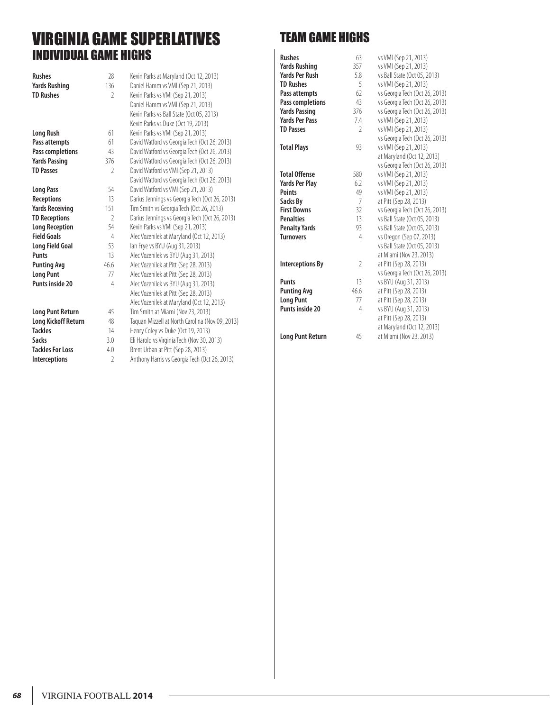### VIRGINIA GAME SUPERLATIVES INDIVIDUAL GAME HIGHS

| <b>Rushes</b>           | 28             | Kevin Parks at Maryland (Oct 12, 2013)          |
|-------------------------|----------------|-------------------------------------------------|
| <b>Yards Rushing</b>    | 136            | Daniel Hamm vs VMI (Sep 21, 2013)               |
| <b>TD Rushes</b>        | V              | Kevin Parks vs VMI (Sep 21, 2013)               |
|                         |                | Daniel Hamm vs VMI (Sep 21, 2013)               |
|                         |                | Kevin Parks vs Ball State (Oct 05, 2013)        |
|                         |                | Kevin Parks vs Duke (Oct 19, 2013)              |
| Long Rush               | 61             | Kevin Parks vs VMI (Sep 21, 2013)               |
| Pass attempts           | 61             | David Watford vs Georgia Tech (Oct 26, 2013)    |
| Pass completions        | 43             | David Watford vs Georgia Tech (Oct 26, 2013)    |
| <b>Yards Passing</b>    | 376            | David Watford vs Georgia Tech (Oct 26, 2013)    |
| <b>TD Passes</b>        | 2              | David Watford vs VMI (Sep 21, 2013)             |
|                         |                | David Watford vs Georgia Tech (Oct 26, 2013)    |
| <b>Long Pass</b>        | 54             | David Watford vs VMI (Sep 21, 2013)             |
| <b>Receptions</b>       | 13             | Darius Jennings vs Georgia Tech (Oct 26, 2013)  |
| Yards Receiving         | 151            | Tim Smith vs Georgia Tech (Oct 26, 2013)        |
| <b>TD Receptions</b>    | $\mathcal{P}$  | Darius Jennings vs Georgia Tech (Oct 26, 2013)  |
| <b>Long Reception</b>   | 54             | Kevin Parks vs VMI (Sep 21, 2013)               |
| <b>Field Goals</b>      | 4              | Alec Vozenilek at Maryland (Oct 12, 2013)       |
| Long Field Goal         | 53             | lan Frye vs BYU (Aug 31, 2013)                  |
| <b>Punts</b>            | 13             | Alec Vozenilek vs BYU (Aug 31, 2013)            |
| <b>Punting Avg</b>      | 46.6           | Alec Vozenilek at Pitt (Sep 28, 2013)           |
| <b>Long Punt</b>        | 77             | Alec Vozenilek at Pitt (Sep 28, 2013)           |
| Punts inside 20         | $\overline{4}$ | Alec Vozenilek vs BYU (Aug 31, 2013)            |
|                         |                | Alec Vozenilek at Pitt (Sep 28, 2013)           |
|                         |                | Alec Vozenilek at Maryland (Oct 12, 2013)       |
| <b>Long Punt Return</b> | 45             | Tim Smith at Miami (Nov 23, 2013)               |
| Long Kickoff Return     | 48             | Taquan Mizzell at North Carolina (Nov 09, 2013) |
| <b>Tackles</b>          | 14             | Henry Coley vs Duke (Oct 19, 2013)              |
| Sacks                   | 3.0            | Eli Harold vs Virginia Tech (Nov 30, 2013)      |
| <b>Tackles For Loss</b> | 4.0            | Brent Urban at Pitt (Sep 28, 2013)              |
| <b>Interceptions</b>    | $\mathfrak{I}$ | Anthony Harris vs Georgia Tech (Oct 26, 2013)   |

### TEAM GAME HIGHS

| <b>Rushes</b>           | 63             | vs VMI (Sep 21, 2013)          |
|-------------------------|----------------|--------------------------------|
| <b>Yards Rushing</b>    | 357            | vs VMI (Sep 21, 2013)          |
| <b>Yards Per Rush</b>   | 5.8            | vs Ball State (Oct 05, 2013)   |
| <b>TD Rushes</b>        | 5              | vs VMI (Sep 21, 2013)          |
| Pass attempts           | 62             | vs Georgia Tech (Oct 26, 2013) |
| Pass completions        | 43             | vs Georgia Tech (Oct 26, 2013) |
| <b>Yards Passing</b>    | 376            | vs Georgia Tech (Oct 26, 2013) |
| <b>Yards Per Pass</b>   | 7.4            | vs VMI (Sep 21, 2013)          |
| <b>TD Passes</b>        | $\mathfrak{I}$ | vs VMI (Sep 21, 2013)          |
|                         |                | vs Georgia Tech (Oct 26, 2013) |
| <b>Total Plays</b>      | 93             | vs VMI (Sep 21, 2013)          |
|                         |                | at Maryland (Oct 12, 2013)     |
|                         |                | vs Georgia Tech (Oct 26, 2013) |
| <b>Total Offense</b>    | 580            | vs VMI (Sep 21, 2013)          |
| <b>Yards Per Play</b>   | 6.2            | vs VMI (Sep 21, 2013)          |
| <b>Points</b>           | 49             | vs VMI (Sep 21, 2013)          |
| Sacks By                | 7              | at Pitt (Sep 28, 2013)         |
| <b>First Downs</b>      | 32             | vs Georgia Tech (Oct 26, 2013) |
| <b>Penalties</b>        | 13             | vs Ball State (Oct 05, 2013)   |
| <b>Penalty Yards</b>    | 93             | vs Ball State (Oct 05, 2013)   |
| <b>Turnovers</b>        | 4              | vs Oregon (Sep 07, 2013)       |
|                         |                | vs Ball State (Oct 05, 2013)   |
|                         |                | at Miami (Nov 23, 2013)        |
| <b>Interceptions By</b> | $\mathfrak{I}$ | at Pitt (Sep 28, 2013)         |
|                         |                | vs Georgia Tech (Oct 26, 2013) |
| <b>Punts</b>            | 13             | vs BYU (Aug 31, 2013)          |
| <b>Punting Avg</b>      | 46.6           | at Pitt (Sep 28, 2013)         |
| <b>Long Punt</b>        | 77             | at Pitt (Sep 28, 2013)         |
| <b>Punts inside 20</b>  | 4              | vs BYU (Aug 31, 2013)          |
|                         |                | at Pitt (Sep 28, 2013)         |
|                         |                | at Maryland (Oct 12, 2013)     |
| <b>Long Punt Return</b> | 45             | at Miami (Nov 23, 2013)        |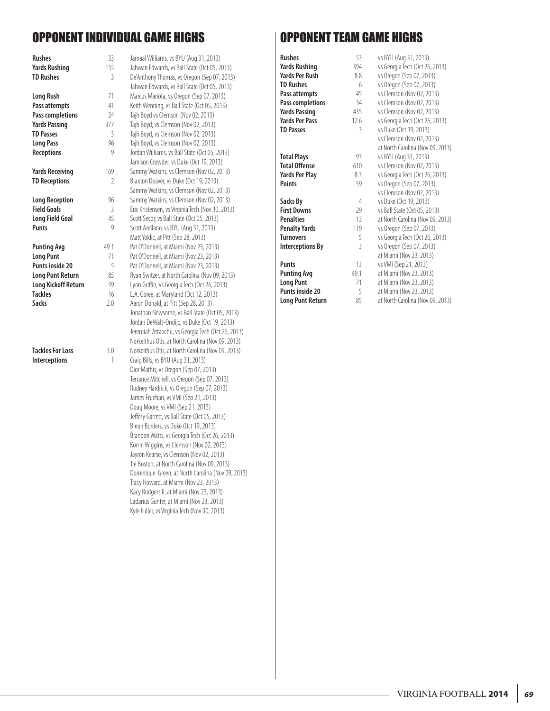### OPPONENT INDIVIDUAL GAME HIGHS

| <b>Rushes</b>              | 33   | Jamaal Williams, vs BYU (Aug 31, 2013)            |
|----------------------------|------|---------------------------------------------------|
| <b>Yards Rushing</b>       | 155  | Jahwan Edwards, vs Ball State (Oct 05, 2013)      |
| <b>TD Rushes</b>           | 3    | De'Anthony Thomas, vs Oregon (Sep 07, 2013)       |
|                            |      | Jahwan Edwards, vs Ball State (Oct 05, 2013)      |
| <b>Long Rush</b>           | 71   | Marcus Mariota, vs Oregon (Sep 07, 2013)          |
| Pass attempts              | 41   | Keith Wenning, vs Ball State (Oct 05, 2013)       |
| Pass completions           | 24   | Tajh Boyd vs Clemson (Nov 02, 2013)               |
| <b>Yards Passing</b>       | 377  | Tajh Boyd, vs Clemson (Nov 02, 2013)              |
| <b>TD Passes</b>           | 3    | Tajh Boyd, vs Clemson (Nov 02, 2013)              |
| <b>Long Pass</b>           | 96   | Tajh Boyd, vs Clemson (Nov 02, 2013)              |
| <b>Receptions</b>          | 9    | Jordan Williams, vs Ball State (Oct 05, 2013)     |
|                            |      | Jamison Crowder, vs Duke (Oct 19, 2013)           |
| <b>Yards Receiving</b>     | 169  | Sammy Watkins, vs Clemson (Nov 02, 2013)          |
| <b>TD Receptions</b>       | 2    | Braxton Deaver, vs Duke (Oct 19, 2013)            |
|                            |      | Sammy Watkins, vs Clemson (Nov 02, 2013)          |
| <b>Long Reception</b>      | 96   | Sammy Watkins, vs Clemson (Nov 02, 2013)          |
| <b>Field Goals</b>         | 3    | Eric Kristensen, vs Virginia Tech (Nov 30, 2013)  |
| <b>Long Field Goal</b>     | 45   | Scott Secor, vs Ball State (Oct 05, 2013)         |
| <b>Punts</b>               | 9    | Scott Arellano, vs BYU (Aug 31, 2013)             |
|                            |      | Matt Yoklic, at Pitt (Sep 28, 2013)               |
| <b>Punting Avg</b>         | 49.1 | Pat O'Donnell, at Miami (Nov 23, 2013)            |
| <b>Long Punt</b>           | 71   | Pat O'Donnell, at Miami (Nov 23, 2013)            |
| <b>Punts inside 20</b>     | 5    | Pat O'Donnell, at Miami (Nov 23, 2013)            |
| <b>Long Punt Return</b>    | 85   | Ryan Switzer, at North Carolina (Nov 09, 2013)    |
| <b>Long Kickoff Return</b> | 59   | Lynn Griffin, vs Georgia Tech (Oct 26, 2013)      |
| <b>Tackles</b>             | 16   | L.A. Goree, at Maryland (Oct 12, 2013)            |
| Sacks                      | 2.0  | Aaron Donald, at Pitt (Sep 28, 2013)              |
|                            |      | Jonathan Newsome, vs Ball State (Oct 05, 2013)    |
|                            |      | Jordan DeWalt-Ondijo, vs Duke (Oct 19, 2013)      |
|                            |      | Jeremiah Attaochu, vs Georgia Tech (Oct 26, 2013  |
|                            |      | Norkeithus Otis, at North Carolina (Nov 09, 2013) |
| <b>Tackles For Loss</b>    | 3.0  | Norkeithus Otis, at North Carolina (Nov 09, 2013) |
| Interceptions              | 1    | Craig Bills, vs BYU (Aug 31, 2013)                |
|                            |      | Dior Mathis, vs Oregon (Sep 07, 2013)             |
|                            |      | Terrance Mitchell, vs Oregon (Sep 07, 2013)       |
|                            |      | Rodney Hardrick, vs Oregon (Sep 07, 2013)         |
|                            |      | James Fruehan, vs VMI (Sep 21, 2013)              |
|                            |      | Doug Moore, vs VMI (Sep 21, 2013)                 |
|                            |      | Jeffery Garrett, vs Ball State (Oct 05, 2013)     |
|                            |      | $D_{\text{mean}}$ $D_{\text{alpha}}$              |

| Jahwan Edwards, vs Ball State (Oct 05, 2013)<br>De'Anthony Thomas, vs Oregon (Sep 07, 2013)<br>Jahwan Edwards, vs Ball State (Oct 05, 2013)<br>Marcus Mariota, vs Oregon (Sep 07, 2013)<br>Keith Wenning, vs Ball State (Oct 05, 2013)<br>Tajh Boyd vs Clemson (Nov 02, 2013)<br>Tajh Boyd, vs Clemson (Nov 02, 2013)<br>Tajh Boyd, vs Clemson (Nov 02, 2013)<br>Tajh Boyd, vs Clemson (Nov 02, 2013)<br>Jordan Williams, vs Ball State (Oct 05, 2013)<br>Jamison Crowder, vs Duke (Oct 19, 2013)<br>Sammy Watkins, vs Clemson (Nov 02, 2013)<br>Braxton Deaver, vs Duke (Oct 19, 2013)<br>Sammy Watkins, vs Clemson (Nov 02, 2013)<br>Sammy Watkins, vs Clemson (Nov 02, 2013)<br>Eric Kristensen, vs Virginia Tech (Nov 30, 2013)<br>Scott Secor, vs Ball State (Oct 05, 2013)<br>Scott Arellano, vs BYU (Aug 31, 2013)<br>Matt Yoklic, at Pitt (Sep 28, 2013)<br>Pat O'Donnell, at Miami (Nov 23, 2013)<br>Pat O'Donnell, at Miami (Nov 23, 2013)<br>Pat O'Donnell, at Miami (Nov 23, 2013)<br>Ryan Switzer, at North Carolina (Nov 09, 2013)<br>Lynn Griffin, vs Georgia Tech (Oct 26, 2013)<br>L.A. Goree, at Maryland (Oct 12, 2013)<br>Aaron Donald, at Pitt (Sep 28, 2013)<br>Jonathan Newsome, vs Ball State (Oct 05, 2013)<br>Jordan DeWalt-Ondijo, vs Duke (Oct 19, 2013)<br>Jeremiah Attaochu, vs Georgia Tech (Oct 26, 2013)<br>Norkeithus Otis, at North Carolina (Nov 09, 2013)<br>Norkeithus Otis, at North Carolina (Nov 09, 2013)<br>Craig Bills, vs BYU (Aug 31, 2013)<br>Dior Mathis, vs Oregon (Sep 07, 2013)<br>Terrance Mitchell, vs Oregon (Sep 07, 2013)<br>Rodney Hardrick, vs Oregon (Sep 07, 2013)<br>James Fruehan, vs VMI (Sep 21, 2013)<br>Doug Moore, vs VMI (Sep 21, 2013)<br>Jeffery Garrett, vs Ball State (Oct 05, 2013)<br>Breon Borders, vs Duke (Oct 19, 2013)<br>Brandon Watts, vs Georgia Tech (Oct 26, 2013)<br>Korrin Wiggins, vs Clemson (Nov 02, 2013)<br>Jayron Kearse, vs Clemson (Nov 02, 2013)<br>Tre Boston, at North Carolina (Nov 09, 2013)<br>Dominique Green, at North Carolina (Nov 09, 2013) |
|------------------------------------------------------------------------------------------------------------------------------------------------------------------------------------------------------------------------------------------------------------------------------------------------------------------------------------------------------------------------------------------------------------------------------------------------------------------------------------------------------------------------------------------------------------------------------------------------------------------------------------------------------------------------------------------------------------------------------------------------------------------------------------------------------------------------------------------------------------------------------------------------------------------------------------------------------------------------------------------------------------------------------------------------------------------------------------------------------------------------------------------------------------------------------------------------------------------------------------------------------------------------------------------------------------------------------------------------------------------------------------------------------------------------------------------------------------------------------------------------------------------------------------------------------------------------------------------------------------------------------------------------------------------------------------------------------------------------------------------------------------------------------------------------------------------------------------------------------------------------------------------------------------------------------------------------------------------------------------------------------------------------------------------------------|
| Tracy Howard, at Miami (Nov 23, 2013)<br>Kacy Rodgers II, at Miami (Nov 23, 2013)<br>Ladarius Gunter, at Miami (Nov 23, 2013)<br>Kyle Fuller, vs Virginia Tech (Nov 30, 2013)                                                                                                                                                                                                                                                                                                                                                                                                                                                                                                                                                                                                                                                                                                                                                                                                                                                                                                                                                                                                                                                                                                                                                                                                                                                                                                                                                                                                                                                                                                                                                                                                                                                                                                                                                                                                                                                                        |
|                                                                                                                                                                                                                                                                                                                                                                                                                                                                                                                                                                                                                                                                                                                                                                                                                                                                                                                                                                                                                                                                                                                                                                                                                                                                                                                                                                                                                                                                                                                                                                                                                                                                                                                                                                                                                                                                                                                                                                                                                                                      |

### OPPONENT TEAM GAME HIGHS

| <b>Rushes</b>           | 53             | vs BYU (Aug 31, 2013)            |
|-------------------------|----------------|----------------------------------|
| Yards Rushing           | 394            | vs Georgia Tech (Oct 26, 2013)   |
| Yards Per Rush          | 8.8            | vs Oregon (Sep 07, 2013)         |
| <b>TD Rushes</b>        | 6              | vs Oregon (Sep 07, 2013)         |
| Pass attempts           | 45             | vs Clemson (Nov 02, 2013)        |
| Pass completions        | 34             | vs Clemson (Nov 02, 2013)        |
| <b>Yards Passing</b>    | 435            | vs Clemson (Nov 02, 2013)        |
| <b>Yards Per Pass</b>   | 12.6           | vs Georgia Tech (Oct 26, 2013)   |
| <b>TD Passes</b>        | 3              | vs Duke (Oct 19, 2013)           |
|                         |                | vs Clemson (Nov 02, 2013)        |
|                         |                | at North Carolina (Nov 09, 2013) |
| <b>Total Plays</b>      | 93             | vs BYU (Aug 31, 2013)            |
| <b>Total Offense</b>    | 610            | vs Clemson (Nov 02, 2013)        |
| Yards Per Play          | 8.3            | vs Georgia Tech (Oct 26, 2013)   |
| Points                  | 59             | vs Oregon (Sep 07, 2013)         |
|                         |                | vs Clemson (Nov 02, 2013)        |
| Sacks By                | 4              | vs Duke (Oct 19, 2013)           |
| <b>First Downs</b>      | 29             | vs Ball State (Oct 05, 2013)     |
| <b>Penalties</b>        | 13             | at North Carolina (Nov 09, 2013) |
| Penalty Yards           | 119            | vs Oregon (Sep 07, 2013)         |
| Turnovers               | 5              | vs Georgia Tech (Oct 26, 2013)   |
| <b>Interceptions By</b> | $\overline{3}$ | vs Oregon (Sep 07, 2013)         |
|                         |                | at Miami (Nov 23, 2013)          |
| Punts                   | 13             | vs VMI (Sep 21, 2013)            |
| <b>Punting Avg</b>      | 49.1           | at Miami (Nov 23, 2013)          |
| <b>Long Punt</b>        | 71             | at Miami (Nov 23, 2013)          |
| Punts inside 20         | 5              | at Miami (Nov 23, 2013)          |
| Long Punt Return        | 85             | at North Carolina (Nov 09, 2013) |
|                         |                |                                  |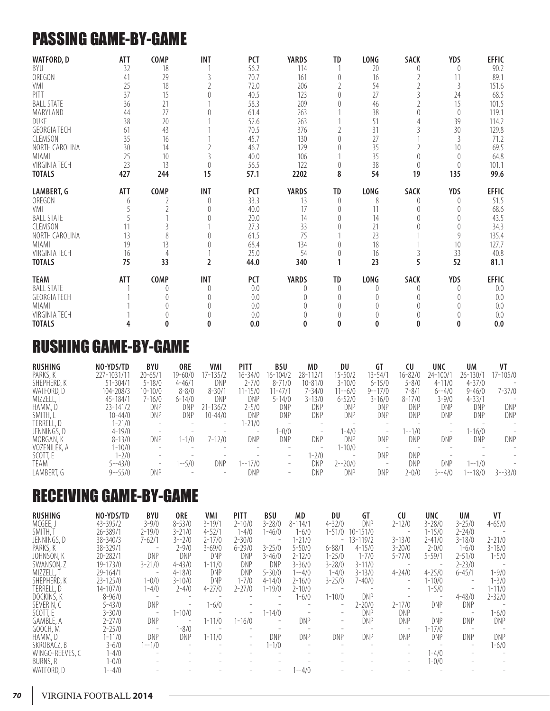### PASSING GAME-BY-GAME

| <b>WATFORD, D</b>   | ATT        | <b>COMP</b> | <b>INT</b> | <b>PCT</b> | <b>YARDS</b> | TD       | LONG        | <b>SACK</b> | <b>YDS</b>     | <b>EFFIC</b> |
|---------------------|------------|-------------|------------|------------|--------------|----------|-------------|-------------|----------------|--------------|
| BYU                 | 32         | 18          |            | 56.2       | 114          |          | 20          |             | 0              | 90.2         |
| OREGON              | 41         | 29          |            | 70.7       | 161          |          | 16          |             |                | 89.1         |
| VMI                 | 25         | 18          |            | 72.0       | 206          |          | 54          |             | 3              | 151.6        |
| PITT                | 37         | 15          |            | 40.5       | 123          |          | 27          |             | 24             | 68.5         |
| <b>BALL STATE</b>   | 36         | 21          |            | 58.3       | 209          |          | 46          |             | 15             | 101.5        |
| MARYLAND            | 44         | 27          |            | 61.4       | 263          |          | 38          |             | $\theta$       | 119.1        |
| DUKE                | 38         | 20          |            | 52.6       | 263          |          | 51          |             | 39             | 114.2        |
| <b>GEORGIA TECH</b> | 61         | 43          |            | 70.5       | 376          |          | 31          |             | 30             | 129.8        |
| CLEMSON             | 35         | 16          |            | 45.7       | 130          |          | 27          |             | $\overline{3}$ | 71.2         |
| NORTH CAROLINA      | 30         | 14          |            | 46.7       | 129          |          | 35          |             | 10             | 69.5         |
| <b>MIAMI</b>        | 25         | 10          |            | 40.0       | 106          |          | 35          |             | 0              | 64.8         |
| VIRGINIA TECH       | 23         | 13          |            | 56.5       | 122          |          | 38          |             |                | 101.1        |
| <b>TOTALS</b>       | 427        | 244         | 15         | 57.1       | 2202         | 8        | 54          | 19          | 135            | 99.6         |
| LAMBERT, G          | <b>ATT</b> | <b>COMP</b> | <b>INT</b> | <b>PCT</b> | <b>YARDS</b> | TD       | LONG        | <b>SACK</b> | <b>YDS</b>     | <b>EFFIC</b> |
| OREGON              | 6          |             | $\theta$   | 33.3       | 13           | $\theta$ | 8           | 0           | 0              | 51.5         |
| VMI                 |            |             |            | 40.0       | 17           |          | 11          |             |                | 68.6         |
| <b>BALL STATE</b>   |            |             |            | 20.0       | 14           |          | 14          |             |                | 43.5         |
| <b>CLEMSON</b>      |            |             |            | 27.3       | 33           |          | 21          |             |                | 34.3         |
| NORTH CAROLINA      | 13         |             |            | 61.5       | 75           |          | 23          |             | 9              | 135.4        |
| <b>MIAMI</b>        | 19         | 13          |            | 68.4       | 134          |          | 18          |             | 10             | 127.7        |
| VIRGINIA TECH       | 16         | 4           |            | 25.0       | 54           |          | 16          |             | 33             | 40.8         |
| <b>TOTALS</b>       | 75         | 33          | 2          | 44.0       | 340          |          | 23          | 5           | 52             | 81.1         |
| <b>TEAM</b>         | <b>ATT</b> | COMP        | <b>INT</b> | <b>PCT</b> | <b>YARDS</b> | TD       | <b>LONG</b> | SACK        | YDS            | <b>EFFIC</b> |
| <b>BALL STATE</b>   |            |             | 0          | 0.0        | 0            | 0        | 0           | 0           | 0              | 0.0          |
| <b>GEORGIA TECH</b> |            |             |            | 0.0        |              |          |             |             |                | 0.0          |
| MIAMI               |            |             |            | 0.0        |              |          |             |             |                | 0.0          |
| VIRGINIA TECH       |            |             |            | 0.0        |              |          |             |             |                | 0.0          |
| <b>TOTALS</b>       |            | 0           |            | 0.0        | 0            |          | 0           | 0           | 0              | 0.0          |

### RUSHING GAME-BY-GAME

| <b>RUSHING</b> | NO-YDS/TD    | <b>BYU</b>               | 0RE                             | VMI                      | <b>PITT</b>              | <b>BSU</b>               | MD                       | DU                       | GT                       | CU                       | UNC                      | UM           | VT                       |
|----------------|--------------|--------------------------|---------------------------------|--------------------------|--------------------------|--------------------------|--------------------------|--------------------------|--------------------------|--------------------------|--------------------------|--------------|--------------------------|
| PARKS, K       | 227-1031/11  | 20-65/1                  | $19 - 60/0$                     | 17-135/2                 | $16 - 34/0$              | $16 - 104/2$             | 28-112/1                 | 15-50/2                  | 13-54/1                  | 16-82/0                  | 24-100/1                 | $26 - 130/1$ | 17-105/0                 |
| SHEPHERD, K    | $51 - 304/1$ | $5 - 18/0$               | $4 - 46/1$                      | DNP                      | $2 - 7/0$                | $8 - 71/0$               | 10-81/0                  | $3 - 10/0$               | $6 - 15/0$               | 5-8/0                    | $4 - 11/0$               | $4 - 37/0$   | $-$                      |
| WATFORD, D     | 104-208/3    | $10 - 10/0$              | $8 - 8/0$                       | $8 - 30/1$               | $11 - 15/0$              | $11 - 47/1$              | 7-34/0                   | $1 - -6/0$               | $9 - -17/0$              | 7-8/1                    | $6 - -4/0$               | $9 - 46/0$   | $7 - 37/0$               |
| MIZZELL,       | $45 - 184/1$ | 7-16/0                   | $6 - 14/0$                      | DNP                      | DNP                      | $5 - 14/0$               | $3 - 13/0$               | $6 - 52/0$               | $3 - 16/0$               | $8 - 17/0$               | $3 - 9/0$                | $4 - 33/1$   | $\overline{\phantom{a}}$ |
| HAMM, D        | $23 - 141/2$ | DNP                      | DNP                             | 21-136/2                 | 2-5/0                    | DNP                      | DNP                      | DNP                      | DNP                      | DNP                      | DNP                      | DNP          | DNP                      |
| SMITH, L       | $10 - 44/0$  | DNP                      | DNP                             | $10 - 44/0$              | DNP                      | DNP                      | DNP                      | DNP                      | DNP                      | DNP                      | DNP                      | DNP          | DNP                      |
| TERRELL, D     | $1 - 21/0$   | $\overline{\phantom{a}}$ | $\hspace{0.1mm}-\hspace{0.1mm}$ | $\overline{\phantom{0}}$ | 1-21/0                   | $\overline{\phantom{a}}$ | $\overline{\phantom{a}}$ | $\overline{\phantom{a}}$ |                          | $\overline{\phantom{0}}$ |                          |              |                          |
| JENNINGS, D    | $4 - 19/0$   |                          |                                 |                          | $\overline{\phantom{0}}$ | $1 - 0/0$                | $\overline{\phantom{a}}$ | $-4/0$                   | $\overline{\phantom{a}}$ | $-1/0$                   | $\overline{\phantom{0}}$ | $1 - 16/0$   |                          |
| MORGAN, K      | $8 - 13/0$   | DNP                      | $1 - 1/0$                       | 12/0<br>$/ - 1$          | DNP                      | DNP                      | DNP                      | DNP                      | DNP                      | DNP                      | DNP                      | DNP          | DNP                      |
| VOZENILEK, A   | $1 - 10/0$   |                          |                                 |                          | $\overline{\phantom{a}}$ | $\overline{\phantom{a}}$ | $\qquad \qquad =$        | $1 - 10/0$               |                          | $\overline{\phantom{0}}$ |                          |              |                          |
| SCOTT, E       | $1 - 2/0$    |                          |                                 |                          |                          | $\overline{\phantom{a}}$ | 1-2/0                    | $\overline{\phantom{0}}$ | DNP                      | DNP                      |                          |              |                          |
| TEAM           | $5 - -43/0$  | $\overline{\phantom{0}}$ | $-5/0$                          | DNP                      | $1 - -17/0$              | $\overline{\phantom{0}}$ | DNP                      | $2 - -20/0$              | $\qquad \qquad -$        | DNP                      | DNP                      | $1 - 1/0$    |                          |
| LAMBERT, G     | $9 - -55/0$  | DNP                      |                                 | $\overline{\phantom{a}}$ | DNP                      | $\overline{\phantom{a}}$ | DNP                      | DNP                      | DNP                      | 2-0/0                    | $3 - -4/0$               | 1--18/0      | $3 - -33/0$              |

### RECEIVING GAME-BY-GAME

| <b>RUSHING</b>  | NO-YDS/TD    | BYU                      | 0RE                      | VMI                      | <b>PITT</b>              | BSU                      | MD                       | DU                       | GT           | CU                       | <b>UNC</b>               | <b>UM</b>                | VT         |
|-----------------|--------------|--------------------------|--------------------------|--------------------------|--------------------------|--------------------------|--------------------------|--------------------------|--------------|--------------------------|--------------------------|--------------------------|------------|
| MCGEE, J        | 43-395/2     | $3 - 9/0$                | $8 - 53/0$               | $3 - 19/1$               | $2 - 10/0$               | $3 - 28/0$               | $8 - 114/1$              | $4 - 32/0$               | DNP          | $2 - 12/0$               | $3 - 28/0$               | $3 - 25/0$               | $4 - 65/0$ |
| SMITH, T        | 26-389/1     | $2 - 19/0$               | $3 - 21/0$               | $4 - 52/1$               | $1 - 4/0$                | $1 - 46/0$               | 1-6/0                    | $1 - 51/0$               | $10 - 151/0$ | $\overline{\phantom{a}}$ | $1 - 15/0$               | $2 - 24/0$               | $\sim$     |
| JENNINGS, D     | $38 - 340/3$ | $7 - 62/1$               | $3 - -2/0$               | $2 - 17/0$               | $2 - 30/0$               | $\overline{\phantom{a}}$ | $1 - 21/0$               |                          | $-13-119/2$  | $3 - 13/0$               | $2 - 41/0$               | $3 - 18/0$               | $2 - 21/0$ |
| PARKS, K        | 38-329/1     | $\sim$ $-$               | $2 - 9/0$                | $3 - 69/0$               | $6 - 29/0$               | $3 - 25/0$               | $5 - 50/0$               | $6 - 88/1$               | $4 - 15/0$   | $3 - 20/0$               | $2 - 0/0$                | $1 - 6/0$                | $3 - 18/0$ |
| JOHNSON, K      | $20 - 282/1$ | DNP                      | DNP                      | DNP                      | DNP                      | $3 - 46/0$               | $2 - 12/0$               | $1 - 25/0$               | $1 - 7/0$    | $5 - 77/0$               | $5 - 59/1$               | $2 - 51/0$               | $1 - 5/0$  |
| SWANSON, Z      | 19-173/0     | $3 - 21/0$               | $4 - 43/0$               | $1 - 11/0$               | DNP                      | DNP                      | $3 - 36/0$               | $3 - 28/0$               | $3 - 11/0$   | $\overline{\phantom{a}}$ |                          | $2 - 23/0$               | $\sim$     |
| MIZZELL, T      | $29 - 164/1$ | $\overline{\phantom{a}}$ | $4 - 18/0$               | DNP                      | DNP                      | $5 - 30/0$               | $1 - -4/0$               | $1 - 4/0$                | $3 - 13/0$   | $4 - 24/0$               | $4 - 25/0$               | $6 - 45/1$               | $1 - 9/0$  |
| SHEPHERD, K     | $23 - 125/0$ | $1 - 0/0$                | $3 - 10/0$               | DNP                      | $1 - 7/0$                | $4 - 14/0$               | $2 - 16/0$               | $3 - 25/0$               | $7 - 40/0$   | $\overline{\phantom{a}}$ | $1 - 10/0$               |                          | $1 - 3/0$  |
| TERRELL, D      | $14 - 107/0$ | 1-4/0                    | $2 - 4/0$                | $4 - 27/0$               | $2 - 27/0$               | $1 - 19/0$               | $2 - 10/0$               | $\sim 100$ m $^{-1}$     |              | $\overline{\phantom{0}}$ | $1 - 5/0$                | $\qquad \qquad -$        | $1 - 11/0$ |
| DOCKINS, K      | $8 - 96/0$   | $\sim$ $-$               |                          |                          |                          |                          | 1-6/0                    | $1 - 10/0$               | DNP          | $\overline{\phantom{a}}$ | $\overline{\phantom{a}}$ | $4 - 48/0$               | $2 - 32/0$ |
| SEVERIN, C      | $5 - 43/0$   | DNP                      | $\overline{\phantom{a}}$ | $1 - 6/0$                |                          |                          |                          | $\overline{\phantom{0}}$ | $2 - 20/0$   | $2 - 17/0$               | DNP                      | DNP                      | $\sim$ $-$ |
| SCOTT, E        | $3 - 30/0$   | $\overline{\phantom{a}}$ | $1 - 10/0$               | $\overline{\phantom{a}}$ | $-$                      | $1 - 14/0$               | $\overline{\phantom{a}}$ | $\overline{\phantom{0}}$ | DNP          | DNP                      | $\sim$                   | $\overline{\phantom{a}}$ | $1 - 6/0$  |
| GAMBLE, A       | $2 - 27/0$   | DNP                      | $\overline{\phantom{a}}$ | $1 - 11/0$               | $1 - 16/0$               |                          | <b>DNP</b>               | $\overline{\phantom{a}}$ | DNP          | DNP                      | DNP                      | DNP                      | DNP        |
| GOOCH, M        | $2 - 25/0$   | $\overline{\phantom{a}}$ | $1 - 8/0$                | $\overline{\phantom{a}}$ |                          | $\overline{\phantom{0}}$ | $\overline{\phantom{a}}$ |                          |              | $\overline{\phantom{a}}$ | $1 - 17/0$               | $\sim$ $-$               |            |
| HAMM, D         | $1 - 11/0$   | DNP                      | DNP                      | $1 - 11/0$               | $\overline{\phantom{0}}$ | DNP                      | DNP                      | DNP                      | DNP          | DNP                      | DNP                      | DNP                      | DNP        |
| SKROBACZ, B     | $3 - 6/0$    | $1 - -1/0$               |                          |                          |                          | $1 - 1/0$                |                          |                          |              |                          |                          |                          | $1 - 6/0$  |
| WINGO-REEVES, C | $1 - 4/0$    |                          |                          |                          |                          |                          |                          |                          |              | $\overline{\phantom{0}}$ | $1 - 4/0$                |                          |            |
| BURNS, R        | $1 - 0/0$    |                          |                          |                          |                          |                          |                          |                          |              | $\overline{\phantom{0}}$ | $1 - 0/0$                |                          |            |
| WATFORD, D      | $1 - -4/0$   |                          |                          |                          |                          | $\overline{\phantom{0}}$ | $1 - -4/0$               |                          |              |                          |                          |                          |            |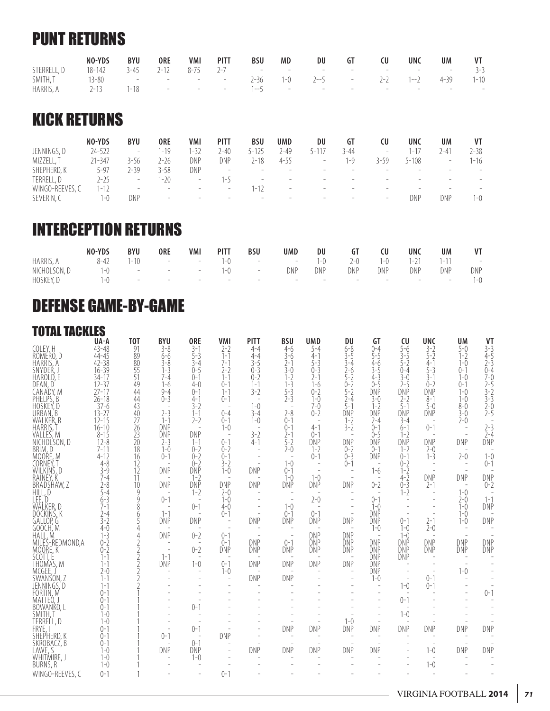### PUNT RETURNS

|             | NO-YDS              | BYU | <b>ORE</b> | VMI | <b>PITT</b>      | <b>BSU</b> | MD | DU                                              |  | <b>UNC</b> | UM | VT      |
|-------------|---------------------|-----|------------|-----|------------------|------------|----|-------------------------------------------------|--|------------|----|---------|
| STERRELL, D |                     |     |            |     |                  |            |    | 18-142 3-45 2-12 8-75 2-7 - - - - - - - - - - - |  |            |    | $3 - 3$ |
| SMITH, T    | $13-80$ - - - - - - |     |            |     |                  |            |    | $2-36$ $1-0$ $2-5$ $ 2-2$ $1-2$ $4-39$ $1-10$   |  |            |    |         |
| HARRIS, A   | $2 - 13$            |     |            |     | $1-18$ - - - - - |            |    |                                                 |  |            |    |         |

### KICK RETURNS

|               | NO-YDS     | BYU                      | 0RE                             | <b>VMI</b>                      | PITT                     | BSU                      | UMD                             | DU                              | GT                       | CU                       | UNC   | UM     | VT                       |
|---------------|------------|--------------------------|---------------------------------|---------------------------------|--------------------------|--------------------------|---------------------------------|---------------------------------|--------------------------|--------------------------|-------|--------|--------------------------|
| JENNINGS, D   | 24-522     | $\qquad \qquad =$        | $1 - 19$                        | $-32$                           | 2-40                     | 5-125                    | 2-49                            | 5 – 1                           | 3-44                     | $\overline{\phantom{a}}$ | $-17$ | $-4^1$ | $2 - 38$                 |
| MIZZELL, T    | $21 - 347$ | 3-56                     | $2 - 26$                        | DNP                             | DNP                      | 2-18                     | $4 - 55$                        | $\overline{\phantom{a}}$        | $ -Q$                    | 3-59                     | 5-108 |        | $1 - 16$                 |
| SHEPHERD, K   | $5 - 97$   | 7-39                     | $3 - 58$                        | DNP                             | $\overline{\phantom{a}}$ |                          |                                 |                                 |                          |                          |       |        |                          |
| TERRELL, D    | 2-25       | $\overline{\phantom{a}}$ | $1 - 20$                        | $\overline{\phantom{a}}$        | $-$                      | -                        | $\overline{\phantom{0}}$        | $\overline{\phantom{a}}$        |                          |                          |       |        | $\overline{\phantom{a}}$ |
| WINGO-REEVES, | $1 - 12$   | $\overline{\phantom{a}}$ | $\overline{\phantom{m}}$        | $-$                             | $\overline{\phantom{m}}$ | $-1/$                    | $\hspace{0.1mm}-\hspace{0.1mm}$ | $\overline{\phantom{0}}$        |                          | $\overline{\phantom{a}}$ |       |        | $\overline{\phantom{a}}$ |
| SEVERIN, C    | 1-0        | DNP                      | $\hspace{0.1mm}-\hspace{0.1mm}$ | $\hspace{0.1mm}-\hspace{0.1mm}$ | $\overline{\phantom{m}}$ | $\overline{\phantom{0}}$ | $\overline{\phantom{a}}$        | $\hspace{0.1mm}-\hspace{0.1mm}$ | $\overline{\phantom{0}}$ | $\overline{\phantom{a}}$ | DNP   | DNP    | 1-0                      |

### INTERCEPTION RETURNS

|              | NO-YDS   | <b>BYU</b> | <b>ORE</b>                                                                                                                                                                                                                    | <b>VMI</b> | <b>PITT</b> | BSU                        | <b>UMD</b>                                                                                                     | DU  | GT    | CU      | <b>UNC</b> | UM       | VT                                                    |
|--------------|----------|------------|-------------------------------------------------------------------------------------------------------------------------------------------------------------------------------------------------------------------------------|------------|-------------|----------------------------|----------------------------------------------------------------------------------------------------------------|-----|-------|---------|------------|----------|-------------------------------------------------------|
| HARRIS, A    | $8 - 42$ |            | $1-10$ - $ 1-0$                                                                                                                                                                                                               |            |             |                            | $  1-0$                                                                                                        |     | $2-0$ | $1 - 0$ | $1 - 21$   | $1 - 11$ | $\mathcal{L}_{\rm{max}}$ and $\mathcal{L}_{\rm{max}}$ |
| NICHOLSON, D | $1 - 0$  |            | the company's state of the company's state                                                                                                                                                                                    |            | $1 - 0$     | and the state of           | DNP                                                                                                            | DNP | DNP   | DNP     | DNP        | DNP      | DNP                                                   |
| HOSKEY, D    | $-()$    |            | the control of the control of the control of the control of the control of the control of the control of the control of the control of the control of the control of the control of the control of the control of the control |            |             | and the state of the state | 1000 And All And All And All And All And All And All And All And All And All And All And All And All And All A |     |       |         |            |          | $1 - 0$                                               |

### DEFENSE GAME-BY-GAME

| <b>TOTAL TACKLES</b><br>COLEY, H<br>ROMERO, D<br>HÀRRIS, A<br>SNYDER<br>HAROLD, E<br>DEAN, D<br>CANADY, M<br>PHELPS, B<br>HOSKEY, D<br>URBAN, B<br>WALKER, R<br>HARRIS,<br>VALLES, M<br>NICHOL'SON, D<br>BRIM, D<br><u>MOORE, M</u><br>ĊŎŔŇĔÝ, T<br>WILKINŚ, D<br>RAINEY, K<br>BRADSHAW, Z<br>HILL, D<br>LEE, D_<br>WALKER, D<br>DOCKINŚ, K<br>GĂLLOP, G<br>GOOCH. M<br>HALL, M<br>MILES-REDMOND, A<br>MOORE, K<br>SCOTT. É<br>THÒMAS, M<br>MCGEE,<br>SWANSON, Z<br>JENNINGS, D<br>FÖRTIN, M<br>MATTEÓ,<br>BÖWANKŌ, L<br>SMITH,<br>TERRELL, D<br>FRYE, I<br>SHEPHERD, K | UA-A<br>$43 - 48$<br>$44 - 45$<br>$42 - 38$<br>$16 - 39$<br>$34 - 17$<br>$\frac{12-37}{27-17}$<br>$26 - 18$<br>$37 - 6$<br>$\frac{13}{2} - \frac{27}{2}$<br>$16 - 10$<br>$8 - 15$<br>$12 - 8$<br>$7 - 11$<br>$4 - 12$<br>$4 - 8$<br>$3 - 9$<br>7-4<br>$2 - 8$<br>$5 - 4$<br>$6 - 3$<br>$7 - 1$<br>$2 - 4$<br>$3 - 2$<br>$4 - 0$<br>$1 - 3$<br>$0 - 2$<br>$0 - 2$<br>$1 - 1$<br>$1 - 1$<br>$2 - 0$<br>$1 - 1$<br>$1 - 1$<br>$() - 1$<br>$() - 1$<br>$() - 1$<br>$1 - 0$<br>$1 - 0$<br>$() - 1$<br>$0 - 1$ | T <sub>0</sub> T<br>91<br>89<br>80<br>55<br>51<br>49<br>44<br>44<br>43<br>40<br>27<br>26<br>23<br>20<br>18<br>16<br>12<br>12<br>11<br>10<br>9<br>$\overline{9}$<br>8<br>6<br>5<br>4<br>4 | <b>BYU</b><br>$3 - 8$<br>$6 - 6$<br>$3 - 8$<br>$1 - 3$<br>$7 - 4$<br>$1 - 6$<br>$9 - 4$<br>$0 - 3$<br>$2 - 3$<br>$1 - 1$<br><b>DNP</b><br>DNP<br>$2 - 3$<br>$1 - 0$<br>$0 - 1$<br>$\overline{a}$<br>DNP<br>DNP<br>$\overline{\phantom{a}}$<br>$0 - 1$<br>$1 - 1$<br>DNP<br>DNP<br>$\overline{\phantom{a}}$<br>$1 - 1$<br>DNP<br>$\overline{\phantom{a}}$<br>$\overline{\phantom{a}}$<br>$0 - 1$ | <b>ORE</b><br>$3-1$<br>5-3<br>$3 - 4$<br>$0 - 5$<br>$0 - 1$<br>$4 - 0$<br>$0 - 1$<br>$4 - 1$<br>$3 - 2$<br>$1 - 1$<br>$2 - 2$<br>$\overline{a}$<br>DNP<br>$1 - 1$<br>$0 - 2$<br>$0 - 2$<br>$0 - 2$<br>DNP<br>$1 - 2$<br>DNP<br>$1 - 2$<br>$\overline{\phantom{a}}$<br>$0 - 1$<br>$\overline{a}$<br>DNP<br>$0 - 2$<br>$\overline{\phantom{a}}$<br>$0 - 2$<br>$\overline{a}$<br>$1 - 0$<br>$\overline{a}$<br>$\overline{\phantom{a}}$<br>$0 - 1$<br>$0 - 1$<br>$\overline{\phantom{a}}$ | <b>VMI</b><br>$2 - 2$<br>$\bar{1}$ - $\bar{1}$<br>$7 - 1$<br>$2 - 2$<br>$1 - 1$<br>$() - 1$<br>$1 - 1$<br>$() - 1$<br>$() - 4$<br>$() - 1$<br>$1 - 0$<br>$\overline{\phantom{a}}$<br>$0 - 1$<br>$0 - 2$<br>$0 - 1$<br>$3 - 2$<br>$1 - 0$<br>$\overline{\phantom{0}}$<br>DNP<br>$2 - 0$<br>$1 - 0$<br>$4 - 0$<br>$0 - 1$<br>$\overline{\phantom{a}}$<br>$0 - 1$<br>$() - 1$<br><b>DNP</b><br>$0 - 1$<br>$1 - 0$<br>$\overline{\phantom{a}}$<br>$\overline{\phantom{a}}$<br>$\overline{\phantom{a}}$<br><b>DNP</b> | <b>PITT</b><br>$4 - 4$<br>$4 - 4$<br>$3 - 5$<br>$0 - 3$<br>$0 - 2$<br>$1 - 1$<br>$3 - 2$<br>$\overline{\phantom{a}}$<br>$1 - 0$<br>$3 - 4$<br>$1 - 0$<br>$\overline{a}$<br>$3 - 2$<br>$4 - 1$<br>$\overline{a}$<br><b>DNP</b><br>$\overline{\phantom{0}}$<br><b>DNP</b><br>$\overline{a}$<br><b>DNP</b><br><b>DNP</b><br><b>DNP</b><br><b>DNP</b><br><b>DNP</b> | <b>BSU</b><br>$4 - 6$<br>$3 - 6$<br>$2 - 1$<br>$3 - 0$<br>$1 - 2$<br>$1-\overline{3}$<br>5-3<br>2-3<br>$\overline{\phantom{a}}$<br>$2 - 8$<br>$0 - 1$<br>$0 - 1$<br>$2 - 1$<br>$\overline{5-2}$<br>$2-0$<br>$\overline{a}$<br>$1 - 0$<br>$0 - 1$<br>$1 - 0$<br>DNP<br>$\overline{\phantom{a}}$<br>$1 - 0$<br>$0 - 1$<br>DNP<br>$\overline{\phantom{a}}$<br>$() - 1$<br>DNP<br>DNP<br>DNP<br>DNP | <b>UMD</b><br>$5 - 4$<br>$4 - 1$<br>$5 - 3$<br>$0 - 3$<br>$2 - 1$<br>$1 - 6$<br>$0 - 2$<br>$1 - 0$<br>$7 - 0$<br>$0 - 2$<br>$\overline{\phantom{a}}$<br>$4 - 1$<br>$() - 1$<br><b>DNP</b><br>$1 - 2$<br>$0 - 1$<br>$\overline{\phantom{a}}$<br>$\overline{a}$<br>$1 - 0$<br>DNP<br>$2 - 0$<br>$\overline{a}$<br>$0 - 1$<br><b>DNP</b><br><b>DNP</b><br>DNP<br>DNP<br><b>DNP</b><br><b>DNP</b> | DU<br>$6 - 8$<br>$3 - 5$<br>$3 - 4$<br>$\frac{2}{5}$ -6<br>5-2<br>$0 - 2$<br>5-2<br>$2 - 4$<br>$5 - 1$<br>DÑP<br>$1 - 2$<br>$3 - 2$<br>$\overline{a}$<br>DNP<br>$0 - 2$<br>$0 - 3$<br>$() - 1$<br>$\overline{\phantom{a}}$<br>DNP<br>$\overline{\phantom{a}}$<br>$\overline{\phantom{a}}$<br>$\overline{\phantom{a}}$<br>DNP<br>DNP<br>DNP<br>DNP<br>DNP<br>$\overline{\phantom{a}}$<br>$\overline{\phantom{a}}$<br>$\overline{\phantom{a}}$<br>$1 - 0$<br>DNP | GT<br>$() - 4$<br>$5 - 5$<br>$4 - 6$<br>$3 - 5$<br>$4 - 3$<br>$() - 5$<br>DNP<br>$3-0$<br>$1 - 2$<br>DNP<br>$2 - 4$<br>$() - 1$<br>$0 - 5$<br>DNP<br>$() - 1$<br><b>DNP</b><br>$\sim$<br>$1 - 6$<br>$\overline{\phantom{a}}$<br>$0 - 2$<br>$\overline{a}$<br>$0 - 1$<br>$1 - 0$<br><b>DNP</b><br>DNP<br>$1 - 0$<br><b>DNP</b><br><b>DNP</b><br><b>DNP</b><br>DNP<br><b>DNP</b><br>$1 - 0$<br>$\overline{\phantom{a}}$<br>$\overline{a}$<br>$\overline{a}$<br>$\overline{a}$<br>DNP | CU<br>$5 - 6$<br>$\frac{5}{3}$ -5<br>$5 - 2$<br>$0 - 4$<br>$3 - 0$<br>$2-5$<br>DNP<br>$2 - 2$<br>$5 - 1$<br><b>DNP</b><br>$3 - 4$<br>$6 - 1$<br>$1 - 2$<br>DNP<br>$1 - 2$<br>$0 - 1$<br>$0 - 2$<br>$1 - 2$<br>4-2<br>$0 - 3$<br>$1 - 2$<br>$\overline{\phantom{a}}$<br>$\overline{\phantom{a}}$<br>$0 - 1$<br>$1 - 0$<br>$1 - 0$<br>DNP<br>DNP<br>DNP<br>$\overline{\phantom{a}}$<br>$\overline{\phantom{a}}$<br>$\overline{\phantom{a}}$<br>$1 - 0$<br>$\overline{\phantom{a}}$<br>$0 - 1$<br>$\overline{\phantom{a}}$<br>$1 - 0$<br>$\sim$<br>DNP | <b>UNC</b><br>$3-2$<br>5-2<br>$4-1$<br>5-3<br>$3 - 1$<br>$0 - 2$<br>DNP<br>$8 - 1$<br>$5-0$<br>DNP<br>$\overline{a}$<br>$0 - 1$<br>$\overline{\phantom{a}}$<br><b>DNP</b><br>$2-0$<br>$1 - 3$<br>$\overline{\phantom{a}}$<br>$\overline{\phantom{a}}$<br>DNP<br>$2 - 1$<br>$\overline{a}$<br>$\overline{\phantom{a}}$<br>$\overline{\phantom{0}}$<br>$2 - 1$<br>2-0<br>$\overline{\phantom{a}}$<br><b>DNP</b><br>ĎŃP<br>$0 - 1$<br>$0 - 1$<br>DNP | UM<br>$5-0$<br>$\frac{1}{1-2}$<br>$1 - 0$<br>$0 - 1$<br>$1 - 0$<br>$() - 1$<br>$1 - 0$<br>$1 - 0$<br>$8 - 0$<br>$3 - 0$<br>$2 - 0$<br>$\overline{\phantom{a}}$<br>$\overline{\phantom{a}}$<br>DNP<br>$2 - 0$<br>$\overline{\phantom{a}}$<br>$\overline{\phantom{a}}$<br>DNP<br>$\overline{\phantom{a}}$<br>$1 - 0$<br>$2 - 0$<br>$1 - 0$<br>$1 - 0$<br>$1 - 0$<br>$\overline{\phantom{a}}$<br>$\overline{\phantom{a}}$<br>DNP<br>DNP<br>$\overline{\phantom{a}}$<br>$\overline{\phantom{a}}$<br>$1 - 0$<br>$\overline{\phantom{0}}$<br>$\overline{\phantom{a}}$<br>DNP | VT<br>$3 - 3$<br>4-5<br>$2 - 3$<br>0-4<br>$7 - 0$<br>,<br>2-5<br>3-2<br>3-3<br>$\frac{2}{2}$ -0<br>2-5<br>$2 - 3$<br>2-4<br>DÑP<br>$1 - 0$<br>$0 - 1$<br><b>DNP</b><br>$0 - 2$<br>$1 - 1$<br>DNP<br><b>DNP</b><br><b>DNP</b><br>DNP<br>$\overline{a}$<br>$0 - 1$ |
|-------------------------------------------------------------------------------------------------------------------------------------------------------------------------------------------------------------------------------------------------------------------------------------------------------------------------------------------------------------------------------------------------------------------------------------------------------------------------------------------------------------------------------------------------------------------------|----------------------------------------------------------------------------------------------------------------------------------------------------------------------------------------------------------------------------------------------------------------------------------------------------------------------------------------------------------------------------------------------------------------------------------------------------------------------------------------------------------|------------------------------------------------------------------------------------------------------------------------------------------------------------------------------------------|-------------------------------------------------------------------------------------------------------------------------------------------------------------------------------------------------------------------------------------------------------------------------------------------------------------------------------------------------------------------------------------------------|---------------------------------------------------------------------------------------------------------------------------------------------------------------------------------------------------------------------------------------------------------------------------------------------------------------------------------------------------------------------------------------------------------------------------------------------------------------------------------------|------------------------------------------------------------------------------------------------------------------------------------------------------------------------------------------------------------------------------------------------------------------------------------------------------------------------------------------------------------------------------------------------------------------------------------------------------------------------------------------------------------------|-----------------------------------------------------------------------------------------------------------------------------------------------------------------------------------------------------------------------------------------------------------------------------------------------------------------------------------------------------------------|-------------------------------------------------------------------------------------------------------------------------------------------------------------------------------------------------------------------------------------------------------------------------------------------------------------------------------------------------------------------------------------------------|-----------------------------------------------------------------------------------------------------------------------------------------------------------------------------------------------------------------------------------------------------------------------------------------------------------------------------------------------------------------------------------------------|----------------------------------------------------------------------------------------------------------------------------------------------------------------------------------------------------------------------------------------------------------------------------------------------------------------------------------------------------------------------------------------------------------------------------------------------------------------|------------------------------------------------------------------------------------------------------------------------------------------------------------------------------------------------------------------------------------------------------------------------------------------------------------------------------------------------------------------------------------------------------------------------------------------------------------------------------------|-----------------------------------------------------------------------------------------------------------------------------------------------------------------------------------------------------------------------------------------------------------------------------------------------------------------------------------------------------------------------------------------------------------------------------------------------------------------------------------------------------------------------------------------------------|---------------------------------------------------------------------------------------------------------------------------------------------------------------------------------------------------------------------------------------------------------------------------------------------------------------------------------------------------------------------------------------------------------------------------------------------------|------------------------------------------------------------------------------------------------------------------------------------------------------------------------------------------------------------------------------------------------------------------------------------------------------------------------------------------------------------------------------------------------------------------------------------------------------------------------------------------------------------------------------------------------------------------------|------------------------------------------------------------------------------------------------------------------------------------------------------------------------------------------------------------------------------------------------------------------|
|                                                                                                                                                                                                                                                                                                                                                                                                                                                                                                                                                                         |                                                                                                                                                                                                                                                                                                                                                                                                                                                                                                          |                                                                                                                                                                                          |                                                                                                                                                                                                                                                                                                                                                                                                 |                                                                                                                                                                                                                                                                                                                                                                                                                                                                                       |                                                                                                                                                                                                                                                                                                                                                                                                                                                                                                                  |                                                                                                                                                                                                                                                                                                                                                                 |                                                                                                                                                                                                                                                                                                                                                                                                 |                                                                                                                                                                                                                                                                                                                                                                                               |                                                                                                                                                                                                                                                                                                                                                                                                                                                                |                                                                                                                                                                                                                                                                                                                                                                                                                                                                                    |                                                                                                                                                                                                                                                                                                                                                                                                                                                                                                                                                     |                                                                                                                                                                                                                                                                                                                                                                                                                                                   |                                                                                                                                                                                                                                                                                                                                                                                                                                                                                                                                                                        | $\overline{a}$<br><b>DNP</b>                                                                                                                                                                                                                                     |
| SKROBACZ, B<br>LÄWE, S<br>WHITMIRE, J<br><b>BURNS, R</b>                                                                                                                                                                                                                                                                                                                                                                                                                                                                                                                | $() - 1$<br>$1 - 0$<br>$1 - 0$<br>$1 - 0$                                                                                                                                                                                                                                                                                                                                                                                                                                                                |                                                                                                                                                                                          | DNP                                                                                                                                                                                                                                                                                                                                                                                             | $() - 1$<br>DNP<br>$1 - 0$<br>$\overline{\phantom{a}}$                                                                                                                                                                                                                                                                                                                                                                                                                                |                                                                                                                                                                                                                                                                                                                                                                                                                                                                                                                  | <b>DNP</b>                                                                                                                                                                                                                                                                                                                                                      | $\overline{\phantom{a}}$<br>DNP                                                                                                                                                                                                                                                                                                                                                                 | DNP                                                                                                                                                                                                                                                                                                                                                                                           | $\overline{\phantom{a}}$<br>DNP                                                                                                                                                                                                                                                                                                                                                                                                                                | $\overline{\phantom{a}}$<br>DNP                                                                                                                                                                                                                                                                                                                                                                                                                                                    | $\overline{\phantom{a}}$<br>$\overline{a}$                                                                                                                                                                                                                                                                                                                                                                                                                                                                                                          | $\overline{\phantom{a}}$<br>$1 - 0$<br>$\sim$<br>$1 - 0$                                                                                                                                                                                                                                                                                                                                                                                          | $\overline{\phantom{a}}$<br>DNP<br>$\overline{\phantom{a}}$                                                                                                                                                                                                                                                                                                                                                                                                                                                                                                            | <b>DNP</b>                                                                                                                                                                                                                                                       |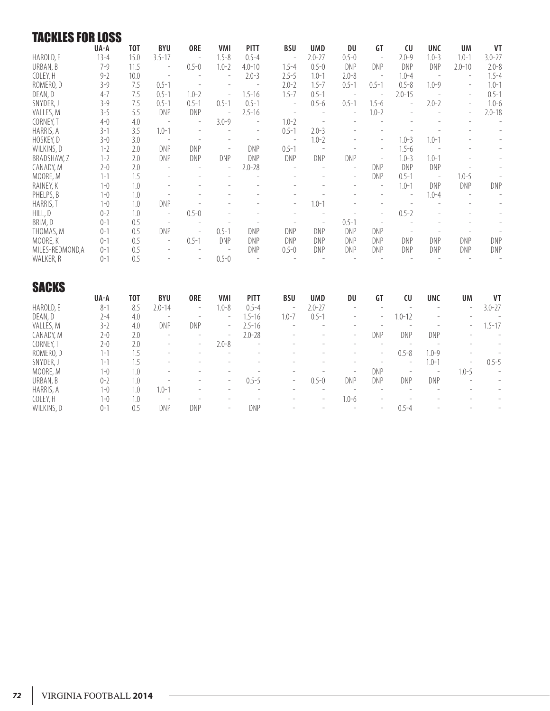| <b>TACKLES FOR LOSS</b> |          |                  |                          |                          |                          |                          |                          |                          |                          |                          |                          |                          |                          |                          |
|-------------------------|----------|------------------|--------------------------|--------------------------|--------------------------|--------------------------|--------------------------|--------------------------|--------------------------|--------------------------|--------------------------|--------------------------|--------------------------|--------------------------|
|                         | UA-A     | <b>TOT</b>       | <b>BYU</b>               | <b>ORE</b>               | <b>VMI</b>               | <b>PITT</b>              | <b>BSU</b>               | <b>UMD</b>               | DU                       | GT                       | CU                       | <b>UNC</b>               | <b>UM</b>                | <b>VT</b>                |
| HAROLD, E               | $13 - 4$ | 15.0             | $3.5 - 17$               | $\overline{\phantom{a}}$ | $1.5 - 8$                | $0.5 - 4$                | $\overline{\phantom{a}}$ | $2.0 - 27$               | $0.5 - 0$                | $\overline{\phantom{a}}$ | $2.0 - 9$                | $1.0 - 3$                | $1.0 - 1$                | $3.0 - 27$               |
| URBAN, B                | $7 - 9$  | 11.5             |                          | $0.5 - 0$                | $1.0 - 2$                | $4.0 - 10$               | $1.5 - 4$                | $0.5 - 0$                | DNP                      | <b>DNP</b>               | <b>DNP</b>               | DNP                      | $2.0 - 10$               | $2.0 - 8$                |
| COLEY, H                | $9 - 2$  | 10.0             | $\overline{\phantom{a}}$ | $\overline{\phantom{a}}$ | $\overline{\phantom{a}}$ | $2.0 - 3$                | $2.5 - 5$                | $1.0 - 1$                | $2.0 - 8$                | $\overline{\phantom{a}}$ | $1.0 - 4$                | $\overline{\phantom{a}}$ | $\overline{\phantom{a}}$ | $1.5 - 4$                |
| ROMERO, D               | $3 - 9$  | 7.5              | $0.5 - 1$                | $\overline{a}$           | $\overline{a}$           | $\overline{\phantom{a}}$ | $2.0 - 2$                | $1.5 - 7$                | $0.5 - 1$                | $0.5 - 1$                | $0.5 - 8$                | $1.0 - 9$                | $\overline{a}$           | $1.0 - 1$                |
| DEAN, D                 | $4 - 7$  | 7.5              | $0.5 - 1$                | $1.0 - 2$                | $\overline{\phantom{a}}$ | $1.5 - 16$               | $1.5 - 7$                | $0.5 - 1$                | $\overline{\phantom{a}}$ | $\overline{\phantom{a}}$ | $2.0 - 15$               | $\overline{\phantom{a}}$ | $\overline{\phantom{a}}$ | $0.5 - 1$                |
| SNYDER, J               | $3 - 9$  | 7.5              | $0.5 - 1$                | $0.5 - 1$                | $0.5 - 1$                | $0.5 - 1$                | $\overline{\phantom{a}}$ | $0.5 - 6$                | $0.5 - 1$                | $1.5 - 6$                | $\overline{a}$           | $2.0 - 2$                | $\overline{\phantom{a}}$ | $1.0 - 6$                |
| VALLES, M               | $3 - 5$  | 5.5              | DNP                      | <b>DNP</b>               | $\overline{\phantom{m}}$ | $2.5 - 16$               | $\overline{\phantom{a}}$ | $\overline{\phantom{m}}$ | $\bar{ }$                | $1.0 - 2$                | $\overline{\phantom{a}}$ | $\overline{\phantom{a}}$ | $\overline{\phantom{a}}$ | $2.0 - 18$               |
| CORNEY, T               | $4 - 0$  | 4.0              | $\overline{a}$           | $\overline{\phantom{a}}$ | $3.0 - 9$                | $\overline{a}$           | $1.0 - 2$                | $\overline{a}$           | $\overline{a}$           |                          |                          |                          | $\overline{a}$           | $\overline{\phantom{0}}$ |
| HARRIS, A               | $3 - 1$  | 3.5              | $1.0 - 1$                | $\overline{a}$           | $\overline{a}$           | $\overline{\phantom{a}}$ | $0.5 - 1$                | $2.0 - 3$                |                          |                          |                          |                          |                          | $\overline{\phantom{0}}$ |
| HOSKEY, D               | $3 - 0$  | 3.0              | $\overline{\phantom{a}}$ | $\overline{\phantom{a}}$ |                          | $\overline{\phantom{a}}$ | $\sim$                   | $1.0 - 2$                |                          | $\overline{\phantom{a}}$ | $1.0 - 3$                | $1.0 - 1$                |                          | $\overline{\phantom{0}}$ |
| WILKINS, D              | $1 - 2$  | 2.0              | <b>DNP</b>               | <b>DNP</b>               | $\overline{\phantom{a}}$ | <b>DNP</b>               | $0.5 - 1$                | $\overline{a}$           | $\overline{\phantom{a}}$ | $\overline{a}$           | $1.5 - 6$                | $\overline{\phantom{a}}$ |                          | $\overline{\phantom{0}}$ |
| BRADSHAW, Z             | $1 - 2$  | 2.0              | <b>DNP</b>               | <b>DNP</b>               | <b>DNP</b>               | <b>DNP</b>               | DNP                      | <b>DNP</b>               | <b>DNP</b>               | $\overline{\phantom{0}}$ | $1.0 - 3$                | $1.0 - 1$                |                          | $\overline{\phantom{0}}$ |
| CANADY, M               | $2 - 0$  | 2.0              |                          | $\overline{a}$           | $\overline{\phantom{a}}$ | $2.0 - 28$               |                          | $\overline{\phantom{a}}$ | $\overline{\phantom{a}}$ | <b>DNP</b>               | <b>DNP</b>               | <b>DNP</b>               |                          | $\overline{a}$           |
| MOORE, M                | $1 - 1$  | 1.5              |                          | $\overline{a}$           | $\overline{a}$           | $\overline{a}$           |                          |                          | $\overline{\phantom{a}}$ | DNP                      | $0.5 - 1$                | $\overline{\phantom{a}}$ | $1.0 - 5$                | $\overline{\phantom{0}}$ |
| RAINEY, K               | $1 - 0$  | 1.0              |                          | $\overline{a}$           |                          |                          |                          |                          | $\overline{\phantom{a}}$ | $\overline{a}$           | $1.0 - 1$                | DNP                      | DNP                      | <b>DNP</b>               |
| PHELPS, B               | $1 - 0$  | 1.0              |                          | $\overline{a}$           |                          |                          |                          | $\overline{a}$           |                          | $\overline{a}$           | $\overline{\phantom{a}}$ | $1.0 - 4$                | $\overline{\phantom{a}}$ |                          |
| HARRIS, T               | $1 - 0$  | 1.0              | <b>DNP</b>               |                          |                          |                          |                          | $1.0 - 1$                | $\overline{a}$           |                          | $\overline{a}$           |                          | $\overline{a}$           | $\overline{\phantom{0}}$ |
| HILL, D                 | $0 - 2$  | 1.0              | $\overline{\phantom{a}}$ | $0.5 - 0$                |                          |                          |                          | $\overline{\phantom{a}}$ |                          | $\overline{a}$           | $0.5 - 2$                |                          |                          | $\overline{\phantom{0}}$ |
| BRIM, D                 | $0 - 1$  | 0.5              | $\overline{\phantom{a}}$ |                          |                          | $\overline{\phantom{a}}$ |                          | $\overline{\phantom{m}}$ | $0.5 - 1$                | $\overline{\phantom{a}}$ |                          |                          |                          | $\overline{a}$           |
| THOMAS, M               | $0 - 1$  | 0.5              | <b>DNP</b>               | $\overline{\phantom{a}}$ | $0.5 - 1$                | <b>DNP</b>               | <b>DNP</b>               | <b>DNP</b>               | <b>DNP</b>               | <b>DNP</b>               | $\overline{\phantom{a}}$ | $\overline{a}$           | $\overline{a}$           | $\overline{\phantom{a}}$ |
| MOORE, K                | $0 - 1$  | 0.5              | $\overline{\phantom{a}}$ | $0.5 - 1$                | <b>DNP</b>               | <b>DNP</b>               | DNP                      | <b>DNP</b>               | <b>DNP</b>               | DNP                      | DNP                      | DNP                      | <b>DNP</b>               | <b>DNP</b>               |
| MILES-REDMOND, A        | $0 - 1$  | 0.5              |                          | $\overline{\phantom{a}}$ | $\overline{\phantom{a}}$ | DNP                      | $0.5 - 0$                | DNP                      | <b>DNP</b>               | <b>DNP</b>               | <b>DNP</b>               | DNP                      | DNP                      | <b>DNP</b>               |
| WALKER, R               | $0 - 1$  | 0.5              |                          | $\overline{a}$           | $0.5 - 0$                | $\overline{\phantom{a}}$ |                          | $\overline{\phantom{a}}$ | $\overline{a}$           | $\overline{a}$           | $\overline{\phantom{a}}$ | $\overline{\phantom{a}}$ | $\overline{\phantom{a}}$ | $\frac{1}{2}$            |
|                         |          |                  |                          |                          |                          |                          |                          |                          |                          |                          |                          |                          |                          |                          |
| <b>SACKS</b>            |          |                  |                          |                          |                          |                          |                          |                          |                          |                          |                          |                          |                          |                          |
|                         | UA-A     | T <sub>0</sub> T | <b>BYU</b>               | <b>ORE</b>               | <b>VMI</b>               | <b>PITT</b>              | <b>BSU</b>               | <b>UMD</b>               | DU                       | GT                       | CU                       | <b>UNC</b>               | <b>UM</b>                | VT                       |
| HAROLD, E               | $8 - 1$  | 8.5              | $2.0 - 14$               | $\overline{\phantom{a}}$ | $1.0 - 8$                | $0.5 - 4$                | $\overline{\phantom{m}}$ | $2.0 - 27$               | $\overline{\phantom{a}}$ | $\overline{a}$           | $\overline{\phantom{a}}$ | $\overline{\phantom{a}}$ | $\overline{a}$           | $3.0 - 27$               |
| DEAN, D                 | $2 - 4$  | 4.0              | $\overline{a}$           | $\overline{\phantom{a}}$ | $\overline{\phantom{a}}$ | $1.5 - 16$               | $1.0 - 7$                | $0.5 - 1$                | $\overline{a}$           | $\overline{a}$           | $1.0 - 12$               | ÷,                       |                          |                          |
| VALLES, M               | $3 - 2$  | 4.0              | <b>DNP</b>               | <b>DNP</b>               | $\overline{\phantom{a}}$ | $2.5 - 16$               | $\overline{\phantom{a}}$ | L,                       | $\overline{a}$           | $\overline{a}$           | $\overline{\phantom{a}}$ | $\overline{\phantom{a}}$ |                          | $1.5 - 17$               |
| CANADY, M               | $2 - 0$  | 2.0              | $\overline{\phantom{a}}$ | $\overline{\phantom{a}}$ | $\overline{\phantom{a}}$ | $2.0 - 28$               | $\overline{\phantom{a}}$ |                          | $\overline{\phantom{a}}$ | <b>DNP</b>               | DNP                      | <b>DNP</b>               |                          | $\overline{\phantom{a}}$ |
| CORNEY, T               | $2 - 0$  | 2.0              |                          | $\overline{\phantom{a}}$ | $2.0 - 8$                | $\overline{a}$           |                          |                          | $\overline{\phantom{a}}$ | $\overline{\phantom{a}}$ | $\overline{\phantom{a}}$ | L.                       |                          |                          |
| ROMERO, D               | $1 - 1$  | 1.5              |                          | $\overline{a}$           | $\overline{a}$           |                          |                          |                          |                          | $\overline{a}$           | $0.5 - 8$                | $1.0 - 9$                |                          |                          |
| SNYDER, J               | $1 - 1$  | 1.5              |                          |                          |                          |                          |                          |                          |                          | $\overline{a}$           | $\overline{\phantom{a}}$ | $1.0 - 1$                |                          | $0.5 - 5$                |
| MOORE, M                | $1 - 0$  | 1.0              |                          |                          |                          | $\overline{a}$           |                          |                          | $\overline{\phantom{a}}$ | <b>DNP</b>               | $\overline{\phantom{a}}$ | $\overline{\phantom{a}}$ | $1.0 - 5$                |                          |
| URBAN, B                | $0 - 2$  | 1.0              |                          |                          | $\overline{a}$           | $0.5 - 5$                | L,                       | $0.5 - 0$                | <b>DNP</b>               | <b>DNP</b>               | DNP                      | DNP                      |                          |                          |
| HARRIS, A               | $1 - 0$  | 1.0              | $1.0 - 1$                | $\overline{a}$           | $\overline{a}$           | $\overline{\phantom{a}}$ | $\overline{a}$           | $\overline{a}$           | $\overline{a}$           |                          | $\overline{a}$           |                          |                          | $\overline{\phantom{a}}$ |

COLEY, H 1-0 1.0 - - - - - - 1.0-6 - - - - - WILKINS, D 0-1 0.5 DNP DNP - - - 0.5-4 - - -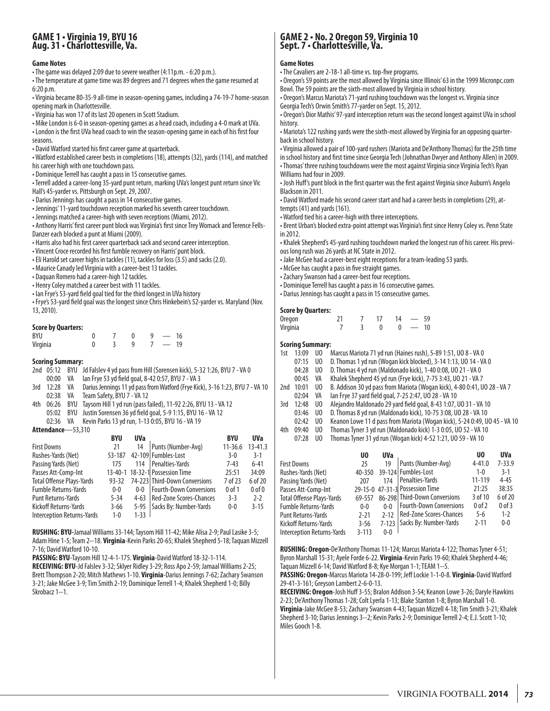## **GAME 1 • Virginia 19, BYU 16 Aug. 31 • Charlottesville, Va.**

#### **Game Notes**

- The game was delayed 2:09 due to severe weather (4:11p.m. 6:20 p.m.).
- The temperature at game time was 89 degrees and 71 degrees when the game resumed at 6:20 p.m.
- Virginia became 80-35-9 all-time in season-opening games, including a 74-19-7 home-season opening mark in Charlottesville.

• Virginia has won 17 of its last 20 openers in Scott Stadium.

• Mike London is 6-0 in season-opening games as a head coach, including a 4-0 mark at UVa.

• London is the first UVa head coach to win the season-opening game in each of his first four seasons.

- David Watford started his first career game at quarterback.
- Watford established career bests in completions (18), attempts (32), yards (114), and matched his career high with one touchdown pass.
- Dominique Terrell has caught a pass in 15 consecutive games.
- Terrell added a career-long 35-yard punt return, marking UVa's longest punt return since Vic Hall's 45-yarder vs. Pittsburgh on Sept. 29, 2007.
- Darius Jennings has caught a pass in 14 consecutive games.
- Jennings' 11-yard touchdown reception marked his seventh career touchdown.
- Jennings matched a career-high with seven receptions (Miami, 2012).
- Anthony Harris' first career punt block was Virginia's first since Trey Womack and Terence Fells-Danzer each blocked a punt at Miami (2009).
- Harris also had his first career quarterback sack and second career interception.
- Vincent Croce recorded his first fumble recovery on Harris' punt block.
- Eli Harold set career highs in tackles (11), tackles for loss (3.5) and sacks (2.0).
- Maurice Canady led Virginia with a career-best 13 tackles.
- Daquan Romero had a career-high 12 tackles.
- Henry Coley matched a career best with 11 tackles.
- Ian Frye's 53-yard field goal tied for the third longest in UVa history

• Frye's 53-yard field goal was the longest since Chris Hinkebein's 52-yarder vs. Maryland (Nov. 13, 2010).

#### **Score by Quarters:**

| BYU      |  | a | 16 |  |
|----------|--|---|----|--|
| Virginia |  |   | 19 |  |

#### **Scoring Summary:**

- 2nd 05:12 BYU Jd Falslev 4 yd pass from Hill (Sorensen kick), 5-32 1:26, BYU 7 VA 0
- lan Frye 53 yd field goal, 8-42 0:57, BYU 7 VA 3
- 3rd 12:28 VA Darius Jennings 11 yd pass from Watford (Frye Kick), 3-16 1:23, BYU 7 VA 10 02:38 VA Team Safety, BYU 7 - VA 12
- 4th 06:26 BYU Taysom Hill 1 yd run (pass failed), 11-92 2:26, BYU 13 VA 12
- 05:02 BYU Justin Sorensen 36 yd field goal, 5-9 1:15, BYU 16 VA 12
- 02:36 VA Kevin Parks 13 yd run, 1-13 0:05, BYU 16 VA 19 **Attendance**—53,310

| ,,,,,,,,,,,,,,<br><i><u>JJJIV</u></i> |            |            |                                 |             |             |
|---------------------------------------|------------|------------|---------------------------------|-------------|-------------|
|                                       | <b>BYU</b> | <b>UVa</b> |                                 | <b>BYU</b>  | <b>UVa</b>  |
| <b>First Downs</b>                    | 21         | 14         | Punts (Number-Avg)              | $11 - 36.6$ | $13 - 41.3$ |
| Rushes-Yards (Net)                    | 53-187     |            | 42-109 Fumbles-Lost             | $3-0$       | $3-1$       |
| Passing Yards (Net)                   | 175        | 114        | Penalties-Yards                 | $7-43$      | $6 - 41$    |
| Passes Att-Comp-Int                   |            |            | 13-40-1 18-32-1 Possession Time | 25:51       | 34:09       |
| <b>Total Offense Plays-Yards</b>      | 93-32      |            | 74-223 Third-Down Conversions   | 7 of 23     | 6 of 20     |
| <b>Fumble Returns-Yards</b>           | $0-0$      | $0 - 0$    | <b>Fourth-Down Conversions</b>  | $0$ of $1$  | $0$ of $0$  |
| <b>Punt Returns-Yards</b>             | $5 - 34$   | $4 - 63$   | Red-Zone Scores-Chances         | $3 - 3$     | $2 - 2$     |
| Kickoff Returns-Yards                 | $3 - 66$   | 5-95       | Sacks By: Number-Yards          | $0 - 0$     | $3 - 15$    |
| Interception Returns-Yards            | $1 - 0$    | $1 - 33$   |                                 |             |             |
|                                       |            |            |                                 |             |             |

**RUSHING: BYU-**Jamaal Williams 33-144; Taysom Hill 11-42; Mike Alisa 2-9; Paul Lasike 3-5; Adam Hine 1-5; Team 2--18. **Virginia**-Kevin Parks 20-65; Khalek Shepherd 5-18; Taquan Mizzell 7-16; David Watford 10-10.

**PASSING: BYU**-Taysom Hill 12-4-1-175. **Virginia**-David Watford 18-32-1-114.

**RECEIVING: BYU**-Jd Falslev 3-32; Sklyer Ridley 3-29; Ross Apo 2-59; Jamaal Williams 2-25; Brett Thompson 2-20; Mitch Mathews 1-10. **Virginia**-Darius Jennings 7-62; Zachary Swanson 3-21; Jake McGee 3-9; Tim Smith 2-19; Dominique Terrell 1-4; Khalek Shepherd 1-0; Billy Skrobacz 1--1.

## **GAME 2 • No. 2 Oregon 59, Virginia 10 Sept. 7 • Charlottesville, Va.**

#### **Game Notes**

- The Cavaliers are 2-18-1 all-time vs. top-five programs.
- Oregon's 59 points are the most allowed by Virginia since Illinois' 63 in the 1999 Micronpc.com Bowl. The 59 points are the sixth-most allowed by Virginia in school history.

• Oregon's Marcus Mariota's 71-yard rushing touchdown was the longest vs. Virginia since Georgia Tech's Orwin Smith's 77-yarder on Sept. 15, 2012.

• Oregon's Dior Mathis' 97-yard interception return was the second longest against UVa in school history.

• Mariota's 122 rushing yards were the sixth-most allowed by Virginia for an opposing quarterback in school history.

• Virginia allowed a pair of 100-yard rushers (Mariota and De'Anthony Thomas) for the 25th time in school history and first time since Georgia Tech (Johnathan Dwyer and Anthony Allen) in 2009.

• Thomas' three rushing touchdowns were the most against Virginia since Virginia Tech's Ryan Williams had four in 2009.

• Josh Huff's punt block in the first quarter was the first against Virginia since Auburn's Angelo Blackson in 2011.

• David Watford made his second career start and had a career bests in completions (29), attempts (41) and yards (161).

• Watford tied his a career-high with three interceptions.

• Brent Urban's blocked extra-point attempt was Virginia's first since Henry Coley vs. Penn State in 2012.

• Khalek Shepherd's 45-yard rushing touchdown marked the longest run of his career. His previous long rush was 26 yards at NC State in 2012.

• Jake McGee had a career-best eight receptions for a team-leading 53 yards.

- McGee has caught a pass in five straight games.
- Zachary Swanson had a career-best four receptions.
- Dominique Terrell has caught a pass in 16 consecutive games.
- Darius Jennings has caught a pass in 15 consecutive games.

#### **Score by Quarters:**

| Oregon   |  | 14 | $-59$ |  |
|----------|--|----|-------|--|
| Virginia |  |    | $-10$ |  |

#### **Scoring Summary:**

| 13:09 | U0             | Marcus Mariota 71 yd run (Haines rush), 5-89 1:51, UO 8 - VA 0            |
|-------|----------------|---------------------------------------------------------------------------|
| 07:15 | U <sub>0</sub> | D. Thomas 1 yd run (Wogan kick blocked), 3-14 1:13, UO 14 - VA 0          |
| 04:28 | U <sub>0</sub> | D. Thomas 4 yd run (Maldonado kick), 1-40 0:08, UO 21 - VA 0              |
| 00:45 | VA             | Khalek Shepherd 45 yd run (Frye kick), 7-75 3:43, UO 21 - VA 7            |
| 10:01 | U <sub>0</sub> | B. Addison 30 yd pass from Mariota (Wogan kick), 4-80 0:41, UO 28 - VA 7  |
| 02:04 | VA             | lan Frye 37 yard field goal, 7-25 2:47, UO 28 - VA 10                     |
| 12:48 | U0             | Alejandro Maldonado 29 yard field goal, 8-43 1:07, UO 31 - VA 10          |
| 03:46 | U <sub>0</sub> | D. Thomas 8 yd run (Maldonado kick), 10-75 3:08, UO 28 - VA 10            |
| 02:42 | U0             | Keanon Lowe 11 d pass from Mariota (Wogan kick), 5-24 0:49, UO 45 - VA 10 |
| 09:40 | U <sub>0</sub> | Thomas Tyner 3 yd run (Maldonado kick) 1-3 0:05, UO 52 - VA 10            |
| 07:28 | U <sub>0</sub> | Thomas Tyner 31 yd run (Wogan kick) 4-52 1:21, UO 59 - VA 10              |
|       |                |                                                                           |

|                            | U <sub>0</sub> | <b>UVa</b> |                                 | U0         | <b>UVa</b> |
|----------------------------|----------------|------------|---------------------------------|------------|------------|
| First Downs                | 25             | 19         | Punts (Number-Avg)              | $4 - 41.0$ | $7 - 33.9$ |
| Rushes-Yards (Net)         | 40-350         |            | 39-124 Fumbles-Lost             | $1 - 0$    | $3 - 1$    |
| Passing Yards (Net)        | 207            | 174        | Penalties-Yards                 | 11-119     | $4 - 45$   |
| Passes Att-Comp-Int        |                |            | 29-15-0 47-31-3 Possession Time | 21:25      | 38:35      |
| Total Offense Plays-Yards  | 69-557         |            | 86-298 Third-Down Conversions   | 3 of 10    | 6 of 20    |
| Fumble Returns-Yards       | $0 - 0$        | $0-0$      | <b>Fourth-Down Conversions</b>  | $0$ of $2$ | $0$ of $3$ |
| Punt Returns-Yards         | $2 - 21$       | $2 - 12$   | Red-Zone Scores-Chances         | $5 - 6$    | $1 - 2$    |
| Kickoff Returns-Yards      | $3 - 56$       |            | 7-123   Sacks By: Number-Yards  | $2 - 11$   | $0 - 0$    |
| Interception Returns-Yards | $3 - 113$      | $0 - 0$    |                                 |            |            |
|                            |                |            |                                 |            |            |

**RUSHING: Oregon-**De'Anthony Thomas 11-124; Marcus Mariota 4-122; Thomas Tyner 4-51; Byron Marshall 15-31; Ayele Forde 6-22. **Virginia**-Kevin Parks 19-60; Khalek Shepherd 4-46; Taquan Mizzell 6-14; David Watford 8-8; Kye Morgan 1-1; TEAM 1--5.

**PASSING: Oregon**-Marcus Mariota 14-28-0-199; Jeff Lockie 1-1-0-8. **Virginia**-David Watford 29-41-3-161; Greyson Lambert 2-6-0-13.

**RECEIVING: Oregon**-Josh Huff 3-55; Bralon Addison 3-54; Keanon Lowe 3-26; Daryle Hawkins 2-23; De'Anthony Thomas 1-28; Colt Lyerla 1-13; Blake Stanton 1-8; Byron Marshall 1-0. **Virginia**-Jake McGee 8-53; Zachary Swanson 4-43; Taquan Mizzell 4-18; Tim Smith 3-21; Khalek Shepherd 3-10; Darius Jennings 3--2; Kevin Parks 2-9; Dominique Terrell 2-4; E.J. Scott 1-10; Miles Gooch 1-8.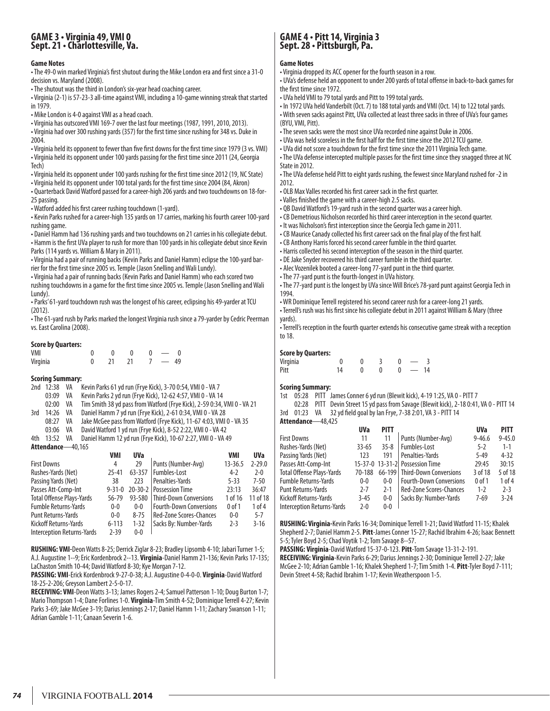### **GAME 3 • Virginia 49, VMI 0 Sept. 21 • Charlottesville, Va.**

#### **Game Notes**

• The 49-0 win marked Virginia's first shutout during the Mike London era and first since a 31-0 decision vs. Maryland (2008).

• The shutout was the third in London's six-year head coaching career.

• Virginia (2-1) is 57-23-3 all-time against VMI, including a 10-game winning streak that started in 1979.

• Mike London is 4-0 against VMI as a head coach.

• Virginia has outscored VMI 169-7 over the last four meetings (1987, 1991, 2010, 2013).

• Virginia had over 300 rushing yards (357) for the first time since rushing for 348 vs. Duke in 2004.

• Virginia held its opponent to fewer than five first downs for the first time since 1979 (3 vs. VMI) • Virginia held its opponent under 100 yards passing for the first time since 2011 (24, Georgia Tech)

• Virginia held its opponent under 100 yards rushing for the first time since 2012 (19, NC State)

• Virginia held its opponent under 100 total yards for the first time since 2004 (84, Akron)

• Quarterback David Watford passed for a career-high 206 yards and two touchdowns on 18-for-25 passing.

• Watford added his first career rushing touchdown (1-yard).

• Kevin Parks rushed for a career-high 135 yards on 17 carries, marking his fourth career 100-yard rushing game.

• Daniel Hamm had 136 rushing yards and two touchdowns on 21 carries in his collegiate debut. • Hamm is the first UVa player to rush for more than 100 yards in his collegiate debut since Kevin Parks (114 yards vs. William & Mary in 2011).

• Virginia had a pair of running backs (Kevin Parks and Daniel Hamm) eclipse the 100-yard barrier for the first time since 2005 vs. Temple (Jason Snelling and Wali Lundy).

• Virginia had a pair of running backs (Kevin Parks and Daniel Hamm) who each scored two rushing touchdowns in a game for the first time since 2005 vs. Temple (Jason Snelling and Wali Lundy).

• Parks' 61-yard touchdown rush was the longest of his career, eclipsing his 49-yarder at TCU (2012).

• The 61-yard rush by Parks marked the longest Virginia rush since a 79-yarder by Cedric Peerman vs. East Carolina (2008).

#### **Score by Quarters:**

| VMI      |      |  |    |  |
|----------|------|--|----|--|
| Virginia | - 71 |  | 49 |  |

#### **Scoring Summary:**

|     | 2nd 12:38         | VA | Kevin Parks 61 yd run (Frye Kick), 3-70 0:54, VMI 0 - VA 7              |
|-----|-------------------|----|-------------------------------------------------------------------------|
|     | 03:09             | VA | Kevin Parks 2 yd run (Frye Kick), 12-62 4:57, VMI 0 - VA 14             |
|     | 02:00             | VA | Tim Smith 38 yd pass from Watford (Frye Kick), 2-59 0:34, VMI 0 - VA 21 |
| 3rd | 14:26             | VA | Daniel Hamm 7 yd run (Frye Kick), 2-61 0:34, VMI 0 - VA 28              |
|     | 08:27             | VA | Jake McGee pass from Watford (Frye Kick), 11-67 4:03, VMI 0 - VA 35     |
|     | 03:06             | VA | David Watford 1 yd run (Frye Kick), 8-52 2:22, VMI 0 - VA 42            |
| 4th | 13:52             | VA | Daniel Hamm 12 yd run (Frye Kick), 10-67 2:27, VMI 0 - VA 49            |
|     | Attendance-40,165 |    |                                                                         |

|                                  | VMI          | <b>UVa</b>    |                                | VMI         | <b>UVa</b> |
|----------------------------------|--------------|---------------|--------------------------------|-------------|------------|
| <b>First Downs</b>               | 4            | 29            | Punts (Number-Avg)             | $13 - 36.5$ | $2 - 29.0$ |
| Rushes-Yards (Net)               | $25 - 41$    | 63-357        | Fumbles-Lost                   | $4-2$       | $2 - 0$    |
| Passing Yards (Net)              | 38           | 223           | Penalties-Yards                | $5 - 33$    | $7 - 50$   |
| Passes Att-Comp-Int              | $9 - 31 - 0$ | $20 - 30 - 2$ | <b>Possession Time</b>         | 23:13       | 36:47      |
| <b>Total Offense Plays-Yards</b> | 56-79        | 93-580        | <b>Third-Down Conversions</b>  | 1 of 16     | 11 of 18   |
| <b>Fumble Returns-Yards</b>      | $0 - 0$      | $0-0$         | <b>Fourth-Down Conversions</b> | $0$ of 1    | 1 of 4     |
| <b>Punt Returns-Yards</b>        | $0 - 0$      | $8 - 75$      | <b>Red-Zone Scores-Chances</b> | $0 - 0$     | $5 - 7$    |
| Kickoff Returns-Yards            | $6 - 113$    | $1 - 32$      | Sacks By: Number-Yards         | $2 - 3$     | $3 - 16$   |
| Interception Returns-Yards       | $2 - 39$     | $0 - 0$       |                                |             |            |

**RUSHING: VMI-**Deon Watts 8-25; Derrick Ziglar 8-23; Bradley Lipsomb 4-10; Jabari Turner 1-5; A.J. Augustine 1--9; Eric Kordenbrock 2--13. **Virginia**-Daniel Hamm 21-136; Kevin Parks 17-135; LaChaston Smith 10-44; David Watford 8-30; Kye Morgan 7-12.

**PASSING: VMI**-Erick Kordenbrock 9-27-0-38; A.J. Augustine 0-4-0-0. **Virginia**-David Watford 18-25-2-206; Greyson Lambert 2-5-0-17.

**RECEIVING: VMI**-Deon Watts 3-13; James Rogers 2-4; Samuel Patterson 1-10; Doug Burton 1-7; Mario Thompson 1-4; Dane Forlines 1-0. **Virginia**-Tim Smith 4-52; Dominique Terrell 4-27; Kevin Parks 3-69; Jake McGee 3-19; Darius Jennings 2-17; Daniel Hamm 1-11; Zachary Swanson 1-11; Adrian Gamble 1-11; Canaan Severin 1-6.

# **GAME 4 • Pitt 14, Virginia 3 Sept. 28 • Pittsburgh, Pa.**

#### **Game Notes**

• Virginia dropped its ACC opener for the fourth season in a row.

• UVa's defense held an opponent to under 200 yards of total offense in back-to-back games for the first time since 1972.

• UVa held VMI to 79 total yards and Pitt to 199 total yards.

• In 1972 UVa held Vanderbilt (Oct. 7) to 188 total yards and VMI (Oct. 14) to 122 total yards. • With seven sacks against Pitt, UVa collected at least three sacks in three of UVa's four games (BYU, VMI, Pitt).

• The seven sacks were the most since UVa recorded nine against Duke in 2006.

• UVa was held scoreless in the first half for the first time since the 2012 TCU game.

• UVa did not score a touchdown for the first time since the 2011 Virginia Tech game.

• The UVa defense intercepted multiple passes for the first time since they snagged three at NC State in 2012.

• The UVa defense held Pitt to eight yards rushing, the fewest since Maryland rushed for -2 in 2012.

• OLB Max Valles recorded his first career sack in the first quarter.

• Valles finished the game with a career-high 2.5 sacks.

• QB David Watford's 19-yard rush in the second quarter was a career high.

• CB Demetrious Nicholson recorded his third career interception in the second quarter.

- It was Nicholson's first interception since the Georgia Tech game in 2011.
- CB Maurice Canady collected his first career sack on the final play of the first half.
- CB Anthony Harris forced his second career fumble in the third quarter.

• Harris collected his second interception of the season in the third quarter.

• DE Jake Snyder recovered his third career fumble in the third quarter.

• Alec Vozenilek booted a career-long 77-yard punt in the third quarter.

• The 77-yard punt is the fourth-longest in UVa history.

• The 77-yard punt is the longest by UVa since Will Brice's 78-yard punt against Georgia Tech in 1994.

• WR Dominique Terrell registered his second career rush for a career-long 21 yards. • Terrell's rush was his first since his collegiate debut in 2011 against William & Mary (three yards).

• Terrell's reception in the fourth quarter extends his consecutive game streak with a reception to 18.

#### **Score by Quarters:**

| <b>SCALE RA GAMI CELS:</b> |  |  |    |
|----------------------------|--|--|----|
| Virginia                   |  |  |    |
| Pitt                       |  |  | 14 |

#### **Scoring Summary:**

1st 05:28 PITT James Conner 6 yd run (Blewit kick), 4-19 1:25, VA 0 - PITT 7

02:28 PITT Devin Street 15 yd pass from Savage (Blewit kick), 2-18 0:41, VA 0 - PITT 14 3rd 01:23 VA 32 yd field goal by Ian Frye, 7-38 2:01, VA 3 - PITT 14

#### **Attendance**—48,425

| ,,,,,,,,,,,,,               |            |            |                                 |            |             |
|-----------------------------|------------|------------|---------------------------------|------------|-------------|
|                             | <b>UVa</b> | PITT       |                                 | <b>UVa</b> | <b>PITT</b> |
| <b>First Downs</b>          | 11         | 11         | Punts (Number-Avg)              | $9 - 46.6$ | $9 - 45.0$  |
| Rushes-Yards (Net)          | $33 - 65$  | $35 - 8$   | Fumbles-Lost                    | $5 - 2$    | $1 - 1$     |
| Passing Yards (Net)         | 123        | 191        | Penalties-Yards                 | $5-49$     | $4 - 32$    |
| Passes Att-Comp-Int         |            |            | 15-37-0 13-31-2 Possession Time | 79:45      | 30:15       |
| Total Offense Plays-Yards   | 70-188     | $66 - 199$ | <b>Third-Down Conversions</b>   | 3 of 18    | 5 of 18     |
| <b>Fumble Returns-Yards</b> | $0-0$      | $0-0$      | <b>Fourth-Down Conversions</b>  | $0$ of $1$ | $1$ of $4$  |
| Punt Returns-Yards          | $2 - 7$    | $2 - 1$    | <b>Red-Zone Scores-Chances</b>  | $1 - 2$    | $2 - 3$     |
| Kickoff Returns-Yards       | $3 - 45$   | $0-0$      | Sacks By: Number-Yards          | $7 - 69$   | $3 - 24$    |
| Interception Returns-Yards  | $2 - 0$    | $0 - 0$    |                                 |            |             |
|                             |            |            |                                 |            |             |

**RUSHING: Virginia-**Kevin Parks 16-34; Dominique Terrell 1-21; David Watford 11-15; Khalek Shepherd 2-7; Daniel Hamm 2-5. **Pitt**-James Conner 15-27; Rachid Ibrahim 4-26; Isaac Bennett 5-5; Tyler Boyd 2-5; Chad Voytik 1-2; Tom Savage 8--57.

**PASSING: Virginia**-David Watford 15-37-0-123. **Pitt**-Tom Savage 13-31-2-191.

**RECEIVING: Virginia**-Kevin Parks 6-29; Darius Jennings 2-30; Dominique Terrell 2-27; Jake McGee 2-10; Adrian Gamble 1-16; Khalek Shepherd 1-7; Tim Smith 1-4. **Pitt**-Tyler Boyd 7-111; Devin Street 4-58; Rachid Ibrahim 1-17; Kevin Weatherspoon 1-5.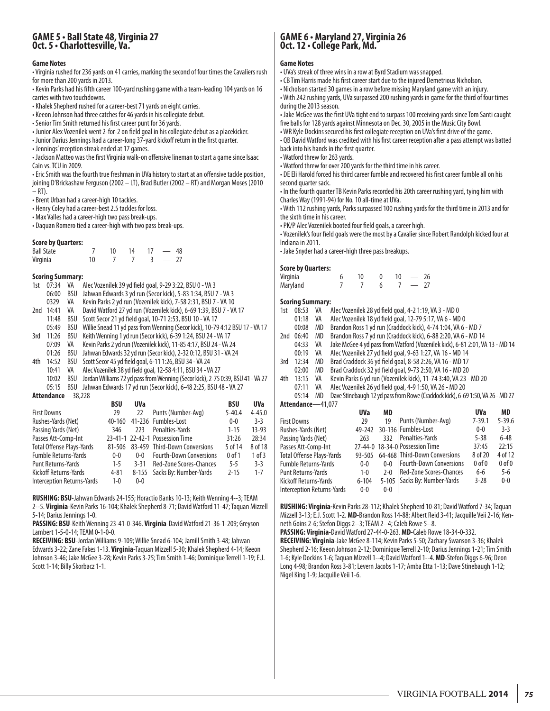### **GAME 5 • Ball State 48, Virginia 27 Oct. 5 • Charlottesville, Va.**

#### **Game Notes**

• Virginia rushed for 236 yards on 41 carries, marking the second of four times the Cavaliers rush for more than 200 yards in 2013.

• Kevin Parks had his fifth career 100-yard rushing game with a team-leading 104 yards on 16 carries with two touchdowns.

• Khalek Shepherd rushed for a career-best 71 yards on eight carries.

- Keeon Johnson had three catches for 46 yards in his collegiate debut.
- Senior Tim Smith returned his first career punt for 36 yards.
- Junior Alex Vozenilek went 2-for-2 on field goal in his collegiate debut as a placekicker.
- Junior Darius Jennings had a career-long 37-yard kickoff return in the first quarter.
- Jennings' reception streak ended at 17 games.

• Jackson Matteo was the first Virginia walk-on offensive lineman to start a game since Isaac Cain vs. TCU in 2009.

• Eric Smith was the fourth true freshman in UVa history to start at an offensive tackle position, joining D'Brickashaw Ferguson (2002 – LT), Brad Butler (2002 – RT) and Morgan Moses (2010  $- RT$ ).

• Brent Urban had a career-high 10 tackles.

• Henry Coley had a career-best 2.5 tackles for loss.

• Max Valles had a career-high two pass break-ups.

• Daquan Romero tied a career-high with two pass break-ups.

#### **Score by Quarters:**

| <b>Ball State</b> |    | 10 | 14 | $-48$      |  |
|-------------------|----|----|----|------------|--|
| Virginia          | 10 |    |    | $\sim$ $-$ |  |

#### **Scoring Summary:**

| 1st | 07:34             | VA  | Alec Vozenilek 39 yd field goal, 9-29 3:22, BSU 0 - VA 3                        |  |  |  |  |  |  |
|-----|-------------------|-----|---------------------------------------------------------------------------------|--|--|--|--|--|--|
|     | 06:00             | BSU | Jahwan Edwards 3 yd run (Secor kick), 5-83 1:34, BSU 7 - VA 3                   |  |  |  |  |  |  |
|     | 0329              | VA  | Kevin Parks 2 yd run (Vozenilek kick), 7-58 2:31, BSU 7 - VA 10                 |  |  |  |  |  |  |
| 2nd | 14:41             | VA  | David Watford 27 yd run (Vozenilek kick), 6-69 1:39, BSU 7 - VA 17              |  |  |  |  |  |  |
|     | 11:48             | BSU | Scott Secor 21 yd field goal, 10-71 2:53, BSU 10 - VA 17                        |  |  |  |  |  |  |
|     | 05:49             | BSU | Willie Snead 11 yd pass from Wenning (Secor kick), 10-79 4:12 BSU 17 - VA 17    |  |  |  |  |  |  |
| 3rd | 11:26             | BSU | Keith Wenning 1 yd run (Secor kick), 6-39 1:24, BSU 24 - VA 17                  |  |  |  |  |  |  |
|     | 07:09             | VA  | Kevin Parks 2 yd run (Vozenilek kick), 11-85 4:17, BSU 24 - VA 24               |  |  |  |  |  |  |
|     | 01:26             | BSU | Jahwan Edwards 32 yd run (Secor kick), 2-32 0:12, BSU 31 - VA 24                |  |  |  |  |  |  |
| 4th | 14:52             | BSU | Scott Secor 45 yd field goal, 6-11 1:26, BSU 34 - VA 24                         |  |  |  |  |  |  |
|     | 10:41             | VA  | Alec Vozenilek 38 yd field goal, 12-58 4:11, BSU 34 - VA 27                     |  |  |  |  |  |  |
|     | 10:02             | BSU | Jordan Williams 72 yd pass from Wenning (Secor kick), 2-75 0:39, BSU 41 - VA 27 |  |  |  |  |  |  |
|     | 05:15             | BSU | Jahwan Edwards 17 yd run (Secor kick), 6-48 2:25, BSU 48 - VA 27                |  |  |  |  |  |  |
|     | Attendance-38.228 |     |                                                                                 |  |  |  |  |  |  |

|                                   | <b>BSU</b> | <b>UVa</b> |                                 | <b>BSU</b> | <b>UVa</b> |
|-----------------------------------|------------|------------|---------------------------------|------------|------------|
| <b>First Downs</b>                | 29         | 22         | Punts (Number-Avg)              | $5 - 40.4$ | $4 - 45.0$ |
| Rushes-Yards (Net)                | 40-160     |            | 41-236   Fumbles-Lost           | $0 - 0$    | $3 - 3$    |
| Passing Yards (Net)               | 346        | 223        | Penalties-Yards                 | $1 - 15$   | $13-93$    |
| Passes Att-Comp-Int               |            |            | 23-41-1 22-42-1 Possession Time | 31:26      | 28:34      |
| <b>Total Offense Plays-Yards</b>  | 81-506     |            | 83-459   Third-Down Conversions | 5 of 14    | 8 of 18    |
| <b>Fumble Returns-Yards</b>       | $0-0$      | $0-0$      | <b>Fourth-Down Conversions</b>  | $0$ of $1$ | 1 of 3     |
| <b>Punt Returns-Yards</b>         | $1 - 5$    | $3 - 31$   | <b>Red-Zone Scores-Chances</b>  | $5 - 5$    | $3 - 3$    |
| Kickoff Returns-Yards             | $4 - 81$   | $8 - 155$  | Sacks By: Number-Yards          | $2 - 15$   | $1 - 7$    |
| <b>Interception Returns-Yards</b> | $1 - 0$    | $0-0$      |                                 |            |            |

**RUSHING: BSU-**Jahwan Edwards 24-155; Horactio Banks 10-13; Keith Wenning 4--3; TEAM 2--5. **Virginia**-Kevin Parks 16-104; Khalek Shepherd 8-71; David Watford 11-47; Taquan Mizzell 5-14; Darius Jennings 1-0.

**PASSING: BSU**-Keith Wenning 23-41-0-346. **Virginia**-David Watford 21-36-1-209; Greyson Lambert 1-5-0-14; TEAM 0-1-0-0.

**RECEIVING: BSU**-Jordan Williams 9-109; Willie Snead 6-104; Jamill Smith 3-48; Jahwan Edwards 3-22; Zane Fakes 1-13. **Virginia**-Taquan Mizzell 5-30; Khalek Shepherd 4-14; Keeon Johnson 3-46; Jake McGee 3-28; Kevin Parks 3-25; Tim Smith 1-46; Dominique Terrell 1-19; E.J. Scott 1-14; Billy Skorbacz 1-1.

# **GAME 6 • Maryland 27, Virginia 26 Oct. 12 • College Park, Md.**

#### **Game Notes**

- UVa's streak of three wins in a row at Byrd Stadium was snapped.
- CB Tim Harris made his first career start due to the injured Demetrious Nicholson.
- Nicholson started 30 games in a row before missing Maryland game with an injury. • With 242 rushing yards, UVa surpassed 200 rushing yards in game for the third of four times during the 2013 season.
- Jake McGee was the first UVa tight end to surpass 100 receiving yards since Tom Santi caught five balls for 128 yards against Minnesota on Dec. 30, 2005 in the Music City Bowl.

• WR Kyle Dockins secured his first collegiate reception on UVa's first drive of the game. • QB David Watford was credited with his first career reception after a pass attempt was batted back into his hands in the first quarter.

• Watford threw for 263 yards.

• Watford threw for over 200 yards for the third time in his career.

• DE Eli Harold forced his third career fumble and recovered his first career fumble all on his second quarter sack.

• In the fourth quarter TB Kevin Parks recorded his 20th career rushing yard, tying him with Charles Way (1991-94) for No. 10 all-time at UVa.

• With 112 rushing yards, Parks surpassed 100 rushing yards for the third time in 2013 and for the sixth time in his career.

• PK/P Alec Vozenilek booted four field goals, a career high.

• Vozenilek's four field goals were the most by a Cavalier since Robert Randolph kicked four at Indiana in 2011.

• Jake Snyder had a career-high three pass breakups.

#### **Score by Quarters:**

| Virginia | 10 |  | 26 |
|----------|----|--|----|
| Maryland |    |  |    |

#### **Scoring Summary:**

| 1st | 08:53              | VA |            |    | Alec Vozenilek 28 yd field goal, 4-2 1:19, VA 3 - MD 0                         |            |            |
|-----|--------------------|----|------------|----|--------------------------------------------------------------------------------|------------|------------|
|     | 01:18              | VA |            |    | Alec Vozenilek 18 yd field goal, 12-79 5:17, VA 6 - MD 0                       |            |            |
|     | 00:08              | MD |            |    | Brandon Ross 1 yd run (Craddock kick), 4-74 1:04, VA 6 - MD 7                  |            |            |
| 2nd | 06:40              | MD |            |    | Brandon Ross 7 yd run (Craddock kick), 6-88 2:20, VA 6 - MD 14                 |            |            |
|     | 04:33              | VA |            |    | Jake McGee 4 yd pass from Watford (Vozenilek kick), 6-81 2:01, VA 13 - MD 14   |            |            |
|     | 00:19              | VA |            |    | Alec Vozenilek 27 yd field goal, 9-63 1:27, VA 16 - MD 14                      |            |            |
| 3rd | 12:34              | MD |            |    | Brad Craddock 36 yd field goal, 8-58 2:26, VA 16 - MD 17                       |            |            |
|     | 02:00              | MD |            |    | Brad Craddock 32 yd field goal, 9-73 2:50, VA 16 - MD 20                       |            |            |
| 4th | 13:15              | VA |            |    | Kevin Parks 6 yd run (Vozenilek kick), 11-74 3:40, VA 23 - MD 20               |            |            |
|     | 07:11              | VA |            |    | Alec Vozenilek 26 yd field goal, 4-9 1:50, VA 26 - MD 20                       |            |            |
|     | 05:14              | MD |            |    | Dave Stinebaugh 12 yd pass from Rowe (Craddock kick), 6-69 1:50, VA 26 - MD 27 |            |            |
|     | Attendance-41,077  |    |            |    |                                                                                |            |            |
|     |                    |    | <b>UVa</b> | MD |                                                                                | <b>UVa</b> | MD         |
|     | <b>First Downs</b> |    | 29         | 19 | Punts (Number-Avg)                                                             | $7 - 39.1$ | $5 - 39.6$ |
|     | Rushes-Yards (Net) |    | 49-242     |    | 30-136 Fumbles-Lost                                                            | $0 - 0$    | $3 - 3$    |

| First Downs                       | 79        |       | 19 Punts (Number-Avg)           | 7-39.I     | 5-39.6     |
|-----------------------------------|-----------|-------|---------------------------------|------------|------------|
| Rushes-Yards (Net)                |           |       | 49-242 30-136 Fumbles-Lost      | $0 - 0$    | $3-3$      |
| Passing Yards (Net)               | 263       |       | 332   Penalties-Yards           | $5 - 38$   | $6 - 48$   |
| Passes Att-Comp-Int               |           |       | 27-44-0 18-34-0 Possession Time | 37:45      | 22:15      |
| Total Offense Plays-Yards         | 93-505    |       | 64-468 Third-Down Conversions   | 8 of 20    | 4 of 12    |
| Fumble Returns-Yards              | $0 - 0$   |       | 0-0   Fourth-Down Conversions   | $0$ of $0$ | $0$ of $0$ |
| Punt Returns-Yards                | $1 - 0$   |       | 2-0   Red-Zone Scores-Chances   | 6-6        | $5 - 6$    |
| Kickoff Returns-Yards             | $6 - 104$ |       | 5-105   Sacks By: Number-Yards  | $3 - 28$   | $0 - 0$    |
| <b>Interception Returns-Yards</b> | $0 - 0$   | $0-0$ |                                 |            |            |
|                                   |           |       |                                 |            |            |

**RUSHING: Virginia-**Kevin Parks 28-112; Khalek Shepherd 10-81; David Watford 7-34; Taquan Mizzell 3-13; E.J. Scott 1-2. **MD**-Brandon Ross 14-88; Albert Reid 3-41; Jacquille Veii 2-16; Kenneth Goins 2-6; Stefon Diggs 2--3; TEAM 2--4; Caleb Rowe 5--8.

**PASSING: Virginia**-David Watford 27-44-0-263. **MD**-Caleb Rowe 18-34-0-332. **RECEIVING: Virginia**-Jake McGee 8-114; Kevin Parks 5-50; Zachary Swanson 3-36; Khalek Shepherd 2-16; Keeon Johnson 2-12; Dominique Terrell 2-10; Darius Jennings 1-21; Tim Smith 1-6; Kyle Dockins 1-6; Taquan Mizzell 1--4; David Watford 1--4. **MD**-Stefon Diggs 6-96; Deon Long 4-98; Brandon Ross 3-81; Levern Jacobs 1-17; Amba Etta 1-13; Dave Stinebaugh 1-12; Nigel King 1-9; Jacquille Veii 1-6.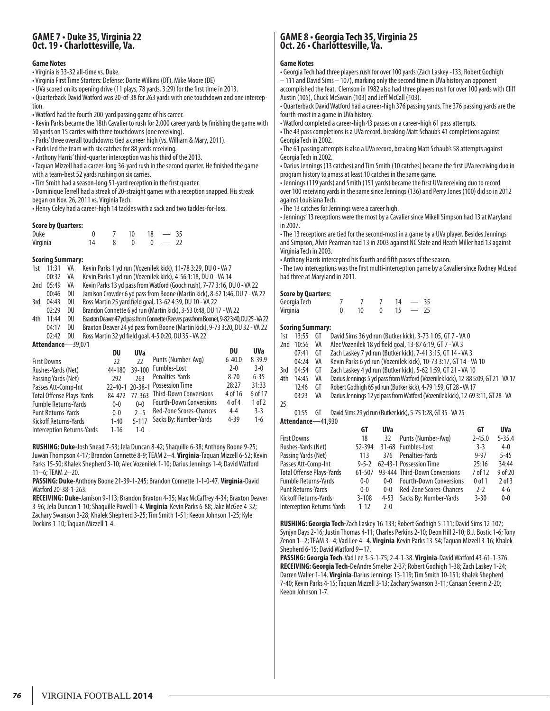### **GAME 7 • Duke 35, Virginia 22 Oct. 19 • Charlottesville, Va.**

#### **Game Notes**

#### • Virginia is 33-32 all-time vs. Duke.

- Virginia First Time Starters: Defense: Donte Wilkins (DT), Mike Moore (DE)
- UVa scored on its opening drive (11 plays, 78 yards, 3:29) for the first time in 2013.
- Quarterback David Watford was 20-of-38 for 263 yards with one touchdown and one interception.

• Watford had the fourth 200-yard passing game of his career.

• Kevin Parks became the 18th Cavalier to rush for 2,000 career yards by finishing the game with 50 yards on 15 carries with three touchdowns (one receiving).

• Parks' three overall touchdowns tied a career high (vs. William & Mary, 2011).

• Parks led the team with six catches for 88 yards receiving.

• Anthony Harris' third-quarter interception was his third of the 2013.

• Taquan Mizzell had a career-long 36-yard rush in the second quarter. He finished the game with a team-best 52 yards rushing on six carries.

• Tim Smith had a season-long 51-yard reception in the first quarter.

• Dominique Terrell had a streak of 20-straight games with a reception snapped. His streak began on Nov. 26, 2011 vs. Virginia Tech.

• Henry Coley had a career-high 14 tackles with a sack and two tackles-for-loss.

#### **Score by Quarters:**

| Duke     |  | 10 | 18 | 35 |
|----------|--|----|----|----|
| Virginia |  |    |    |    |

#### **Scoring Summary:**

1st 11:31 VA Kevin Parks 1 yd run (Vozenilek kick), 11-78 3:29, DU 0 - VA 7

00:32 VA Kevin Parks 1 yd run (Vozenilek kick), 4-56 1:18, DU 0 - VA 14

2nd 05:49 VA Kevin Parks 13 yd pass from Watford (Gooch rush), 7-77 3:16, DU 0 - VA 22

00:46 DU Jamison Crowder 6 yd pass from Boone (Martin kick), 8-62 1:46, DU 7 - VA 22

- 3rd 04:43 DU Ross Martin 25 yard field goal, 13-62 4:39, DU 10 VA 22
- 02:29 DU Brandon Connette 6 yd run (Martin kick), 3-53 0:48, DU 17 VA 22
- 4th 11:44 DU Braxton Deaver 47 yd pass from Connette (Reeves pass from Boone), 9-82 3:40, DU 25 VA 22 04:17 DU Braxton Deaver 24 yd pass from Boone (Martin kick), 9-73 3:20, DU 32 - VA 22 02:42 DU Ross Martin 32 yd field goal, 4-5 0:20, DU 35 - VA 22

**Attendance**—39,071

| DU       | <b>UVa</b>        |                                | DU                                                           | <b>UVa</b> |
|----------|-------------------|--------------------------------|--------------------------------------------------------------|------------|
| 22       | 22                | Punts (Number-Avg)             | $6 - 40.0$                                                   | $8 - 39.9$ |
| 44-180   |                   | Fumbles-Lost                   | $2 - 0$                                                      | $3-0$      |
| 292      | 263               | Penalties-Yards                | $8 - 70$                                                     | $6 - 35$   |
|          |                   | <b>Possession Time</b>         | 28:27                                                        | 31:33      |
| 84-472   |                   |                                | 4 of 16                                                      | 6 of 17    |
| $0-0$    | $0 - 0$           | <b>Fourth-Down Conversions</b> | 4 of 4                                                       | 1 of 2     |
|          | $2 - 5$           | <b>Red-Zone Scores-Chances</b> | $4 - 4$                                                      | $3-3$      |
|          |                   | Sacks By: Number-Yards         | $4 - 39$                                                     | $1-6$      |
| $1 - 16$ | $1 - 0$           |                                |                                                              |            |
|          | $0-0$<br>$1 - 40$ | $5 - 117$                      | 39-100<br>22-40-1 20-38-1<br>77-363   Third-Down Conversions |            |

**RUSHING: Duke-**Josh Snead 7-53; Jela Duncan 8-42; Shaquille 6-38; Anthony Boone 9-25; Juwan Thompson 4-17; Brandon Connette 8-9; TEAM 2--4. **Virginia**-Taquan Mizzell 6-52; Kevin Parks 15-50; Khalek Shepherd 3-10; Alec Vozenilek 1-10; Darius Jennings 1-4; David Watford 11--6; TEAM 2--20.

**PASSING: Duke**-Anthony Boone 21-39-1-245; Brandon Connette 1-1-0-47. **Virginia**-David Watford 20-38-1-263.

**RECEIVING: Duke**-Jamison 9-113; Brandon Braxton 4-35; Max McCaffrey 4-34; Braxton Deaver 3-96; Jela Duncan 1-10; Shaquille Powell 1-4. **Virginia**-Kevin Parks 6-88; Jake McGee 4-32; Zachary Swanson 3-28; Khalek Shepherd 3-25; Tim Smith 1-51; Keeon Johnson 1-25; Kyle Dockins 1-10; Taquan Mizzell 1-4.

# **GAME 8 • Georgia Tech 35, Virginia 25 Oct. 26 • Charlottesville, Va.**

#### **Game Notes**

• Georgia Tech had three players rush for over 100 yards (Zach Laskey -133, Robert Godhigh – 111 and David Sims – 107), marking only the second time in UVa history an opponent

accomplished the feat. Clemson in 1982 also had three players rush for over 100 yards with Cliff Austin (105), Chuck McSwain (103) and Jeff McCall (103).

• Quarterback David Watford had a career-high 376 passing yards. The 376 passing yards are the fourth-most in a game in UVa history.

• Watford completed a career-high 43 passes on a career-high 61 pass attempts.

• The 43 pass completions is a UVa record, breaking Matt Schaub's 41 completions against Georgia Tech in 2002.

• The 61 passing attempts is also a UVa record, breaking Matt Schaub's 58 attempts against Georgia Tech in 2002.

• Darius Jennings (13 catches) and Tim Smith (10 catches) became the first UVa receiving duo in program history to amass at least 10 catches in the same game.

• Jennings (119 yards) and Smith (151 yards) became the first UVa receiving duo to record over 100 receiving yards in the same since Jennings (136) and Perry Jones (100) did so in 2012 against Louisiana Tech.

• The 13 catches for Jennings were a career high.

• Jennings' 13 receptions were the most by a Cavalier since Mikell Simpson had 13 at Maryland in 2007.

• The 13 receptions are tied for the second-most in a game by a UVa player. Besides Jennings and Simpson, Alvin Pearman had 13 in 2003 against NC State and Heath Miller had 13 against Virginia Tech in 2003.

• Anthony Harris intercepted his fourth and fifth passes of the season.

• The two interceptions was the first multi-interception game by a Cavalier since Rodney McLeod had three at Maryland in 2011.

#### **Score by Quarters:**

| ---- <i>-,</i> -------<br>Georgia Tech |    | 14 | $\overline{\phantom{0}}$ | - 35 |
|----------------------------------------|----|----|--------------------------|------|
| Virginia                               | 10 |    | $\sim$                   | -25  |

#### **Scoring Summary:**

|     |                   |    | $\mathbf{H}$                                                                       | CТ | $\mathbf{m}$ |
|-----|-------------------|----|------------------------------------------------------------------------------------|----|--------------|
|     | Attendance-41,930 |    |                                                                                    |    |              |
|     | 01:55             | GT | David Sims 29 yd run (Butker kick), 5-75 1:28, GT 35 - VA 25                       |    |              |
| 25  |                   |    |                                                                                    |    |              |
|     | 03:23             | VA | Darius Jennings 12 yd pass from Watford (Vozenilek kick), 12-69 3:11, GT 28 - VA   |    |              |
|     | 12:46             | GT | Robert Godhigh 65 yd run (Butker kick), 4-79 1:59, GT 28 - VA 17                   |    |              |
| 4th | 14:45             | VA | Darius Jennings 5 yd pass from Watford (Vozenilek kick), 12-88 5:09, GT 21 - VA 17 |    |              |
| 3rd | 04:54             | GT | Zach Laskey 4 yd run (Butker kick), 5-62 1:59, GT 21 - VA 10                       |    |              |
|     | 04:24             | VA | Kevin Parks 6 yd run (Vozenilek kick), 10-73 3:17, GT 14 - VA 10                   |    |              |
|     | 07:41             | GT | Zach Laskey 7 yd run (Butker kick), 7-41 3:15, GT 14 - VA 3                        |    |              |
| 2nd | 10:56             | VA | Alec Vozenilek 18 yd field goal, 13-87 6:19, GT 7 - VA 3                           |    |              |
| 1st | 13:55             | GT | David Sims 36 yd run (Butker kick), 3-73 1:05, GT 7 - VA 0                         |    |              |

| Punts (Number-Avg)<br>$2 - 45.0$<br>First Downs<br>32<br>18                            | $5 - 35.4$<br>$4 - 0$ |
|----------------------------------------------------------------------------------------|-----------------------|
|                                                                                        |                       |
| 31-68   Fumbles-Lost<br>Rushes-Yards (Net)<br>$3-3$<br>52-394                          |                       |
| Penalties-Yards<br>$9 - 97$<br>Passing Yards (Net)<br>376<br>113                       | $5 - 45$              |
| 25:16<br>62-43-1 Possession Time<br>Passes Att-Comp-Int<br>$9 - 5 - 2$                 | 34:44                 |
| 93-444 Third-Down Conversions<br>7 of 12<br>Total Offense Plays-Yards<br>61-507        | 9 of 20               |
| <b>Fourth-Down Conversions</b><br>$0$ of $1$<br>Fumble Returns-Yards<br>$0-0$<br>$0-0$ | $2$ of $3$            |
| Red-Zone Scores-Chances<br>$2 - 2$<br>Punt Returns-Yards<br>$0 - 0$<br>$0 - 0$         | $4-6$                 |
| Sacks By: Number-Yards<br>$3 - 30$<br>$3 - 108$<br>Kickoff Returns-Yards<br>$4 - 53$   | $0 - 0$               |
| <b>Interception Returns-Yards</b><br>$1 - 12$<br>$2 - 0$                               |                       |

**RUSHING: Georgia Tech-**Zach Laskey 16-133; Robert Godhigh 5-111; David Sims 12-107; Synjyn Days 2-16; Justin Thomas 4-11; Charles Perkins 2-10; Deon Hill 2-10; B.J. Bostic 1-6; Tony Zenon 1--2; TEAM 3--4; Vad Lee 4--4. **Virginia**-Kevin Parks 13-54; Taquan Mizzell 3-16; Khalek Shepherd 6-15; David Watford 9--17.

**PASSING: Georgia Tech**-Vad Lee 3-5-1-75; 2-4-1-38. **Virginia**-David Watford 43-61-1-376. **RECEIVING: Georgia Tech**-DeAndre Smelter 2-37; Robert Godhigh 1-38; Zach Laskey 1-24; Darren Waller 1-14. **Virginia**-Darius Jennings 13-119; Tim Smith 10-151; Khalek Shepherd 7-40; Kevin Parks 4-15; Taquan Mizzell 3-13; Zachary Swanson 3-11; Canaan Severin 2-20; Keeon Johnson 1-7.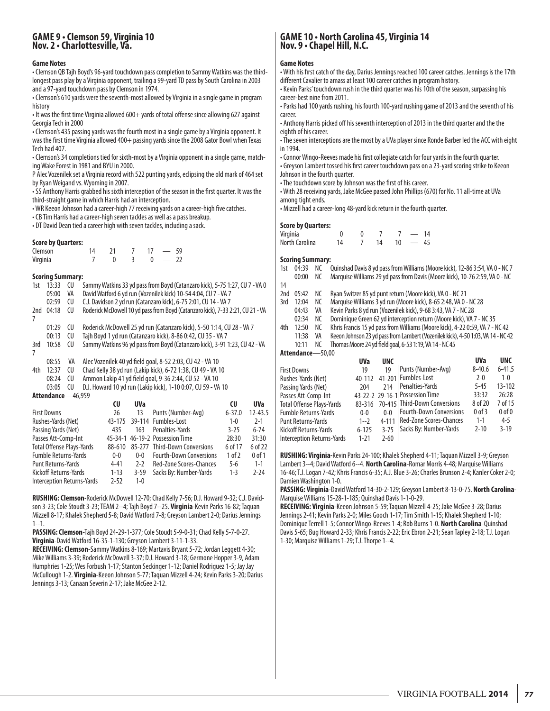### **GAME 9 • Clemson 59, Virginia 10 Nov. 2 • Charlottesville, Va.**

#### **Game Notes**

• Clemson QB Tajh Boyd's 96-yard touchdown pass completion to Sammy Watkins was the thirdlongest pass play by a Virginia opponent, trailing a 99-yard TD pass by South Carolina in 2003 and a 97-yard touchdown pass by Clemson in 1974.

• Clemson's 610 yards were the seventh-most allowed by Virginia in a single game in program history

• It was the first time Virginia allowed 600+ yards of total offense since allowing 627 against Georgia Tech in 2000

• Clemson's 435 passing yards was the fourth most in a single game by a Virginia opponent. It was the first time Virginia allowed 400+ passing yards since the 2008 Gator Bowl when Texas Tech had 407.

• Clemson's 34 completions tied for sixth-most by a Virginia opponent in a single game, matching Wake Forest in 1981 and BYU in 2000.

P Alec Vozenilek set a Virginia record with 522 punting yards, eclipsing the old mark of 464 set by Ryan Weigand vs. Wyoming in 2007.

• SS Anthony Harris grabbed his sixth interception of the season in the first quarter. It was the third-straight game in which Harris had an interception.

• WR Keeon Johnson had a career-high 77 receiving yards on a career-high five catches.

• CB Tim Harris had a career-high seven tackles as well as a pass breakup.

• DT David Dean tied a career high with seven tackles, including a sack.

#### **Score by Quarters:**

| Clemson  | 14 |  |                          |
|----------|----|--|--------------------------|
| Virginia |    |  | $\overline{\phantom{0}}$ |

#### **Scoring Summary:**

| 1st | 13:33             | CU  | Sammy Watkins 33 yd pass from Boyd (Catanzaro kick), 5-75 1:27, CU 7 - VA 0    |
|-----|-------------------|-----|--------------------------------------------------------------------------------|
|     | 05:00             | VA  | David Watford 6 yd run (Vozenilek kick) 10-54 4:04, CU 7 - VA 7                |
|     | 02:59             | CU  | C.J. Davidson 2 yd run (Catanzaro kick), 6-75 2:01, CU 14 - VA 7               |
| 2nd | 04:18             | CU  | Roderick McDowell 10 yd pass from Boyd (Catanzaro kick), 7-33 2:21, CU 21 - VA |
|     |                   |     |                                                                                |
|     | 01:29             | CU  | Roderick McDowell 25 yd run (Catanzaro kick), 5-50 1:14, CU 28 - VA 7          |
|     | 00:13             | CU  | Tajh Boyd 1 yd run (Catanzaro kick), 8-86 0:42, CU 35 - VA 7                   |
| 3rd | 10:58             | CU  | Sammy Watkins 96 yd pass from Boyd (Catanzaro kick), 3-91 1:23, CU 42 - VA     |
| 7   |                   |     |                                                                                |
|     | 08:55             | VA  | Alec Vozenilek 40 yd field goal, 8-52 2:03, CU 42 - VA 10                      |
| 4th | 12:37             | CU  | Chad Kelly 38 yd run (Lakip kick), 6-72 1:38, CU 49 - VA 10                    |
|     | 08:24             | CU  | Ammon Lakip 41 yd field goal, 9-36 2:44, CU 52 - VA 10                         |
|     | 03:05             | CU. | D.J. Howard 10 yd run (Lakip kick), 1-10 0:07, CU 59 - VA 10                   |
|     | Attendance-46,959 |     |                                                                                |

|                                   | CU       | <b>UVa</b> |                                 | CU         | <b>UVa</b>  |
|-----------------------------------|----------|------------|---------------------------------|------------|-------------|
| <b>First Downs</b>                | 26       | 13         | Punts (Number-Avg)              | $6 - 37.0$ | $12 - 43.5$ |
| Rushes-Yards (Net)                | 43-175   |            | 39-114   Fumbles-Lost           | $1 - 0$    | $2-1$       |
| Passing Yards (Net)               | 435      | 163        | Penalties-Yards                 | $3 - 25$   | $6 - 74$    |
| Passes Att-Comp-Int               |          |            | 45-34-1 46-19-2 Possession Time | 28:30      | 31:30       |
| <b>Total Offense Plays-Yards</b>  | 88-610   |            | 85-277   Third-Down Conversions | 6 of 17    | 6 of 22     |
| <b>Fumble Returns-Yards</b>       | $0 - 0$  | $0 - 0$    | <b>Fourth-Down Conversions</b>  | 1 of 2     | $0$ of $1$  |
| <b>Punt Returns-Yards</b>         | $4 - 41$ | $2-2$      | <b>Red-Zone Scores-Chances</b>  | $5-6$      | $1 - 1$     |
| Kickoff Returns-Yards             | $1 - 13$ | $3 - 59$   | Sacks By: Number-Yards          | $1 - 3$    | $2 - 24$    |
| <b>Interception Returns-Yards</b> | $2 - 52$ | $1 - 0$    |                                 |            |             |

**RUSHING: Clemson-**Roderick McDowell 12-70; Chad Kelly 7-56; D.J. Howard 9-32; C.J. Davidson 3-23; Cole Stoudt 3-23; TEAM 2--4; Tajh Boyd 7--25. **Virginia**-Kevin Parks 16-82; Taquan Mizzell 8-17; Khalek Shepherd 5-8; David Watford 7-8; Greyson Lambert 2-0; Darius Jennings 1--1.

**PASSING:Clemson**-Tajh Boyd 24-29-1-377; Cole Stoudt 5-9-0-31; Chad Kelly 5-7-0-27. **Virginia**-David Watford 16-35-1-130; Greyson Lambert 3-11-1-33.

**RECEIVING:Clemson**-Sammy Watkins 8-169; Martavis Bryant 5-72; Jordan Leggett 4-30; Mike Williams 3-39; Roderick McDowell 3-37; D.J. Howard 3-18; Germone Hopper 3-9, Adam Humphries 1-25; Wes Forbush 1-17; Stanton Seckinger 1-12; Daniel Rodriguez 1-5; Jay Jay McCullough 1-2. **Virginia**-Keeon Johnson 5-77; Taquan Mizzell 4-24; Kevin Parks 3-20; Darius Jennings 3-13; Canaan Severin 2-17; Jake McGee 2-12.

## **GAME 10 • North Carolina 45, Virginia 14 Nov. 9 • Chapel Hill, N.C.**

#### **Game Notes**

• With his first catch of the day, Darius Jennings reached 100 career catches. Jennings is the 17th different Cavalier to amass at least 100 career catches in program history.

• Kevin Parks' touchdown rush in the third quarter was his 10th of the season, surpassing his career-best nine from 2011.

• Parks had 100 yards rushing, his fourth 100-yard rushing game of 2013 and the seventh of his career.

• Anthony Harris picked off his seventh interception of 2013 in the third quarter and the the eighth of his career.

• The seven interceptions are the most by a UVa player since Ronde Barber led the ACC with eight in 1994.

- Connor Wingo-Reeves made his first collegiate catch for four yards in the fourth quarter.
- Greyson Lambert tossed his first career touchdown pass on a 23-yard scoring strike to Keeon Johnson in the fourth quarter.
- The touchdown score by Johnson was the first of his career.

• With 28 receiving yards, Jake McGee passed John Phillips (670) for No. 11 all-time at UVa among tight ends.

• Mizzell had a career-long 48-yard kick return in the fourth quarter.

#### **Score by Quarters:**

| <b>SCALE NA KAMILEISI</b> |    |  |    |    |  |    |  |  |  |  |
|---------------------------|----|--|----|----|--|----|--|--|--|--|
| Virginia                  |    |  |    |    |  |    |  |  |  |  |
| North Carolina            | 14 |  | 14 | 10 |  | 45 |  |  |  |  |

**Scoring Summary:**<br>1st 04:39 NC Quinshad Davis 8 yd pass from Williams (Moore kick), 12-86 3:54, VA 0 - NC 7 00:00 NC Marquise Williams 29 yd pass from Davis (Moore kick), 10-76 2:59, VA 0 - NC 14 2nd 05:42 NC Ryan Switzer 85 yd punt return (Moore kick), VA 0 - NC 21 3rd 12:04 NC Marquise Williams 3 yd run (Moore kick), 8-65 2:48, VA 0 - NC 28 04:43 VA Kevin Parks 8 yd run (Vozenilek kick), 9-68 3:43, VA 7 - NC 28 02:34 NC Dominique Green 62 yd interception return (Moore kick), VA 7 - NC 35 12:50 NC Khris Francis 15 yd pass from Williams (Moore kick), 4-22 0:59, VA 7 - NC 42<br>11:38 VA Keeon Johnson 23 yd pass from Lambert (Vozenilek kick), 4-50 1:03, VA 14 - NC 4 11:38 VA Keeon Johnson 23 yd pass from Lambert (Vozenilek kick), 4-50 1:03, VA 14 - NC 42 Thomas Moore 24 yd field goal, 6-53 1:19, VA 14 - NC 45 **Attendance**—50,00 **UVa UNC UVa UNC**

|                            | <b>UVa</b> | <b>UNC</b> |                                      | <b>UVa</b> | <b>UNC</b> |
|----------------------------|------------|------------|--------------------------------------|------------|------------|
| <b>First Downs</b>         | 19         | 19         | Punts (Number-Avg)                   | $8 - 40.6$ | $6 - 41.5$ |
| Rushes-Yards (Net)         | 40-112     |            | 41-201 Fumbles-Lost                  | $2 - 0$    | $1 - 0$    |
| Passing Yards (Net)        | 204        | 214        | Penalties-Yards                      | $5 - 45$   | $13 - 102$ |
| Passes Att-Comp-Int        |            |            | 43-22-2 29-16-1 Possession Time      | 33:32      | 26:28      |
| Total Offense Plays-Yards  |            |            | 83-316 70-415 Third-Down Conversions | 8 of 20    | 7 of 15    |
| Fumble Returns-Yards       | $0 - 0$    | $0 - 0$    | <b>Fourth-Down Conversions</b>       | $0$ of $3$ | $0$ of $0$ |
| Punt Returns-Yards         | $1 - 2$    | 4-111      | Red-Zone Scores-Chances              | $1 - 1$    | $4 - 5$    |
| Kickoff Returns-Yards      | $6 - 125$  | $3 - 75$   | Sacks By: Number-Yards               | $2 - 10$   | $3 - 19$   |
| Interception Returns-Yards | $1 - 21$   | $2 - 60$   |                                      |            |            |
|                            |            |            |                                      |            |            |

**RUSHING: Virginia-**Kevin Parks 24-100; Khalek Shepherd 4-11; Taquan Mizzell 3-9; Greyson Lambert 3--4; David Watford 6--4. **North Carolina**-Romar Morris 4-48; Marquise Williams 16-46; T.J. Logan 7-42; Khris Francis 6-35; A.J. Blue 3-26; Charles Brunson 2-4; Kanler Coker 2-0; Damien Washington 1-0.

**PASSING: Virginia**-David Watford 14-30-2-129; Greyson Lambert 8-13-0-75. **North Carolina**-Marquise Williams 15-28-1-185; Quinshad Davis 1-1-0-29.

**RECEIVING: Virginia**-Keeon Johnson 5-59; Taquan Mizzell 4-25; Jake McGee 3-28; Darius Jennings 2-41; Kevin Parks 2-0; Miles Gooch 1-17; Tim Smith 1-15; Khalek Shepherd 1-10; Dominique Terrell 1-5; Connor Wingo-Reeves 1-4; Rob Burns 1-0. **North Carolina**-Quinshad Davis 5-65; Bug Howard 2-33; Khris Francis 2-22; Eric Ebron 2-21; Sean Tapley 2-18; T.J. Logan 1-30; Marquise Williams 1-29; T.J. Thorpe 1--4.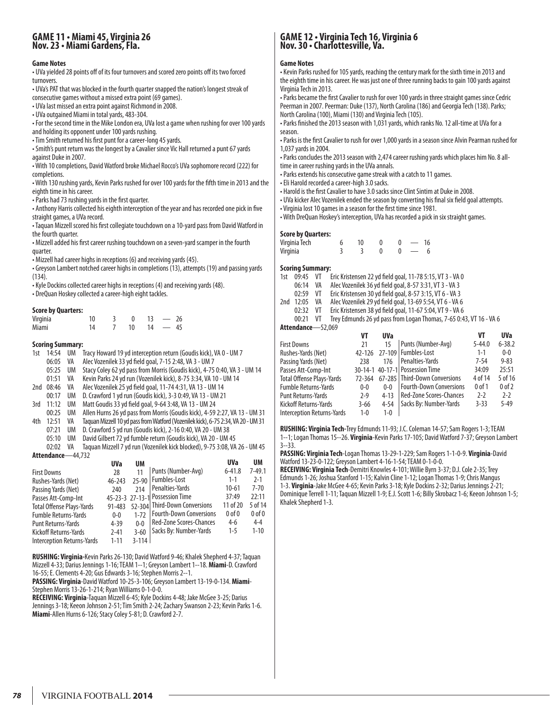### **GAME 11 • Miami 45, Virginia 26 Nov. 23 • Miami Gardens, Fla.**

#### **Game Notes**

• UVa yielded 28 points off of its four turnovers and scored zero points off its two forced turnovers.

• UVa's PAT that was blocked in the fourth quarter snapped the nation's longest streak of consecutive games without a missed extra point (69 games).

• UVa last missed an extra point against Richmond in 2008.

• UVa outgained Miami in total yards, 483-304.

• For the second time in the Mike London era, UVa lost a game when rushing for over 100 yards and holding its opponent under 100 yards rushing.

• Tim Smith returned his first punt for a career-long 45 yards.

• Smith's punt return was the longest by a Cavalier since Vic Hall returned a punt 67 yards against Duke in 2007.

• With 10 completions, David Watford broke Michael Rocco's UVa sophomore record (222) for completions.

• With 130 rushing yards, Kevin Parks rushed for over 100 yards for the fifth time in 2013 and the eighth time in his career.

• Parks had 73 rushing yards in the first quarter.

• Anthony Harris collected his eighth interception of the year and has recorded one pick in five straight games, a UVa record.

• Taquan Mizzell scored his first collegiate touchdown on a 10-yard pass from David Watford in the fourth quarter.

• Mizzell added his first career rushing touchdown on a seven-yard scamper in the fourth quarter.

• Mizzell had career highs in receptions (6) and receiving yards (45).

• Greyson Lambert notched career highs in completions (13), attempts (19) and passing yards (134).

• Kyle Dockins collected career highs in receptions (4) and receiving yards (48).

• DreQuan Hoskey collected a career-high eight tackles.

#### **Score by Quarters:**

| Virginia |  |    |    | $\overline{\phantom{m}}$ | 26   |
|----------|--|----|----|--------------------------|------|
| Miami    |  | 10 | 14 | $\overline{\phantom{0}}$ | - 45 |

#### **Scoring Summary:**

1st 14:54 UM Tracy Howard 19 yd interception return (Goudis kick), VA 0 - UM 7

06:05 VA Alec Vozenilek 33 yd field goal, 7-15 2:48, VA 3 - UM 7 Stacy Coley 62 yd pass from Morris (Goudis kick), 4-75 0:40, VA 3 - UM 14

01:51 VA Kevin Parks 24 yd run (Vozenilek kick), 8-75 3:34, VA 10 - UM 14

2nd 08:46 VA Alec Vozenilek 25 yd field goal, 11-74 4:31, VA 13 - UM 14

00:17 UM D. Crawford 1 yd run (Goudis kick), 3-3 0:49, VA 13 - UM 21

3rd 11:12 UM Matt Goudis 33 yd field goal, 9-64 3:48, VA 13 - UM 24

- 00:25 UM Allen Hurns 26 yd pass from Morris (Goudis kick), 4-59 2:27, VA 13 UM 31
- 4th 12:51 VA Taquan Mizzell 10 yd pass from Watford (Vozenilek kick), 6-75 2:34, VA 20 UM 31
	- 07:21 UM D. Crawford 5 yd run (Goudis kick), 2-16 0:40, VA 20 UM 38
	- 05:10 UM David Gilbert 72 yd fumble return (Goudis kick), VA 20 UM 45

02:02 VA Taquan Mizzell 7 yd run (Vozenilek kick blocked), 9-75 3:08, VA 26 - UM 45 **Attendance**—44,732

| UVa        | UM       |                                |                                                                                                                                | UM             |
|------------|----------|--------------------------------|--------------------------------------------------------------------------------------------------------------------------------|----------------|
| 28         | 11       | Punts (Number-Avg)             | $6 - 41.8$                                                                                                                     | $7 - 49.1$     |
| $46 - 243$ | $75-90$  | Fumbles-Lost                   | $1 - 1$                                                                                                                        | $2 - 1$        |
| 240        | 214      |                                | $10 - 61$                                                                                                                      | $7 - 70$       |
|            |          |                                | 37:49                                                                                                                          | 22:11          |
| 91-483     |          |                                | 11 of 20                                                                                                                       | 5 of 14        |
| $0 - 0$    | $1 - 72$ | <b>Fourth-Down Conversions</b> | $0$ of $0$                                                                                                                     | 0 <sub>0</sub> |
| $4 - 39$   | $0 - 0$  |                                | $4-6$                                                                                                                          | $4 - 4$        |
| $2 - 41$   | $3 - 60$ | Sacks By: Number-Yards         | $1 - 5$                                                                                                                        | $1 - 10$       |
| $1 - 11$   |          |                                |                                                                                                                                |                |
|            |          |                                | Penalties-Yards<br>45-23-3 27-13-1 Possession Time<br>52-304 Third-Down Conversions<br>  Red-Zone Scores-Chances <br>$3 - 114$ | <b>UVa</b>     |

**RUSHING: Virginia-**Kevin Parks 26-130; David Watford 9-46; Khalek Shepherd 4-37; Taquan Mizzell 4-33; Darius Jennings 1-16; TEAM 1--1; Greyson Lambert 1--18. **Miami**-D. Crawford 16-55; E. Clements 4-20; Gus Edwards 3-16; Stephen Morris 2--1.

**PASSING: Virginia**-David Watford 10-25-3-106; Greyson Lambert 13-19-0-134. **Miami**-Stephen Morris 13-26-1-214; Ryan Williams 0-1-0-0.

**RECEIVING: Virginia**-Taquan Mizzell 6-45; Kyle Dockins 4-48; Jake McGee 3-25; Darius Jennings 3-18; Keeon Johnson 2-51; Tim Smith 2-24; Zachary Swanson 2-23; Kevin Parks 1-6. **Miami**-Allen Hurns 6-126; Stacy Coley 5-81; D. Crawford 2-7.

# **GAME 12 • Virginia Tech 16, Virginia 6 Nov. 30 • Charlottesville, Va.**

#### **Game Notes**

• Kevin Parks rushed for 105 yards, reaching the century mark for the sixth time in 2013 and the eighth time in his career. He was just one of three running backs to gain 100 yards against Virginia Tech in 2013.

• Parks became the first Cavalier to rush for over 100 yards in three straight games since Cedric Peerman in 2007. Peerman: Duke (137), North Carolina (186) and Georgia Tech (138). Parks; North Carolina (100), Miami (130) and Virginia Tech (105).

• Parks finished the 2013 season with 1,031 yards, which ranks No. 12 all-time at UVa for a season.

• Parks is the first Cavalier to rush for over 1,000 yards in a season since Alvin Pearman rushed for 1,037 yards in 2004.

• Parks concludes the 2013 season with 2,474 career rushing yards which places him No. 8 alltime in career rushing yards in the UVa annals.

• Parks extends his consecutive game streak with a catch to 11 games.

• Eli Harold recorded a career-high 3.0 sacks.

• Harold is the first Cavalier to have 3.0 sacks since Clint Sintim at Duke in 2008.

• UVa kicker Alec Vozenilek ended the season by converting his final six field goal attempts.

• Virginia lost 10 games in a season for the first time since 1981.

• With DreQuan Hoskey's interception, UVa has recorded a pick in six straight games.

#### **Score by Quarters:**

| יכום או עשמו נכוג. |    |  |    |
|--------------------|----|--|----|
| Virginia Tech      | 10 |  | 16 |
| Virginia           |    |  |    |

#### **Scoring Summary:**

1st 09:45 VT Eric Kristensen 22 yd field goal, 11-78 5:15, VT 3 - VA 0

- 06:14 VA Alec Vozenilek 36 yd field goal, 8-57 3:31, VT 3 VA 3
- 02:59 VT Eric Kristensen 30 yd field goal, 8-57 3:15, VT 6 VA 3
- 2nd 12:05 VA Alec Vozenilek 29 yd field goal, 13-69 5:54, VT 6 VA 6
	- 02:32 VT Eric Kristensen 38 yd field goal, 11-67 5:04, VT 9 VA 6

00:21 VT Trey Edmunds 26 yd pass from Logan Thomas, 7-65 0:43, VT 16 - VA 6<br>**Adance**—52 069

| Attendance-52,069 |  |
|-------------------|--|
|-------------------|--|

|                                   | VT         | <b>UVa</b> |                                 | VT         | <b>UVa</b> |
|-----------------------------------|------------|------------|---------------------------------|------------|------------|
| First Downs                       | 21         | 15         | Punts (Number-Avg)              | $5 - 44.0$ | $6 - 38.2$ |
| Rushes-Yards (Net)                | $42 - 126$ |            | 27-109   Fumbles-Lost           | $1 - 1$    | $0 - 0$    |
| Passing Yards (Net)               | 238        | 176        | Penalties-Yards                 | $7 - 54$   | $9 - 83$   |
| Passes Att-Comp-Int               |            |            | 30-14-1 40-17-1 Possession Time | 34:09      | 25:51      |
| Total Offense Plays-Yards         | 72-364     |            | 67-285   Third-Down Conversions | 4 of 14    | 5 of 16    |
| <b>Fumble Returns-Yards</b>       | $0 - 0$    | $0 - 0$    | <b>Fourth-Down Conversions</b>  | $0$ of $1$ | $0$ of $2$ |
| Punt Returns-Yards                | $2 - 9$    | $4 - 13$   | Red-Zone Scores-Chances         | $2 - 2$    | $2 - 2$    |
| Kickoff Returns-Yards             | $3 - 66$   | $4 - 54$   | Sacks By: Number-Yards          | $3 - 33$   | $5 - 49$   |
| <b>Interception Returns-Yards</b> | $1 - 0$    | $1 - 0$    |                                 |            |            |
|                                   |            |            |                                 |            |            |

**RUSHING: Virginia Tech-**Trey Edmunds 11-93; J.C. Coleman 14-57; Sam Rogers 1-3; TEAM 1--1; Logan Thomas 15--26. **Virginia**-Kevin Parks 17-105; David Watford 7-37; Greyson Lambert 3--33.

**PASSING: Virginia Tech**-Logan Thomas 13-29-1-229; Sam Rogers 1-1-0-9. **Virginia**-David Watford 13-23-0-122; Greyson Lambert 4-16-1-54; TEAM 0-1-0-0.

**RECEIVING: Virginia Tech**-Demitri Knowles 4-101; Willie Byrn 3-37; D.J. Cole 2-35; Trey Edmunds 1-26; Joshua Stanford 1-15; Kalvin Cline 1-12; Logan Thomas 1-9; Chris Mangus 1-3. **Virginia**-Jake McGee 4-65; Kevin Parks 3-18; Kyle Dockins 2-32; Darius Jennings 2-21; Dominique Terrell 1-11; Taquan Mizzell 1-9; E.J. Scott 1-6; Billy Skrobacz 1-6; Keeon Johnson 1-5; Khalek Shepherd 1-3.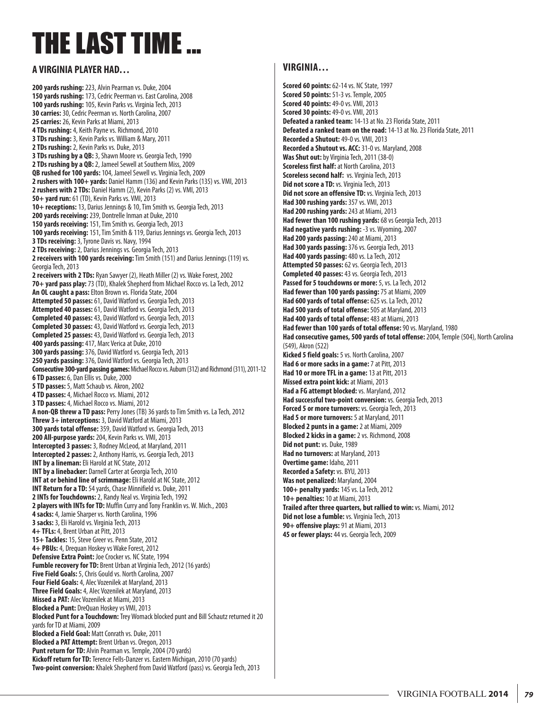# THE LAST TIME ...

#### **A VIRGINIA PLAYER HAD…**

**200 yards rushing:** 223, Alvin Pearman vs. Duke, 2004 **150 yards rushing:** 173, Cedric Peerman vs. East Carolina, 2008 **100 yards rushing:** 105, Kevin Parks vs. Virginia Tech, 2013 **30 carries:** 30, Cedric Peerman vs. North Carolina, 2007 **25 carries:** 26, Kevin Parks at Miami, 2013 **4 TDs rushing:** 4, Keith Payne vs. Richmond, 2010 **3 TDs rushing:** 3, Kevin Parks vs. William & Mary, 2011 **2 TDs rushing:** 2, Kevin Parks vs. Duke, 2013 **3 TDs rushing by a QB:** 3, Shawn Moore vs. Georgia Tech, 1990 **2 TDs rushing by a QB:** 2, Jameel Sewell at Southern Miss, 2009 **QB rushed for 100 yards:** 104, Jameel Sewell vs. Virginia Tech, 2009 **2 rushers with 100+ yards:** Daniel Hamm (136) and Kevin Parks (135) vs. VMI, 2013 **2 rushers with 2 TDs:** Daniel Hamm (2), Kevin Parks (2) vs. VMI, 2013 **50+ yard run:** 61 (TD), Kevin Parks vs. VMI, 2013 **10+ receptions:** 13, Darius Jennings & 10, Tim Smith vs. Georgia Tech, 2013 **200 yards receiving:** 239, Dontrelle Inman at Duke, 2010 **150 yards receiving:** 151, Tim Smith vs. Georgia Tech, 2013 **100 yards receiving:** 151, Tim Smith & 119, Darius Jennings vs. Georgia Tech, 2013 **3 TDs receiving:** 3, Tyrone Davis vs. Navy, 1994 **2 TDs receiving:** 2, Darius Jennings vs. Georgia Tech, 2013 **2 receivers with 100 yards receiving:** Tim Smith (151) and Darius Jennings (119) vs. Georgia Tech, 2013 **2 receivers with 2 TDs:** Ryan Sawyer (2), Heath Miller (2) vs. Wake Forest, 2002 **70+ yard pass play:** 73 (TD), Khalek Shepherd from Michael Rocco vs. La Tech, 2012 **An OL caught a pass:** Elton Brown vs. Florida State, 2004 **Attempted 50 passes:** 61, David Watford vs. Georgia Tech, 2013 **Attempted 40 passes:** 61, David Watford vs. Georgia Tech, 2013 **Completed 40 passes:** 43, David Watford vs. Georgia Tech, 2013 **Completed 30 passes:** 43, David Watford vs. Georgia Tech, 2013 **Completed 25 passes:** 43, David Watford vs. Georgia Tech, 2013 **400 yards passing:** 417, Marc Verica at Duke, 2010 **300 yards passing:** 376, David Watford vs. Georgia Tech, 2013 **250 yards passing:** 376, David Watford vs. Georgia Tech, 2013 **Consecutive 300-yard passing games:**Michael Rocco vs. Auburn (312) and Richmond (311), 2011-12 **6 TD passes:** 6, Dan Ellis vs. Duke, 2000 **5 TD passes:** 5, Matt Schaub vs. Akron, 2002 **4 TD passes:** 4, Michael Rocco vs. Miami, 2012 **3 TD passes:** 4, Michael Rocco vs. Miami, 2012 **A non-QB threw a TD pass:** Perry Jones (TB) 36 yards to Tim Smith vs. La Tech, 2012 **Threw 3+ interceptions:** 3, David Watford at Miami, 2013 **300 yards total offense:** 359, David Watford vs. Georgia Tech, 2013 **200 All-purpose yards:** 204, Kevin Parks vs. VMI, 2013 **Intercepted 3 passes:** 3, Rodney McLeod, at Maryland, 2011 **Intercepted 2 passes:** 2, Anthony Harris, vs. Georgia Tech, 2013 **INT by a lineman:** Eli Harold at NC State, 2012 **INT by a linebacker:** Darnell Carter at Georgia Tech, 2010 **INT at or behind line of scrimmage:** Eli Harold at NC State, 2012 **INT Return for a TD:** 54 yards, Chase Minnifield vs. Duke, 2011 **2 INTs for Touchdowns:** 2, Randy Neal vs. Virginia Tech, 1992 **2 players with INTs for TD:** Muffin Curry and Tony Franklin vs. W. Mich., 2003 **4 sacks:** 4, Jamie Sharper vs. North Carolina, 1996 **3 sacks:** 3, Eli Harold vs. Virginia Tech, 2013 **4+ TFLs:** 4, Brent Urban at Pitt, 2013 **15+ Tackles:** 15, Steve Greer vs. Penn State, 2012 **4+ PBUs:** 4, Drequan Hoskey vs Wake Forest, 2012 **Defensive Extra Point:** Joe Crocker vs. NC State, 1994 Fumble recovery for TD: Brent Urban at Virginia Tech, 2012 (16 yards) **Five Field Goals:** 5, Chris Gould vs. North Carolina, 2007 **Four Field Goals:** 4, Alec Vozenilek at Maryland, 2013 **Three Field Goals:** 4, Alec Vozenilek at Maryland, 2013 **Missed a PAT:** Alec Vozenilek at Miami, 2013 **Blocked a Punt:** DreQuan Hoskey vs VMI, 2013 **Blocked Punt for a Touchdown:** Trey Womack blocked punt and Bill Schautz returned it 20 yards for TD at Miami, 2009 **Blocked a Field Goal:** Matt Conrath vs. Duke, 2011 **Blocked a PAT Attempt:** Brent Urban vs. Oregon, 2013 Punt return for TD: Alvin Pearman vs. Temple, 2004 (70 yards) **Kickoff return for TD:** Terence Fells-Danzer vs. Eastern Michigan, 2010 (70 yards) **Two-point conversion:** Khalek Shepherd from David Watford (pass) vs. Georgia Tech, 2013

#### **VIRGINIA…**

**Scored 60 points:** 62-14 vs. NC State, 1997 **Scored 50 points:** 51-3 vs. Temple, 2005 **Scored 40 points:** 49-0 vs. VMI, 2013 **Scored 30 points:** 49-0 vs. VMI, 2013 **Defeated a ranked team:** 14-13 at No. 23 Florida State, 2011 **Defeated a ranked team on the road:** 14-13 at No. 23 Florida State, 2011 **Recorded a Shutout:** 49-0 vs. VMI, 2013 **Recorded a Shutout vs. ACC:** 31-0 vs. Maryland, 2008 **Was Shut out:** by Virginia Tech, 2011 (38-0) **Scoreless first half:** at North Carolina, 2013 **Scoreless second half:** vs. Virginia Tech, 2013 **Did not score a TD:** vs. Virginia Tech, 2013 **Did not score an offensive TD:** vs. Virginia Tech, 2013 **Had 300 rushing yards:** 357 vs. VMI, 2013 **Had 200 rushing yards:** 243 at Miami, 2013 **Had fewer than 100 rushing yards:** 68 vs Georgia Tech, 2013 **Had negative yards rushing:** -3 vs. Wyoming, 2007 **Had 200 yards passing:** 240 at Miami, 2013 **Had 300 yards passing:** 376 vs. Georgia Tech, 2013 **Had 400 yards passing:** 480 vs. La Tech, 2012 **Attempted 50 passes:** 62 vs. Georgia Tech, 2013 **Completed 40 passes:** 43 vs. Georgia Tech, 2013 **Passed for 5 touchdowns or more:** 5, vs. La Tech, 2012 **Had fewer than 100 yards passing:** 75 at Miami, 2009 **Had 600 yards of total offense:** 625 vs. La Tech, 2012 **Had 500 yards of total offense:** 505 at Maryland, 2013 **Had 400 yards of total offense:** 483 at Miami, 2013 **Had fewer than 100 yards of total offense:** 90 vs. Maryland, 1980 **Had consecutive games, 500 yards of total offense:** 2004, Temple (504), North Carolina (549), Akron (522) **Kicked 5 field goals:** 5 vs. North Carolina, 2007 **Had 6 or more sacks in a game:** 7 at Pitt, 2013 **Had 10 or more TFL in a game:** 13 at Pitt, 2013 **Missed extra point kick:** at Miami, 2013 **Had a FG attempt blocked:** vs. Maryland, 2012 **Had successful two-point conversion:** vs. Georgia Tech, 2013 **Forced 5 or more turnovers:** vs. Georgia Tech, 2013 **Had 5 or more turnovers:** 5 at Maryland, 2011 **Blocked 2 punts in a game:** 2 at Miami, 2009 **Blocked 2 kicks in a game:** 2 vs. Richmond, 2008 **Did not punt:** vs. Duke, 1989 **Had no turnovers:** at Maryland, 2013 **Overtime game:** Idaho, 2011 **Recorded a Safety:** vs. BYU, 2013 **Was not penalized:** Maryland, 2004 **100+ penalty yards:** 145 vs. La Tech, 2012 **10+ penalties:** 10 at Miami, 2013 **Trailed after three quarters, but rallied to win:** vs. Miami, 2012 **Did not lose a fumble:** vs. Virginia Tech, 2013 **90+ offensive plays:** 91 at Miami, 2013 **45 or fewer plays:** 44 vs. Georgia Tech, 2009